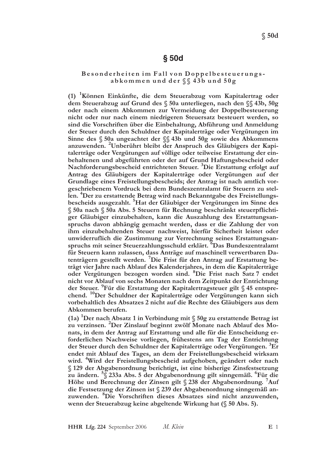## $§$  50d

### Besonderheiten im Fall von Doppelbesteuerungsabkommen und der §§ 43b und 50g

(1) Können Einkünfte, die dem Steuerabzug vom Kapitalertrag oder dem Steuerabzug auf Grund des § 50a unterliegen, nach den §§ 43b, 50g oder nach einem Abkommen zur Vermeidung der Doppelbesteuerung nicht oder nur nach einem niedrigeren Steuersatz besteuert werden, so sind die Vorschriften über die Einbehaltung, Abführung und Anmeldung der Steuer durch den Schuldner der Kapitalerträge oder Vergütungen im Sinne des § 50a ungeachtet der §§ 43b und 50g sowie des Abkommens anzuwenden. <sup>2</sup>Unberührt bleibt der Anspruch des Gläubigers der Kapitalerträge oder Vergütungen auf völlige oder teilweise Erstattung der einbehaltenen und abgeführten oder der auf Grund Haftungsbescheid oder Nachforderungsbescheid entrichteten Steuer. <sup>3</sup>Die Erstattung erfolgt auf Antrag des Gläubigers der Kapitalerträge oder Vergütungen auf der Grundlage eines Freistellungsbescheids; der Antrag ist nach amtlich vorgeschriebenem Vordruck bei dem Bundeszentralamt für Steuern zu stellen. <sup>4</sup>Der zu erstattende Betrag wird nach Bekanntgabe des Freistellungsbescheids ausgezahlt. <sup>5</sup>Hat der Gläubiger der Vergütungen im Sinne des § 50a nach § 50a Abs. 5 Steuern für Rechnung beschränkt steuerpflichtiger Gläubiger einzubehalten, kann die Auszahlung des Erstattungsanspruchs davon abhängig gemacht werden, dass er die Zahlung der von ihm einzubehaltenden Steuer nachweist, hierfür Sicherheit leistet oder unwiderruflich die Zustimmung zur Verrechnung seines Erstattungsanspruchs mit seiner Steuerzahlungsschuld erklärt. <sup>6</sup>Das Bundeszentralamt für Steuern kann zulassen, dass Anträge auf maschinell verwertbaren Datenträgern gestellt werden. <sup>7</sup>Die Frist für den Antrag auf Erstattung beträgt vier Jahre nach Ablauf des Kalenderjahres, in dem die Kapitalerträge oder Vergütungen bezogen worden sind. <sup>8</sup>Die Frist nach Satz 7 endet nicht vor Ablauf von sechs Monaten nach dem Zeitpunkt der Entrichtung der Steuer. <sup>9</sup>Für die Erstattung der Kapitalertragsteuer gilt § 45 entsprechend. <sup>10</sup>Der Schuldner der Kapitalerträge oder Vergütungen kann sich vorbehaltlich des Absatzes 2 nicht auf die Rechte des Gläubigers aus dem Abkommen berufen.

(1a) <sup>1</sup>Der nach Absatz 1 in Verbindung mit  $\S$  50g zu erstattende Betrag ist zu verzinsen. <sup>2</sup>Der Zinslauf beginnt zwölf Monate nach Ablauf des Monats, in dem der Antrag auf Erstattung und alle für die Entscheidung erforderlichen Nachweise vorliegen, frühestens am Tag der Entrichtung der Steuer durch den Schuldner der Kapitalerträge oder Vergütungen. <sup>3</sup>Er endet mit Ablauf des Tages, an dem der Freistellungsbescheid wirksam wird. <sup>4</sup>Wird der Freistellungsbescheid aufgehoben, geändert oder nach § 129 der Abgabenordnung berichtigt, ist eine bisherige Zinsfestsetzung zu ändern. <sup>5</sup>§ 233a Abs. 5 der Abgabenordnung gilt sinngemäß. <sup>°</sup>Für die Höhe und Berechnung der Zinsen gilt § 238 der Abgabenordnung. <sup>7</sup>Auf die Festsetzung der Zinsen ist § 239 der Abgabenordnung sinngemäß anzuwenden. <sup>8</sup>Die Vorschriften dieses Absatzes sind nicht anzuwenden, wenn der Steuerabzug keine abgeltende Wirkung hat (§ 50 Abs. 5).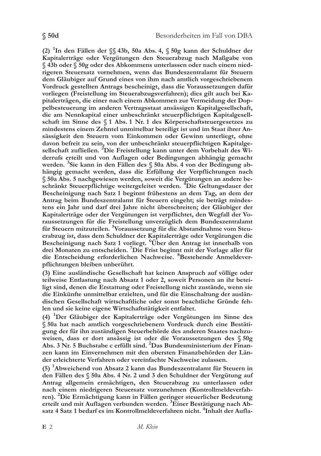(2) <sup>1</sup>In den Fällen der  $\S$  43b, 50a Abs. 4,  $\S$  50g kann der Schuldner der Kapitalerträge oder Vergütungen den Steuerabzug nach Maßgabe von § 43b oder § 50g oder des Abkommens unterlassen oder nach einem niedrigeren Steuersatz vornehmen, wenn das Bundeszentralamt für Steuern dem Gläubiger auf Grund eines von ihm nach amtlich vorgeschriebenem Vordruck gestellten Antrags bescheinigt, dass die Voraussetzungen dafür vorliegen (Freistellung im Steuerabzugsverfahren); dies gilt auch bei Kapitalerträgen, die einer nach einem Abkommen zur Vermeidung der Doppelbesteuerung im anderen Vertragsstaat ansässigen Kapitalgesellschaft, die am Nennkapital einer unbeschränkt steuerpflichtigen Kapitalgesellschaft im Sinne des § 1 Abs. 1 Nr. 1 des Körperschaftsteuergesetzes zu mindestens einem Zehntel unmittelbar beteiligt ist und im Staat ihrer Ansässigkeit den Steuern vom Einkommen oder Gewinn unterliegt, ohne davon befreit zu sein, von der unbeschränkt steuerpflichtigen Kapitalgesellschaft zufließen. <sup>2</sup>Die Freistellung kann unter dem Vorbehalt des Widerrufs erteilt und von Auflagen oder Bedingungen abhängig gemacht werden. <sup>3</sup>Sie kann in den Fällen des § 50a Abs. 4 von der Bedingung abhängig gemacht werden, dass die Erfüllung der Verpflichtungen nach § 50a Abs. 5 nachgewiesen werden, soweit die Vergütungen an andere beschränkt Steuerpflichtige weitergeleitet werden. <sup>4</sup>Die Geltungsdauer der Bescheinigung nach Satz 1 beginnt frühestens an dem Tag, an dem der Antrag beim Bundeszentralamt für Steuern eingeht; sie beträgt mindestens ein Jahr und darf drei Jahre nicht überschreiten; der Gläubiger der Kapitalerträge oder der Vergütungen ist verpflichtet, den Wegfall der Voraussetzungen für die Freistellung unverzüglich dem Bundeszentralamt für Steuern mitzuteilen. <sup>5</sup>Voraussetzung für die Abstandnahme vom Steuerabzug ist, dass dem Schuldner der Kapitalerträge oder Vergütungen die Bescheinigung nach Satz 1 vorliegt. <sup>6</sup>Über den Antrag ist innerhalb von drei Monaten zu entscheiden. <sup>7</sup>Die Frist beginnt mit der Vorlage aller für die Entscheidung erforderlichen Nachweise. <sup>8</sup>Bestehende Anmeldever-

(3) Eine ausländische Gesellschaft hat keinen Anspruch auf völlige oder teilweise Entlastung nach Absatz 1 oder 2, soweit Personen an ihr beteiligt sind, denen die Erstattung oder Freistellung nicht zustände, wenn sie die Einkünfte unmittelbar erzielten, und für die Einschaltung der ausländischen Gesellschaft wirtschaftliche oder sonst beachtliche Gründe fehlen und sie keine eigene Wirtschaftstätigkeit entfaltet.

pflichtungen bleiben unberührt.

 $(4)$  <sup>1</sup>Der Gläubiger der Kapitalerträge oder Vergütungen im Sinne des § 50a hat nach amtlich vorgeschriebenem Vordruck durch eine Bestätigung der für ihn zuständigen Steuerbehörde des anderen Staates nachzuweisen, dass er dort ansässig ist oder die Voraussetzungen des § 50g Abs. 3 Nr. 5 Buchstabe c erfüllt sind. <sup>2</sup>Das Bundesministerium der Finanzen kann im Einvernehmen mit den obersten Finanzbehörden der Länder erleichterte Verfahren oder vereinfachte Nachweise zulassen.

(5) <sup>1</sup>Abweichend von Absatz 2 kann das Bundeszentralamt für Steuern in den Fällen des § 50a Abs. 4 Nr. 2 und 3 den Schuldner der Vergütung auf Antrag allgemein ermächtigen, den Steuerabzug zu unterlassen oder nach einem niedrigeren Steuersatz vorzunehmen (Kontrollmeldeverfahren). <sup>2</sup>Die Ermächtigung kann in Fällen geringer steuerlicher Bedeutung erteilt und mit Auflagen verbunden werden. 3Einer Bestätigung nach Absatz 4 Satz 1 bedarf es im Kontrollmeldeverfahren nicht. <sup>4</sup>Inhalt der Aufla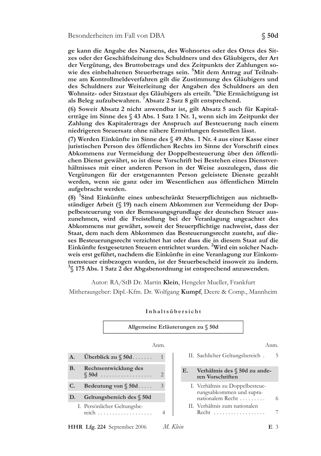ge kann die Angabe des Namens, des Wohnortes oder des Ortes des Sitzes oder der Geschäftsleitung des Schuldners und des Gläubigers, der Art der Vergütung, des Bruttobetrags und des Zeitpunkts der Zahlungen sowie des einbehaltenen Steuerbetrags sein. 5Mit dem Antrag auf Teilnahme am Kontrollmeldeverfahren gilt die Zustimmung des Gläubigers und des Schuldners zur Weiterleitung der Angaben des Schuldners an den Wohnsitz- oder Sitzstaat des Gläubigers als erteilt. <sup>6</sup>Die Ermächtigung ist als Beleg aufzubewahren. <sup>7</sup>Absatz 2 Satz 8 gilt entsprechend.

(6) Soweit Absatz 2 nicht anwendbar ist, gilt Absatz 5 auch für Kapitalerträge im Sinne des  $\S$  43 Abs. 1 Satz 1 Nr. 1, wenn sich im Zeitpunkt der Zahlung des Kapitalertrags der Anspruch auf Besteuerung nach einem niedrigeren Steuersatz ohne nähere Ermittlungen feststellen lässt.

(7) Werden Einkünfte im Sinne des § 49 Abs. 1 Nr. 4 aus einer Kasse einer juristischen Person des öffentlichen Rechts im Sinne der Vorschrift eines Abkommens zur Vermeidung der Doppelbesteuerung über den öffentlichen Dienst gewährt, so ist diese Vorschrift bei Bestehen eines Dienstverhältnisses mit einer anderen Person in der Weise auszulegen, dass die Vergütungen für der erstgenannten Person geleistete Dienste gezahlt werden, wenn sie ganz oder im Wesentlichen aus öffentlichen Mitteln aufgebracht werden.

(8) <sup>1</sup>Sind Einkünfte eines unbeschränkt Steuerpflichtigen aus nichtselbständiger Arbeit (§ 19) nach einem Abkommen zur Vermeidung der Doppelbesteuerung von der Bemessungsgrundlage der deutschen Steuer auszunehmen, wird die Freistellung bei der Veranlagung ungeachtet des Abkommens nur gewährt, soweit der Steuerpflichtige nachweist, dass der Staat, dem nach dem Abkommen das Besteuerungsrecht zusteht, auf dieses Besteuerungsrecht verzichtet hat oder dass die in diesem Staat auf die Einkünfte festgesetzten Steuern entrichtet wurden. <sup>2</sup>Wird ein solcher Nachweis erst geführt, nachdem die Einkünfte in eine Veranlagung zur Einkommensteuer einbezogen wurden, ist der Steuerbescheid insoweit zu ändern.  $\frac{3}{3}$  175 Abs. 1 Satz 2 der Abgabenordnung ist entsprechend anzuwenden.

Autor: RA/StB Dr. Martin Klein, Hengeler Mueller, Frankfurt

Mitherausgeber: Dipl.-Kfm. Dr. Wolfgang Kumpf, Deere & Comp., Mannheim

|           |                                    | Allgemeine Erläuterungen zu § 50d |          |                                                                                 |      |   |  |
|-----------|------------------------------------|-----------------------------------|----------|---------------------------------------------------------------------------------|------|---|--|
|           |                                    | Anm.                              |          |                                                                                 | Anm. |   |  |
| A.        | Uberblick zu $\S$ 50d              |                                   |          | II. Sachlicher Geltungsbereich.                                                 |      | 5 |  |
| <b>B.</b> | Rechtsentwicklung des<br>$\S$ 50d  | $\overline{2}$                    | E.       | Verhältnis des § 50d zu ande-<br>ren Vorschriften                               |      |   |  |
| C.        | Bedeutung von $\S$ 50d             | 3                                 |          | I. Verhältnis zu Doppelbesteue-<br>rungsabkommen und supra-<br>nationalem Recht |      |   |  |
| D.        | Geltungsbereich des § 50d          |                                   |          |                                                                                 |      | 6 |  |
|           | I. Persönlicher Geltungsbe-        | 4                                 |          | II. Verhältnis zum nationalen<br>Recht                                          |      | 7 |  |
|           | <b>HHR Lfg. 224</b> September 2006 |                                   | M. Klein |                                                                                 | Е3   |   |  |

### Inhaltsübersicht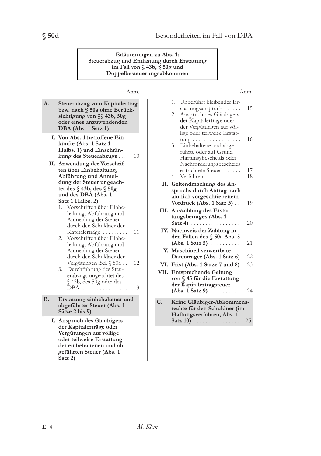Erläuterungen zu Abs. 1: Steuerabzug und Entlastung durch Erstattung im Fall von § 43b, § 50g und Doppelbesteuerungsabkommen

### Anm.

#### 1. Unberührt bleibender Er-Steuerabzug vom Kapitalertrag stattungsanspruch . . . . . . bzw. nach § 50a ohne Berück-2. Anspruch des Gläubigers sichtigung von §§ 43b, 50g der Kapitalerträge oder oder eines anzuwendenden der Vergütungen auf völ-DBA (Abs. 1 Satz 1) lige oder teilweise Erstat-I. Von Abs. 1 betroffene Eintung . . . . . . . . . . . . . . . . . künfte (Abs. 1 Satz 1 3. Einbehaltene und abge-Halbs. 1) und Einschränführte oder auf Grund kung des Steuerabzugs... 10 Haftungsbescheids oder II. Anwendung der Vorschrif-Nachforderungsbescheids ten über Einbehaltung, entrichtete Steuer ...... Abführung und Anmel- $4.$ Verfahren............ dung der Steuer ungeach-II. Geltendmachung des Antet des  $\S$  43b, des  $\S$  50g spruchs durch Antrag nach und des DBA (Abs. 1 amtlich vorgeschriebenem Satz 1 Halbs. 2) Vordruck (Abs. 1 Satz 3).. 1. Vorschriften über Einbe-III. Auszahlung des Erstathaltung, Abführung und tungsbetrages (Abs. 1 Anmeldung der Steuer Satz 4)  $\ldots \ldots \ldots \ldots \ldots$ durch den Schuldner der IV. Nachweis der Zahlung in Kapitalerträge ......... 11 den Fällen des § 50a Abs. 5 2. Vorschriften über Einbe- $(Abs. 1 Satz 5) \ldots \ldots$ haltung, Abführung und Anmeldung der Steuer V. Maschinell verwertbare durch den Schuldner der Datenträger (Abs. 1 Satz 6) Vergütungen iSd. § 50a .. 12 VI. Frist (Abs. 1 Sätze 7 und 8) 3. Durchführung des Steu-VII. Entsprechende Geltung erabzugs ungeachtet des von § 45 für die Erstattung § 43b, des 50g oder des der Kapitalertragsteuer DBA ................ 13  $(Abs. 1 Satz 9) \ldots \ldots$ Erstattung einbehaltener und  $C_{\cdot}$ Keine Gläubiger-Abkommensabgeführter Steuer (Abs. 1 rechte für den Schuldner (im Sätze 2 bis 9) Haftungsverfahren, Abs. 1 I. Anspruch des Gläubigers Satz  $10)$  ............... der Kapitalerträge oder Vergütungen auf völlige

### Anm.

1.5

16

18

19

20

21

22

23

24

25

A.

**B.** 

 $E$  4

Satz 2)

oder teilweise Erstattung der einbehaltenen und abgeführten Steuer (Abs. 1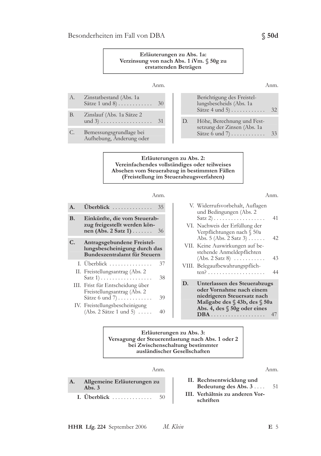

Erläuterungen zu Abs. 3: Versagung der Steuerentlastung nach Abs. 1 oder 2 bei Zwischenschaltung bestimmter ausländischer Gesellschaften

### Anm.

A. Allgemeine Erläuterungen zu Abs.  $3$ I. Überblick ............. 50

### Anm.

- II. Rechtsentwicklung und Bedeutung des Abs. 3.... 51
- III. Verhältnis zu anderen Vorschriften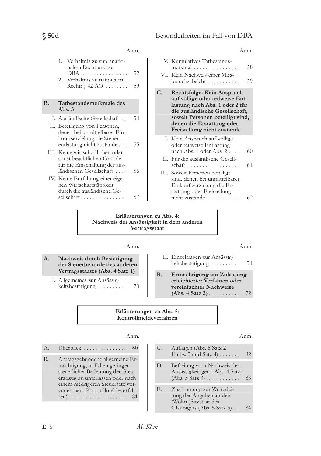|    |                                                                                                               | Anm.     |    | Anm.                                                                                                                              |          |
|----|---------------------------------------------------------------------------------------------------------------|----------|----|-----------------------------------------------------------------------------------------------------------------------------------|----------|
|    | 1. Verhältnis zu supranatio-<br>nalem Recht und zu<br>DBA<br>2. Verhältnis zu nationalem<br>Recht: $\S$ 42 AO | 52<br>53 |    | V. Kumulatives Tatbestands-<br>merkmal<br>VI. Kein Nachweis einer Miss-<br>brauchsabsicht                                         | 58<br>59 |
| B. | Tatbestandsmerkmale des<br>Abs. $3$                                                                           |          | C. | Rechtsfolge: Kein Anspruch<br>auf völlige oder teilweise Ent-<br>lastung nach Abs. 1 oder 2 für<br>die ausländische Gesellschaft, |          |
|    | I. Ausländische Gesellschaft<br>II. Beteiligung von Personen,<br>denen bei unmittelbarer Ein-                 | 54       |    | soweit Personen beteiligt sind,<br>denen die Erstattung oder<br>Freistellung nicht zustände                                       |          |
|    | kunftserzielung die Steuer-<br>entlastung nicht zustände<br>III. Keine wirtschaftlichen oder                  | 55       |    | I. Kein Anspruch auf völlige<br>oder teilweise Entlastung<br>nach Abs. 1 oder Abs. 2                                              | 60       |
|    | sonst beachtlichen Gründe<br>für die Einschaltung der aus-<br>ländischen Gesellschaft                         | 56       |    | II. Für die ausländische Gesell-<br>schaft<br>III. Soweit Personen beteiligt                                                      | 61       |
|    | IV. Keine Entfaltung einer eige-<br>nen Wirtschaftstätigkeit<br>durch die ausländische Ge-<br>sellschaft      | 57       |    | sind, denen bei unmittelbarer<br>Einkunftserzielung die Er-<br>stattung oder Freistellung<br>nicht zustände                       | 62       |

Erläuterungen zu Abs. 4: Nachweis der Ansässigkeit in dem anderen Vertragsstaat

### Anm.

- A. Nachweis durch Bestätigung der Steuerbehörde des anderen Vertragsstaates (Abs. 4 Satz 1)
	- I. Allgemeines zur Ansässigkeitsbestätigung ......... 70

Anm.

- II. Einzelfragen zur Ansässigkeitsbestätigung ......... 71
- $B.$ Ermächtigung zur Zulassung erleichterter Verfahren oder vereinfachter Nachweise  $(Abs. 4 Satz 2) \ldots \ldots$ 72

### Erläuterungen zu Abs. 5: Kontrollmeldeverfahren

### Anm.

 $A$ . Überblick ................ 80

**B.** Antragsgebundene allgemeine Ermächtigung, in Fällen geringer steuerlicher Bedeutung den Steuerabzug zu unterlassen oder nach einem niedrigeren Steuersatz vorzunehmen (Kontrollmeldeverfahren)  $\ldots \ldots \ldots \ldots \ldots \ldots$  81

### Anm.

C. Auflagen (Abs. 5 Satz 2 Halbs. 2 und Satz  $4)$ ...... 82 D. Befreiung vom Nachweis der Ansässigkeit gem. Abs. 4 Satz 1  $(Abs. 5 \overline{S}atz \overline{3}) \dots \dots \dots \dots \ 83$ Ε. Zustimmung zur Weiterleitung der Angaben an den (Wohn-)Sitzstaat des Gläubigers (Abs. 5 Satz 5) . . 84

### $E<sub>6</sub>$

 $$50d$ 

 $\overline{1}$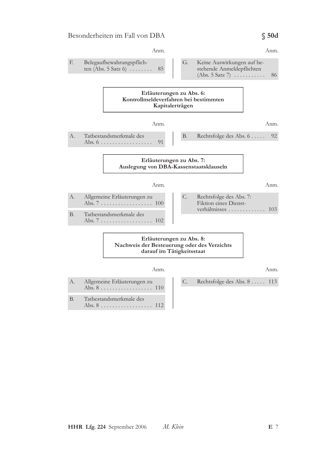### Anm. Anm. Belegaufbewahrungspflich- $E$  $G<sub>r</sub>$ Keine Auswirkungen auf beten (Abs. 5 Satz 6)  $\dots$ ... 85 stehende Anmeldepflichten  $(Abs. 5 Satz 7) \ldots \ldots$ 86 Erläuterungen zu Abs. 6: Kontrollmeldeverfahren bei bestimmten Kapitalerträgen Anm. Anm.  $A$ . Tatbestandsmerkmale des  $B.$ Rechtsfolge des Abs. 6 . . . . . 92 91 Erläuterungen zu Abs. 7: Auslegung von DBA-Kassenstaatsklauseln Anm. Anm.  $A$ . Allgemeine Erläuterungen zu C. Rechtsfolge des Abs. 7: Fiktion eines Dienst-verhältnisses ............. 103 Tatbestandsmerkmale des **B.** Erläuterungen zu Abs. 8: Nachweis der Besteuerung oder des Verzichts darauf im Tätigkeitsstaat Anm. Anm.  $A$ . Allgemeine Erläuterungen zu  $C_{\cdot}$ Rechtsfolge des Abs. 8 ..... 113 Tatbestandsmerkmale des **B.**

 $$50d$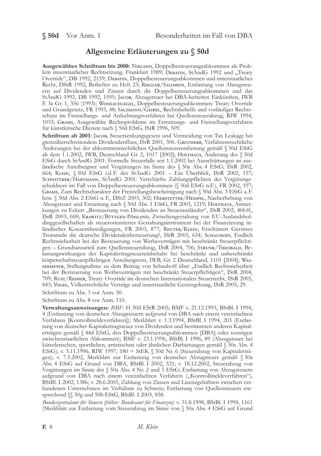## Allgemeine Erläuterungen zu § 50d

Ausgewähltes Schrifttum bis 2000: NIELAND, Doppelbesteuerungsabkommen als Problem innerstaatlicher Rechtsetzung, Frankfurt 1989; DEBATIN, StÄndG 1992 und "Treaty Override", DB 1992, 2159; DEBATIN, Doppelbesteuerungsabkommen und innerstaatliches Recht, DStR 1992, Beihefter zu Heft 23; RIEGLER/SALOMON, Entlastung von Abzugsteuern auf Dividenden und Zinsen durch die Doppelbesteuerungsabkommen und das StÄndG 1992, DB 1992, 1595; JACOB, Abzugsteuer bei DBA-befreiten Einkünften, IWB F. 3a Gr. 1, 356 (1993); WOHLSCHLEGEL, Doppelbesteuerungsabkommen: Treaty Override und Grundgesetz, FR 1993, 48; SALZMANN/GEIBEL, Rechtsbehelfe und vorläufiger Rechtsschutz im Freistellungs- und Anfechtungsverfahren bei Quellensteuerabzug, RIW 1994, 1033; GRAMS, Ausgewählte Rechtsprobleme im Erstattungs- und Freistellungsverfahren für künstlerische Dienste nach § 50d EStG, IStR 1996, 509.

Schrifttum ab 2001: JACOB, Steuersenkungsgesetz und Vermeidung von Tax Leakage bei grenzüberschreitendem Dividendenfluss, IStR 2001, 306. GROTHERR, Verfahrensrechtliche Änderungen bei der abkommensrechtlichen Quellensteuerentlastung gemäß § 50d EStG ab dem 1.1.2002, IWB, Deutschland Gr. 2, 1017 [2002]; HOLTHAUS, Anderung des § 50d EStG durch StÄndG 2001: Formelle Steuerfalle seit 1.1.2002 bei Ausschüttungen an ausländische Anteilseigner und Vergütungen im Sinne des § 50a Abs. 4 EStG; IStR 2002, 664; KLEIN, § 50d EStG i.d. F. des StAndG 2001 – Ein Überblick, IStR 2002, 157; SCHNITTKER/HARTMANN, StÄndG 2001: Verschärfte Zahlungspflichten des Vergütungsschuldners im Fall von Doppelbesteuerungsabkommen (§ 50d EStG n.F.), FR 2002, 197; GRAMS, Zum Rechtscharakter der Freistellungsbescheinigung nach § 50d Abs. 3 EStG a. F. bzw. § 50d Abs. 2 EStG n. F., DStZ 2003, 302; HIERSTETTER/HEMPEL, Nacherhebung von Abzugsteuer und Erstattung nach § 50d Abs. 1 EStG, FR 2003, 1219; HOLTHAUS, Anmerkungen zu Eckert "Besteuerung von Dividenden an Steuerausländer", IStR 2002, 406 ff., IStR 2003, 600; KRAWITZ/BÜTTGEN-PÖHLAND, Zwischengestaltung von EU-Auslandsholdinggesellschaften als steuerorientiertes Gestaltungsinstrument bei der Finanzierung inländischer Konzernbeteiligungen, FR 2003, 877; REUTER/KLEIN, Erschüttert Gerritses Trommeln die deutsche Dividendenbesteuerung?, IStR 2003, 634; SCHAUHOFF, Endlich Rechtssicherheit bei der Besteuerung von Werbeverträgen mit beschränkt Steuerpflichtigen – Grundsatzurteil zum Quellensteuerabzug, IStR 2004, 706; STRUNK/THEOBALD, Belastungswirkungen des Kapitalertragsteuereinbehalts bei beschränkt und unbeschränkt körperschaftsteuerpflichtigen Anteilseignern, IWB, Gr. 2 Deutschland, 1101 [2004]; WAssermeyer, Stellungnahme zu dem Beitrag von Schauhoff über "Endlich Rechtssicherheit bei der Besteuerung von Werbeverträgen mit beschränkt Steuerpflichtigen", IStR 2004, 709; RUST/REIMER, Treaty Override im deutschen Internationalen Steuerrecht, IStR 2005, 843; VOGEL, Völkerrechtliche Verträge und innerstaatliche Gesetzgebung, IStR 2005, 29.

Schrifttum zu Abs. 3 vor Anm. 50.

Schrifttum zu Abs. 8 vor Anm. 110.

Verwaltungsanweisungen: BMF: H 50d EStR 2005; BMF v. 21.12.1993, BStBl. I 1994, 4 (Entlastung von deutschen Abzugsteuern aufgrund von DBA nach einem vereinfachten Verfahren [Kontrollmeldeverfahren]); Merkblatt v. 1.3.1994, BStBl. I 1994, 203 (Entlastung von deutscher Kapitalertragsteuer von Dividenden und bestimmten anderen Kapitalerträgen gemäß § 44d EStG, den Doppelbesteuerungsabkommen [DBA] oder sonstigen zwischenstaatlichen Abkommen); BMF v. 23.1.1996, BStBl. I 1996, 89 (Abzugsteuer bei künstlerischen, sportlichen, artistischen oder ähnlichen Darbietungen gemäß § 50a Abs. 4 EStG); v. 5.11.1996, RIW 1997, 180 = StEK § 50d Nr. 6 (Steuerabzug von Kapitalerträgen); v. 7.5.2002, Merkblatt zur Entlastung von deutscher Abzugsteuer gemäß § 50a Abs. 4 EStG auf Grund von DBA, BStBl. I 2002, 521; v. 18.12.2002, Steuerabzug von Vergütungen im Sinne des § 50a Abs. 4 Nr. 2 und 3 EStG; Entlastung von Abzugsteuern aufgrund von DBA nach einem vereinfachten Verfahren ("Kontrollmeldeverfahren"), BStBl. I 2002, 1386; v. 28.6.2005, Zahlung von Zinsen und Lizenzgebühren zwischen verbundenen Unternehmen im Verhältnis zu Schweiz; Entlastung von Quellensteuern entsprechend SS 50g und 50h EStG, BStBl. I 2005, 858.

Bundeszentralamt für Steuern (früher: Bundesamt für Finanzen): v. 31.8.1998, BStBl. I 1998, 1161 (Merkblatt zur Entlastung vom Steuerabzug im Sinne von § 50a Abs. 4 EStG auf Grund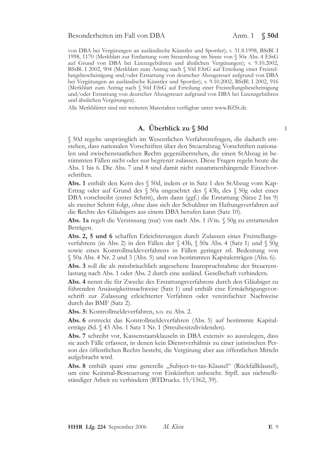von DBA bei Vergütungen an ausländische Künstler und Sportler); v. 31.8.1998, BStBl. I 1998, 1170 (Merkblatt zur Entlastung vom Steuerabzug im Sinne von § 50a Abs. 4 EStG auf Grund von DBA bei Lizenzgebühren und ähnlichen Vergütungen); v. 9.10.2002, BStBl. I 2002, 904 (Merkblatt zum Antrag nach § 50d EStG auf Erteilung einer Freistellungsbescheinigung und/oder Erstattung von deutscher Abzugsteuer aufgrund von DBA bei Vergütungen an ausländische Künstler und Sportler); v. 9.10.2002, BStBl. I 2002, 916 (Merkblatt zum Antrag nach § 50d EStG auf Erteilung einer Freistellungsbescheinigung und/oder Erstattung von deutscher Abzugsteuer aufgrund von DBA bei Lizenzgebühren und ähnlichen Vergütungen).

Alle Merkblätter sind mit weiteren Materialien verfügbar unter www.BZSt.de.

## A. Überblick zu § 50d

§ 50d regelte ursprünglich im Wesentlichen Verfahrensfragen, die dadurch entstehen, dass nationalen Vorschriften über den Steuerabzug Vorschriften nationalen und zwischenstaatlichen Rechts gegenüberstehen, die einen StAbzug in bestimmten Fällen nicht oder nur begrenzt zulassen. Diese Fragen regeln heute die Abs. 1 bis 6. Die Abs. 7 und 8 sind damit nicht zusammenhängende Einzelvorschriften.

Abs. 1 enthält den Kern des § 50d, indem er in Satz 1 den StAbzug vom Kap-Ertrag oder auf Grund des § 50a ungeachtet des § 43b, des § 50g oder eines DBA vorschreibt (erster Schritt), dem dann (ggf.) die Erstattung (Sätze 2 bis 9) als zweiter Schritt folgt, ohne dass sich der Schuldner im Haftungsverfahren auf die Rechte des Gläubigers aus einem DBA berufen kann (Satz 10).

Abs. 1a regelt die Verzinsung (nur) von nach Abs. 1 iVm. § 50g zu erstattenden Beträgen.

Abs. 2, 5 und 6 schaffen Erleichterungen durch Zulassen eines Freistellungsverfahrens (in Abs. 2) in den Fällen der § 43b, § 50a Abs. 4 (Satz 1) und § 50g sowie eines Kontrollmeldeverfahrens in Fällen geringer stl. Bedeutung von § 50a Abs. 4 Nr. 2 und 3 (Abs. 5) und von bestimmten Kapitalerträgen (Abs. 6).

Abs. 3 soll die als missbräuchlich angesehene Inanspruchnahme der Steuerentlastung nach Abs. 1 oder Abs. 2 durch eine ausländ. Gesellschaft verhindern.

Abs. 4 nennt die für Zwecke des Erstattungsverfahrens durch den Gläubiger zu führenden Ansässigkeitsnachweise (Satz 1) und enthält eine Ermächtigungsvorschrift zur Zulassung erleichterter Verfahren oder vereinfachter Nachweise durch das BMF (Satz 2).

Abs. 5: Kontrollmeldeverfahren, s.o. zu Abs. 2.

Abs. 6 erstreckt das Kontrollmeldeverfahren (Abs. 5) auf bestimmte Kapitalerträge iSd. § 43 Abs. 1 Satz 1 Nr. 1 (Streubesitzdividenden).

Abs. 7 schreibt vor, Kassenstaatsklauseln in DBA extensiv so auszulegen, dass sie auch Fälle erfassen, in denen kein Dienstverhältnis zu einer juristischen Person des öffentlichen Rechts besteht, die Vergütung aber aus öffentlichen Mitteln aufgebracht wird.

Abs. 8 enthält quasi eine generelle "Subject-to-tax-Klausel" (Rückfallklausel), um eine Keinmal-Besteuerung von Einkünften unbeschr. Stpfl. aus nichtselbständiger Arbeit zu verhindern (BTDrucks. 15/1562, 39).

 $\mathbf{1}$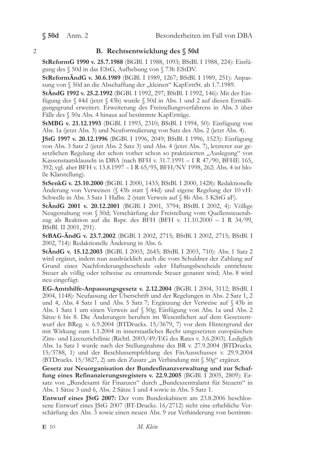## **B.** Rechtsentwicklung des § 50d

StReformG 1990 v. 25.7.1988 (BGBl. I 1988, 1093; BStBl. I 1988, 224): Einfügung des § 50d in das EStG, Aufhebung von § 73h EStDV.

StReformÄndG v. 30.6.1989 (BGBl. I 1989, 1267; BStBl. I 1989, 251): Anpassung von § 50d an die Abschaffung der "kleinen" KapErtrSt. ab 1.7.1989.

StÄndG 1992 v. 25.2.1992 (BGBl. I 1992, 297; BStBl. I 1992, 146): Mit der Einfügung des § 44d (jetzt § 43b) wurde § 50d in Abs. 1 und 2 auf diesen Ermäßigungsgrund erweitert. Erweiterung des Freistellungsverfahrens in Abs. 3 über Fälle des § 50a Abs. 4 hinaus auf bestimmte KapErträge.

**StMBG** v. 21.12.1993 (BGBl. I 1993, 2310; BStBl. I 1994, 50): Einfügung von Abs. 1a (jetzt Abs. 3) und Neuformulierung von Satz des Abs. 2 (jetzt Abs. 4).

JStG 1997 v. 20.12.1996 (BGBl. I 1996, 2049; BStBl. I 1996, 1523): Einfügung von Abs. 3 Satz 2 (jetzt Abs. 2 Satz 3) und Abs. 4 (jetzt Abs. 7), letzterer zur gesetzlichen Regelung der schon vorher schon so praktizierten "Auslegung" von Kassenstaatsklauseln in DBA (nach BFH v. 31.7.1991 - I R 47/90, BFHE 165, 392; vgl. aber BFH v. 13.8.1997 - I R 65/95, BFH/NV 1998, 262: Abs. 4 ist bloße Klarstellung).

StSenkG v. 23.10.2000 (BGBl. I 2000, 1433; BStBl. I 2000, 1428): Redaktionelle Änderung von Verweisen (§ 43b statt § 44d) und eigene Regelung der 10 vH-Schwelle in Abs. 3 Satz 1 Halbs. 2 (statt Verweis auf § 8b Abs. 5 KStG aF).

StÄndG 2001 v. 20.12.2001 (BGBl. I 2001, 3794; BStBl. I 2002, 4): Völlige Neugestaltung von § 50d; Verschärfung der Freistellung vom Quellensteuerabzug als Reaktion auf die Rspr. des BFH (BFH v. 11.10.2000 - I R  $34/99$ , BStBl. II 2001, 291).

StBAG-AndG v. 23.7.2002 (BGBl, I 2002, 2715; BStBl, I 2002, 2715; BStBl, I 2002, 714): Redaktionelle Änderung in Abs. 6.

**StÅndG** v. 15.12.2003 (BGBL I 2003, 2645; BStBL I 2003, 710): Abs. 1 Satz 2 wird ergänzt, indem nun ausdrücklich auch die vom Schuldner der Zahlung auf Grund eines Nachforderungsbescheids oder Haftungsbescheids entrichtete Steuer als völlig oder teilweise zu erstattende Steuer genannt wird; Abs. 8 wird neu eingefügt.

EG-Amtshilfe-Anpassungsgesetz v. 2.12.2004 (BGBl. I 2004, 3112; BStBl. I 2004, 1148): Neufassung der Überschrift und der Regelungen in Abs. 2 Satz 1, 2 und 4, Abs. 4 Satz 1 und Abs. 5 Satz 7; Ergänzung der Verweise auf § 43b in Abs. 1 Satz 1 um einen Verweis auf § 50g; Einfügung von Abs. 1a und Abs. 2 Sätze 6 bis 8. Die Änderungen beruhen im Wesentlichen auf dem Gesetzentwurf der BReg. v. 6.9.2004 (BTDrucks. 15/3679, 7) vor dem Hintergrund der mit Wirkung zum 1.1.2004 in innerstaatliches Recht umgesetzten europäischen Zins- und Lizenzrichtlinie (Richtl. 2003/49/EG des Rates v. 3.6.2003). Lediglich Abs. 1a Satz 1 wurde nach der Stellungnahme des BR v. 27.9.2004 (BTDrucks. 15/3788, 1) und der Beschlussempfehlung des FinAusschusses v. 29.9.2004 (BTDrucks. 15/3827, 2) um den Zusatz "in Verbindung mit § 50g" ergänzt.

Gesetz zur Neuorganisation der Bundesfinanzverwaltung und zur Schaffung eines Refinanzierungsregisters v. 22.9.2005 (BGBl. I 2005, 2809): Ersatz von "Bundesamt für Finanzen" durch "Bundeszentralamt für Steuern" in Abs. 1 Sätze 3 und 6, Abs. 2 Sätze 1 und 4 sowie in Abs. 5 Satz 1.

Entwurf eines JStG 2007: Der vom Bundeskabinett am 23.8.2006 beschlossene Entwurf eines JStG 2007 (BT-Drucks. 16/2712) sieht eine erhebliche Verschärfung des Abs. 3 sowie einen neuen Abs. 9 zur Verhinderung von bestimm-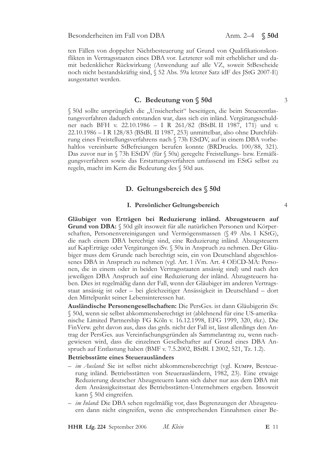ten Fällen von doppelter Nichtbesteuerung auf Grund von Qualifikationskonflikten in Vertragsstaaten eines DBA vor. Letzterer soll mit erheblicher und damit bedenklicher Rückwirkung (Anwendung auf alle VZ, soweit StBescheide noch nicht bestandskräftig sind, § 52 Abs. 59a letzter Satz idF des JStG 2007-E) ausgestattet werden.

### C. Bedeutung von § 50d

§ 50d sollte ursprünglich die "Unsicherheit" beseitigen, die beim Steuerentlastungsverfahren dadurch entstanden war, dass sich ein inländ. Vergütungsschuldner nach BFH v. 22.10.1986 - I R 261/82 (BStBl. II 1987, 171) und v. 22.10.1986 - I R 128/83 (BStBl. II 1987, 253) unmittelbar, also ohne Durchführung eines Freistellungsverfahrens nach § 73h EStDV, auf in einem DBA vorbehaltlos vereinbarte StBefreiungen berufen konnte (BRDrucks. 100/88, 321). Das zuvor nur in § 73h EStDV (für § 50a) geregelte Freistellungs- bzw. Ermäßigungsverfahren sowie das Erstattungsverfahren umfassend im EStG selbst zu regeln, macht im Kern die Bedeutung des § 50d aus.

## D. Geltungsbereich des § 50d

### I. Persönlicher Geltungsbereich

 $\overline{4}$ 

 $\overline{\mathcal{E}}$ 

Gläubiger von Erträgen bei Reduzierung inländ. Abzugsteuern auf Grund von DBA: § 50d gilt insoweit für alle natürlichen Personen und Körperschaften, Personenvereinigungen und Vermögensmassen (§ 49 Abs. 1 KStG), die nach einem DBA berechtigt sind, eine Reduzierung inländ. Abzugsteuern auf KapErträge oder Vergütungen iSv. § 50a in Anspruch zu nehmen. Der Gläubiger muss dem Grunde nach berechtigt sein, ein von Deutschland abgeschlossenes DBA in Anspruch zu nehmen (vgl. Art. 1 iVm. Art. 4 OECD-MA: Personen, die in einem oder in beiden Vertragsstaaten ansässig sind) und nach den jeweiligen DBA Anspruch auf eine Reduzierung der inländ. Abzugsteuern haben. Dies ist regelmäßig dann der Fall, wenn der Gläubiger im anderen Vertragsstaat ansässig ist oder – bei gleichzeitiger Ansässigkeit in Deutschland – dort den Mittelpunkt seiner Lebensinteressen hat.

Ausländische Personengesellschaften: Die PersGes. ist dann Gläubigerin iSv. § 50d, wenn sie selbst abkommensberechtigt ist (ablehnend für eine US-amerikanische Limited Partnership FG Köln v. 16.12.1998, EFG 1999, 320, rkr.). Die FinVerw. geht davon aus, dass das grds. nicht der Fall ist, lässt allerdings den Antrag der PersGes. aus Vereinfachungsgründen als Sammelantrag zu, wenn nachgewiesen wird, dass die einzelnen Gesellschafter auf Grund eines DBA Anspruch auf Entlastung haben (BMF v. 7.5.2002, BStBl. I 2002, 521, Tz. 1.2).

### Betriebsstätte eines Steuerausländers

- im Ausland: Sie ist selbst nicht abkommensberechtigt (vgl. KUMPF, Besteuerung inländ. Betriebsstätten von Steuerausländern, 1982, 23). Eine etwaige Reduzierung deutscher Abzugsteuern kann sich daher nur aus dem DBA mit dem Ansässigkeitsstaat des Betriebsstätten-Unternehmers ergeben. Insoweit kann § 50d eingreifen.
- im Inland: Die DBA sehen regelmäßig vor, dass Begrenzungen der Abzugsteuern dann nicht eingreifen, wenn die entsprechenden Einnahmen einer Be-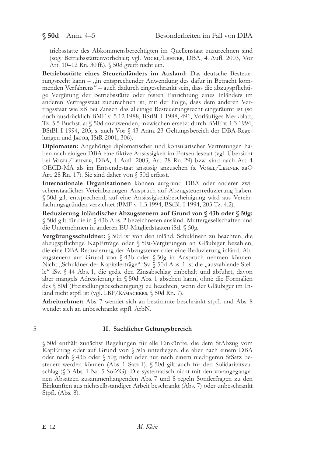triebsstätte des Abkommensberechtigten im Quellenstaat zuzurechnen sind (sog. Betriebsstättenvorbehalt; vgl. VoGEL/LEHNER, DBA, 4. Aufl. 2003, Vor Art. 10–12 Rn. 30 ff.). § 50d greift nicht ein.

Betriebsstätte eines Steuerinländers im Ausland: Das deutsche Besteuerungsrecht kann - "in entsprechender Anwendung des dafür in Betracht kommenden Verfahrens" – auch dadurch eingeschränkt sein, dass die abzugspflichtige Vergütung der Betriebsstätte oder festen Einrichtung eines Inländers im anderen Vertragsstaat zuzurechnen ist, mit der Folge, dass dem anderen Vertragsstaat wie zB bei Zinsen das alleinige Besteuerungsrecht eingeräumt ist (so noch ausdrücklich BMF v. 5.12.1988, BStBl. I 1988, 491, Vorläufiges Merkblatt, Tz. 5.5 Buchst. a: § 50d anzuwenden, inzwischen ersetzt durch BMF v. 1.3.1994, BStBl. I 1994, 203; s. auch Vor § 43 Anm. 23 Geltungsbereich der DBA-Regelungen und Jacoв, IStR 2001, 306).

Diplomaten: Angehörige diplomatischer und konsularischer Vertretungen haben nach einigen DBA eine fiktive Ansässigkeit im Entsendestaat (vgl. Übersicht bei VOGEL/LEHNER, DBA, 4. Aufl. 2003, Art. 28 Rn. 29) bzw. sind nach Art. 4 OECD-MA als im Entsendestaat ansässig anzusehen (s. VOGEL/LEHNER aaO Art. 28 Rn. 17). Sie sind daher von § 50d erfasst.

Internationale Organisationen können aufgrund DBA oder anderer zwischenstaatlicher Vereinbarungen Anspruch auf Abzugsteuerreduzierung haben. § 50d gilt entsprechend; auf eine Ansässigkeitsbescheinigung wird aus Vereinfachungsgründen verzichtet (BMF v. 1.3.1994, BStBl. I 1994, 203 Tz. 4.2).

Reduzierung inländischer Abzugsteuern auf Grund von § 43b oder § 50g: § 50d gilt für die in § 43b Abs. 2 bezeichneten ausländ. Muttergesellschaften und die Unternehmen in anderen EU-Mitgliedstaaten iSd. § 50g.

Vergütungsschuldner: § 50d ist von den inländ. Schuldnern zu beachten, die abzugspflichtige KapErträge oder § 50a-Vergütungen an Gläubiger bezahlen, die eine DBA-Reduzierung der Abzugsteuer oder eine Reduzierung inländ. Abzugsteuern auf Grund von § 43b oder § 50g in Anspruch nehmen können. Nicht "Schuldner der Kapitalerträge" iSv. § 50d Abs. 1 ist die "auszahlende Stelle" iSv. § 44 Abs. 1, die grds. den Zinsabschlag einbehält und abführt, davon aber mangels Adressierung in § 50d Abs. 1 absehen kann, ohne die Formalien des § 50d (Freistellungsbescheinigung) zu beachten, wenn der Gläubiger im Inland nicht stpfl ist (vgl. LBP/RAMACKERS, § 50d Rn. 7).

Arbeitnehmer: Abs. 7 wendet sich an bestimmte beschränkt stpfl. und Abs. 8 wendet sich an unbeschränkt stpfl. ArbN.

### $\mathbf 5$

### II. Sachlicher Geltungsbereich

§ 50d enthält zunächst Regelungen für alle Einkünfte, die dem StAbzug vom KapErtrag oder auf Grund von § 50a unterliegen, die aber nach einem DBA oder nach § 43b oder § 50g nicht oder nur nach einem niedrigeren StSatz besteuert werden können (Abs. 1 Satz 1). § 50d gilt auch für den Solidaritätszuschlag  $(\S 3$  Abs. 1 Nr. 5 SolZG). Die systematisch nicht mit den vorangegangenen Absätzen zusammenhängenden Abs. 7 und 8 regeln Sonderfragen zu den Einkünften aus nichtselbständiger Arbeit beschränkt (Abs. 7) oder unbeschränkt Stpfl. (Abs. 8).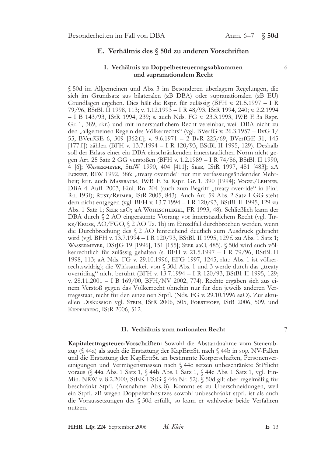## E. Verhältnis des § 50d zu anderen Vorschriften

### I. Verhältnis zu Doppelbesteuerungsabkommen und supranationalem Recht

§ 50d im Allgemeinen und Abs. 3 im Besonderen überlagern Regelungen, die sich im Grundsatz aus bilateralen (zB DBA) oder supranationalen (zB EU) Grundlagen ergeben. Dies hält die Rspr. für zulässig (BFH v. 21.5.1997 – I R 79/96, BStBl. II 1998, 113; v. 1.12.1993 - I R 48/93, IStR 1994, 240; v. 2.2.1994 - I B 143/93, IStR 1994, 239; s. auch Nds. FG v. 23.3.1993, IWB F. 3a Rspr. Gr. 1, 389, rkr.) und mit innerstaatlichem Recht vereinbar, weil DBA nicht zu den "allgemeinen Regeln des Völkerrechts" (vgl. BVerfG v. 26.3.1957 - BvG 1/ 55, BVerfGE 6, 309 [362f.]; v. 9.6.1971 - 2 BvR 225/69, BVerfGE 31, 145 [177 f.]) zählen (BFH v. 13.7.1994 - I R 120/93, BStBl. II 1995, 129). Deshalb soll der Erlass einer ein DBA einschränkenden innerstaatlichen Norm nicht gegen Art. 25 Satz 2 GG verstoßen (BFH v. 1.2.1989 - I R 74/86, BStBl. II 1990, 4 [6]; WASSERMEYER, StuW 1990, 404 [411]; SEER, IStR 1997, 481 [483]; aA ECKERT, RIW 1992, 386: "treaty override" nur mit verfassungsändernder Mehrheit; krit. auch MASSBAUM, IWB F. 3a Rspr. Gr. 1, 390 [1994]; VOGEL/LEHNER, DBA 4. Aufl. 2003, Einl. Rn. 204 (auch zum Begriff "treaty override" in Einl. Rn. 193f); RUST/REIMER, IStR 2005, 843). Auch Art. 59 Abs. 2 Satz 1 GG steht dem nicht entgegen (vgl. BFH v. 13.7.1994 - I R 120/93, BStBl. II 1995, 129 zu Abs. 1 Satz 1; SEER aaO; aA WOHLSCHLEGEL, FR 1993, 48). Schließlich kann der DBA durch § 2 AO eingeräumte Vorrang vor innerstaatlichem Recht (vgl. Tip-KE/KRUSE, AO/FGO, § 2 AO Tz. 1b) im Einzelfall durchbrochen werden, wenn die Durchbrechung des § 2 AO hinreichend deutlich zum Ausdruck gebracht wird (vgl. BFH v. 13.7.1994 – I R 120/93, BStBl. II 1995, 129 f. zu Abs. 1 Satz 1; WASSERMEYER, DStJG 19 [1996], 151 [155]; SEER aaO, 485). § 50d wird auch völkerrechtlich für zulässig gehalten (s. BFH v. 21.5.1997 - I R 79/96, BStBl. II 1998, 113; aA Nds. FG v. 29.10.1996, EFG 1997, 1245, rkr.: Abs. 1 ist völkerrechtswidrig); die Wirksamkeit von § 50d Abs. 1 und 3 werde durch das "treaty overriding" nicht berührt (BFH v. 13.7.1994 - I R 120/93, BStBl. II 1995, 129; v. 28.11.2001 - I B 169/00, BFH/NV 2002, 774). Rechte ergäben sich aus einem Verstoß gegen das Völkerrecht ohnehin nur für den jeweils anderen Vertragsstaat, nicht für den einzelnen Stpfl. (Nds. FG v. 29.10.1996 aaO). Zur aktuellen Diskussion vgl. STEIN, IStR 2006, 505, FORSTHOFF, IStR 2006, 509, und KIPPENBERG, IStR 2006, 512.

### II. Verhältnis zum nationalen Recht

Kapitalertragsteuer-Vorschriften: Sowohl die Abstandnahme vom Steuerabzug (§ 44a) als auch die Erstattung der KapErtrSt. nach § 44b in sog. NV-Fällen und die Erstattung der KapErtrSt. an bestimmte Körperschaften, Personenvereinigungen und Vermögensmassen nach § 44c setzen unbeschränkte StPflicht voraus (§ 44a Abs. 1 Satz 1, § 44b Abs. 1 Satz 1, § 44c Abs. 1 Satz 1, vgl. Fin-Min. NRW v. 8.2.2000, StEK EStG § 44a Nr. 52). § 50d gilt aber regelmäßig für beschränkt Stpfl. (Ausnahme: Abs. 8). Kommt es zu Überschneidungen, weil ein Stpfl. zB wegen Doppelwohnsitzes sowohl unbeschränkt stpfl. ist als auch die Voraussetzungen des § 50d erfüllt, so kann er wahlweise beide Verfahren nutzen.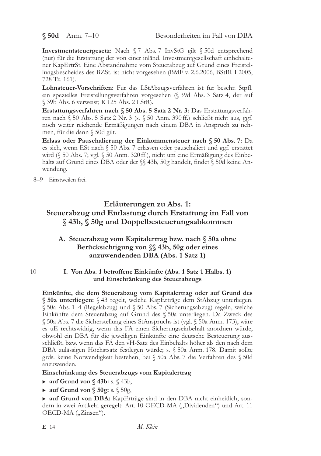$$50d$  Anm. 7-10

Investmentsteuergesetz: Nach § 7 Abs. 7 InvStG gilt § 50d entsprechend (nur) für die Erstattung der von einer inländ. Investmentgesellschaft einbehaltener KapErtrSt. Eine Abstandnahme vom Steuerabzug auf Grund eines Freistellungsbescheides des BZSt. ist nicht vorgesehen (BMF v. 2.6.2006, BStBl. I 2005, 728 Tz. 161).

Lohnsteuer-Vorschriften: Für das LStAbzugsverfahren ist für beschr. Stpfl. ein spezielles Freistellungsverfahren vorgesehen (§ 39d Abs. 3 Satz 4, der auf § 39b Abs. 6 verweist; R 125 Abs. 2 LStR).

Erstattungsverfahren nach § 50 Abs. 5 Satz 2 Nr. 3: Das Erstattungsverfahren nach § 50 Abs. 5 Satz 2 Nr. 3 (s. § 50 Anm. 390 ff.) schließt nicht aus, ggf. noch weiter reichende Ermäßigungen nach einem DBA in Anspruch zu nehmen, für die dann § 50d gilt.

Erlass oder Pauschalierung der Einkommensteuer nach § 50 Abs. 7: Da es sich, wenn ESt nach § 50 Abs. 7 erlassen oder pauschaliert und ggf. erstattet wird (§ 50 Abs. 7; vgl. § 50 Anm. 320 ff.), nicht um eine Ermäßigung des Einbehalts auf Grund eines DBA oder der  $\S$  43b, 50g handelt, findet  $\S$  50d keine Anwendung.

8-9 Einstweilen frei.

10

# Erläuterungen zu Abs. 1: Steuerabzug und Entlastung durch Erstattung im Fall von §43b, §50g und Doppelbesteuerungsabkommen

## A. Steuerabzug vom Kapitalertrag bzw. nach § 50a ohne Berücksichtigung von SS 43b, 50g oder eines anzuwendenden DBA (Abs. 1 Satz 1)

## I. Von Abs. 1 betroffene Einkünfte (Abs. 1 Satz 1 Halbs. 1) und Einschränkung des Steuerabzugs

Einkünfte, die dem Steuerabzug vom Kapitalertrag oder auf Grund des § 50a unterliegen: § 43 regelt, welche KapErträge dem StAbzug unterliegen. § 50a Abs. 1-4 (Regelabzug) und § 50 Abs. 7 (Sicherungsabzug) regeln, welche Einkünfte dem Steuerabzug auf Grund des § 50a unterliegen. Da Zweck des § 50a Abs. 7 die Sicherstellung eines StAnspruchs ist (vgl. § 50a Anm. 173), wäre es uE rechtswidrig, wenn das FA einen Sicherungseinbehalt anordnen würde, obwohl ein DBA für die jeweiligen Einkünfte eine deutsche Besteuerung ausschließt, bzw. wenn das FA den vH-Satz des Einbehalts höher als den nach dem DBA zulässigen Höchstsatz festlegen würde; s. § 50a Anm. 178. Damit sollte grds. keine Notwendigkeit bestehen, bei § 50a Abs. 7 die Verfahren des § 50d anzuwenden.

## Einschränkung des Steuerabzugs vom Kapitalertrag

- $\triangleright$  auf Grund von § 43b: s. § 43b,
- $\triangleright$  auf Grund von § 50g: s. § 50g,

• auf Grund von DBA: KapErträge sind in den DBA nicht einheitlich, sondern in zwei Artikeln geregelt: Art. 10 OECD-MA ("Dividenden") und Art. 11 OECD-MA ("Zinsen").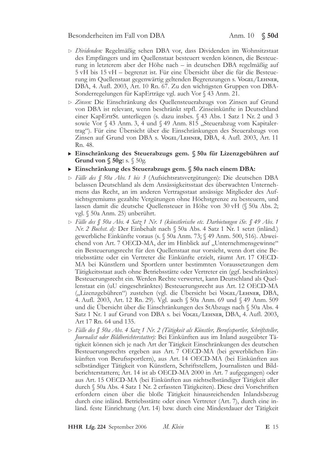- Dividenden: Regelmäßig sehen DBA vor, dass Dividenden im Wohnsitzstaat des Empfängers und im Quellenstaat besteuert werden können, die Besteuerung in letzterem aber der Höhe nach - in deutschen DBA regelmäßig auf 5 vH bis 15 vH – begrenzt ist. Für eine Übersicht über die für die Besteuerung im Quellenstaat gegenwärtig geltenden Begrenzungen s. VOGEL/LEHNER, DBA, 4. Aufl. 2003, Art. 10 Rn. 67. Zu den wichtigsten Gruppen von DBA-Sonderregelungen für KapErträge vgl. auch Vor § 43 Anm. 21.
- > Zinsen: Die Einschränkung des Quellensteuerabzugs von Zinsen auf Grund von DBA ist relevant, wenn beschränkt stpfl. Zinseinkünfte in Deutschland einer KapErtrSt. unterliegen (s. dazu insbes. § 43 Abs. 1 Satz 1 Nr. 2 und 3 sowie Vor § 43 Anm. 3, 4 und § 49 Anm. 815 "Steuerabzug vom Kapitalertrag"). Für eine Ubersicht über die Einschränkungen des Steuerabzugs von Zinsen auf Grund von DBA s. Vogel/Lehner, DBA, 4. Aufl. 2003, Art. 11 Rn. 48.
- Einschränkung des Steuerabzugs gem. § 50a für Lizenzgebühren auf Grund von  $\S$  50g: s.  $\S$  50g.
- Einschränkung des Steuerabzugs gem. § 50a nach einem DBA:
- > Fälle des § 50a Abs. 1 bis 3 (Aufsichtsratsvergütungen): Die deutschen DBA belassen Deutschland als dem Ansässigkeitsstaat des überwachten Unternehmens das Recht, an im anderen Vertragsstaat ansässige Mitglieder des Aufsichtsgremiums gezahlte Vergütungen ohne Höchstgrenze zu besteuern, und lassen damit die deutsche Quellensteuer in Höhe von 30 vH (§ 50a Abs. 2; vgl. § 50a Anm. 25) unberührt.
- $\triangleright$  Fälle des § 50a Abs. 4 Satz 1 Nr. 1 (künstlerische etc. Darbietungen iSv. § 49 Abs. 1 Nr. 2 Buchst. d): Der Einbehalt nach § 50a Abs. 4 Satz 1 Nr. 1 setzt (inländ.) gewerbliche Einkünfte voraus (s. § 50a Anm. 73; § 49 Anm. 500, 516). Abweichend von Art. 7 OECD-MA, der im Hinblick auf "Unternehmensgewinne" ein Besteuerungsrecht für den Quellenstaat nur vorsieht, wenn dort eine Betriebsstätte oder ein Vertreter die Einkünfte erzielt, räumt Art. 17 OECD-MA bei Künstlern und Sportlern unter bestimmten Voraussetzungen dem Tätigkeitsstaat auch ohne Betriebsstätte oder Vertreter ein (ggf. beschränktes) Besteuerungsrecht ein. Werden Rechte verwertet, kann Deutschland als Quellenstaat ein (uU eingeschränktes) Besteuerungsrecht aus Art. 12 OECD-MA ("Lizenzgebühren") zustehen (vgl. die Übersicht bei Voger/LeHNER, DBA, 4. Aufl. 2003, Art. 12 Rn. 29). Vgl. auch § 50a Anm. 69 und § 49 Anm. 509 und die Übersicht über die Einschränkungen des StAbzugs nach § 50a Abs. 4 Satz 1 Nr. 1 auf Grund von DBA s. bei Vogel/Lehner, DBA, 4. Aufl. 2003, Art 17 Rn. 64 und 135.
- $\triangleright$  Fälle des § 50a Abs. 4 Satz 1 Nr. 2 (Tätigkeit als Künstler, Berufssportler, Schriftsteller, Journalist oder Bildberichterstatter): Bei Einkünften aus im Inland ausgeübter Tätigkeit können sich je nach Art der Tätigkeit Einschränkungen des deutschen Besteuerungsrechts ergeben aus Art. 7 OECD-MA (bei gewerblichen Einkünften von Berufssportlern), aus Art. 14 OECD-MA (bei Einkünften aus selbständiger Tätigkeit von Künstlern, Schriftstellern, Journalisten und Bildberichterstattern; Art. 14 ist ab OECD-MA 2000 in Art. 7 aufgegangen) oder aus Art. 15 OECD-MA (bei Einkünften aus nichtselbständiger Tätigkeit aller durch § 50a Abs. 4 Satz 1 Nr. 2 erfassten Tätigkeiten). Diese drei Vorschriften erfordern einen über die bloße Tätigkeit hinausreichenden Inlandsbezug durch eine inländ. Betriebsstätte oder einen Vertreter (Art. 7), durch eine inländ. feste Einrichtung (Art. 14) bzw. durch eine Mindestdauer der Tätigkeit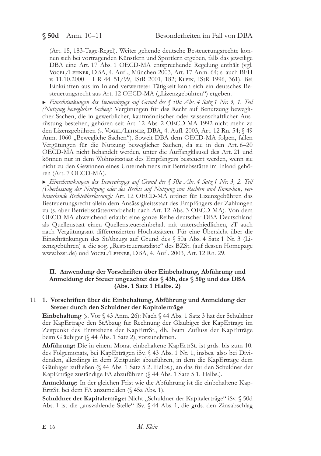(Art. 15, 183-Tage-Regel). Weiter gehende deutsche Besteuerungsrechte können sich bei vortragenden Künstlern und Sportlern ergeben, falls das jeweilige DBA eine Art. 17 Abs. 1 OECD-MA entsprechende Regelung enthält (vgl. VOGEL/LEHNER, DBA, 4. Aufl., München 2003, Art. 17 Anm. 64; s. auch BFH v. 11.10.2000 - I R 44-51/99, IStR 2001, 182; KLEIN, IStR 1996, 361). Bei Einkünften aus im Inland verwerteter Tätigkeit kann sich ein deutsches Besteuerungsrecht aus Art. 12 OECD-MA ("Lizenzgebühren") ergeben.

Einschränkungen des Steuerabzugs auf Grund des § 50a Abs. 4 Satz 1 Nr. 3, 1. Teil (Nutzung beweglicher Sachen): Vergütungen für das Recht auf Benutzung beweglicher Sachen, die in gewerblicher, kaufmännischer oder wissenschaftlicher Ausrüstung bestehen, gehören seit Art. 12 Abs. 2 OECD-MA 1992 nicht mehr zu den Lizenzgebühren (s. Vogel/Lенмев, DBA, 4. Aufl. 2003, Art. 12 Rn. 54; § 49 Anm. 1060 "Bewegliche Sachen"). Soweit DBA dem OECD-MA folgen, fallen Vergütungen für die Nutzung beweglicher Sachen, da sie in den Art. 6-20 OECD-MA nicht behandelt werden, unter die Auffangklausel des Art. 21 und können nur in dem Wohnsitzstaat des Empfängers besteuert werden, wenn sie nicht zu den Gewinnen eines Unternehmens mit Betriebsstätte im Inland gehören (Art. 7 OECD-MA).

 $\triangleright$  Einschränkungen des Steuerabzugs auf Grund des § 50a Abs. 4 Satz 1 Nr. 3, 2. Teil (Überlassung der Nutzung oder des Rechts auf Nutzung von Rechten und Know-how, verbrauchende Rechteüberlassung): Art. 12 OECD-MA ordnet für Lizenzgebühren das Besteuerungsrecht allein dem Ansässigkeitsstaat des Empfängers der Zahlungen zu (s. aber Betriebsstättenvorbehalt nach Art. 12 Abs. 3 OECD-MA). Von dem OECD-MA abweichend erlaubt eine ganze Reihe deutscher DBA Deutschland als Quellenstaat einen Quellensteuereinbehalt mit unterschiedlichen, zT auch nach Vergütungsart differenzierten Höchstsätzen. Für eine Übersicht über die Einschränkungen des StAbzugs auf Grund des § 50a Abs. 4 Satz 1 Nr. 3 (Lizenzgebühren) s. die sog. "Reststeuersatzliste" des BZSt. (auf dessen Homepage www.bzst.de) und Vogel/Lehner, DBA, 4. Aufl. 2003, Art. 12 Rn. 29.

## II. Anwendung der Vorschriften über Einbehaltung, Abführung und Anmeldung der Steuer ungeachtet des § 43b, des § 50g und des DBA (Abs. 1 Satz 1 Halbs. 2)

## 11 1. Vorschriften über die Einbehaltung, Abführung und Anmeldung der Steuer durch den Schuldner der Kapitalerträge

Einbehaltung (s. Vor § 43 Anm. 26): Nach § 44 Abs. 1 Satz 3 hat der Schuldner der KapErträge den StAbzug für Rechnung der Gläubiger der KapErträge im Zeitpunkt des Entstehens der KapErtrSt., dh. beim Zufluss der KapErträge beim Gläubiger (§ 44 Abs. 1 Satz 2), vorzunehmen.

Abführung: Die in einem Monat einbehaltene KapErtrSt. ist grds. bis zum 10. des Folgemonats, bei KapErträgen iSv. § 43 Abs. 1 Nr. 1, insbes. also bei Dividenden, allerdings in dem Zeitpunkt abzuführen, in dem die KapErträge dem Gläubiger zufließen (§ 44 Abs. 1 Satz 5 2. Halbs.), an das für den Schuldner der KapErträge zuständige FA abzuführen (§ 44 Abs. 1 Satz 5 1. Halbs.).

Anmeldung: In der gleichen Frist wie die Abführung ist die einbehaltene Kap-ErtrSt. bei dem FA anzumelden (§ 45a Abs. 1).

Schuldner der Kapitalerträge: Nicht "Schuldner der Kapitalerträge" iSv. § 50d Abs. 1 ist die "auszahlende Stelle" iSv. § 44 Abs. 1, die grds. den Zinsabschlag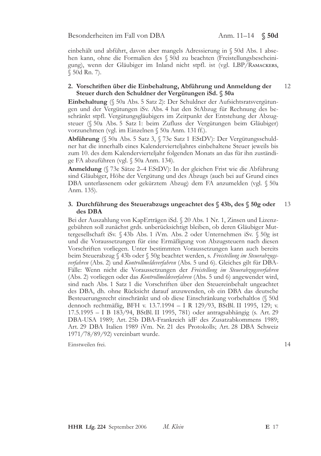einbehält und abführt, davon aber mangels Adressierung in § 50d Abs. 1 absehen kann, ohne die Formalien des § 50d zu beachten (Freistellungsbescheinigung), wenn der Gläubiger im Inland nicht stpfl. ist (vgl. LBP/RAMACKERS, § 50d Rn. 7).

#### 2. Vorschriften über die Einbehaltung, Abführung und Anmeldung der 12 Steuer durch den Schuldner der Vergütungen iSd. § 50a

Einbehaltung (§ 50a Abs. 5 Satz 2): Der Schuldner der Aufsichtsratsvergütungen und der Vergütungen iSv. Abs. 4 hat den StAbzug für Rechnung des beschränkt stpfl. Vergütungsgläubigers im Zeitpunkt der Entstehung der Abzugsteuer (§ 50a Abs. 5 Satz 1: beim Zufluss der Vergütungen beim Gläubiger) vorzunehmen (vgl. im Einzelnen § 50a Anm. 131 ff.).

Abführung (§ 50a Abs. 5 Satz 3, § 73e Satz 1 EStDV): Der Vergütungsschuldner hat die innerhalb eines Kalendervierteljahres einbehaltene Steuer jeweils bis zum 10. des dem Kalendervierteljahr folgenden Monats an das für ihn zuständige FA abzuführen (vgl. § 50a Anm. 134).

Anmeldung (§ 73e Sätze 2–4 EStDV): In der gleichen Frist wie die Abführung sind Gläubiger, Höhe der Vergütung und des Abzugs (auch bei auf Grund eines DBA unterlassenem oder gekürztem Abzug) dem FA anzumelden (vgl. § 50a Anm. 135).

#### 3. Durchführung des Steuerabzugs ungeachtet des § 43b, des § 50g oder 13 des DBA

Bei der Auszahlung von KapErträgen iSd. § 20 Abs. 1 Nr. 1, Zinsen und Lizenzgebühren soll zunächst grds. unberücksichtigt bleiben, ob deren Gläubiger Muttergesellschaft iSv. § 43b Abs. 1 iVm. Abs. 2 oder Unternehmen iSv. § 50g ist und die Voraussetzungen für eine Ermäßigung von Abzugsteuern nach diesen Vorschriften vorliegen. Unter bestimmten Voraussetzungen kann auch bereits beim Steuerabzug § 43b oder § 50g beachtet werden, s. Freistellung im Steuerabzugsverfahren (Abs. 2) und Kontrollmeldeverfahren (Abs. 5 und 6). Gleiches gilt für DBA-Fälle: Wenn nicht die Voraussetzungen der Freistellung im Steuerabzugsverfahren (Abs. 2) vorliegen oder das *Kontrollmeldeverfahren* (Abs. 5 und 6) angewendet wird, sind nach Abs. 1 Satz 1 die Vorschriften über den Steuereinbehalt ungeachtet des DBA, dh. ohne Rücksicht darauf anzuwenden, ob ein DBA das deutsche Besteuerungsrecht einschränkt und ob diese Einschränkung vorbehaltlos (§ 50d dennoch rechtmäßig, BFH v. 13.7.1994 – I R 129/93, BStBl. II 1995, 129; v. 17.5.1995 - I B 183/94, BStBl. II 1995, 781) oder antragsabhängig (s. Art. 29 DBA-USA 1989; Art. 25b DBA-Frankreich idF des Zusatzabkommens 1989; Art. 29 DBA Italien 1989 iVm. Nr. 21 des Protokolls; Art. 28 DBA Schweiz 1971/78/89/92) vereinbart wurde.

Einstweilen frei.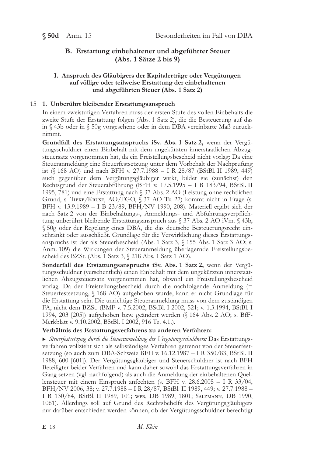## B. Erstattung einbehaltener und abgeführter Steuer  $(Abs. 1 Sätze 2 bis 9)$

## I. Anspruch des Gläubigers der Kapitalerträge oder Vergütungen auf völlige oder teilweise Erstattung der einbehaltenen und abgeführten Steuer (Abs. 1 Satz 2)

## 15 1. Unberührt bleibender Erstattungsanspruch

In einem zweistufigen Verfahren muss der ersten Stufe des vollen Einbehalts die zweite Stufe der Erstattung folgen (Abs. 1 Satz 2), die die Besteuerung auf das in § 43b oder in § 50g vorgesehene oder in dem DBA vereinbarte Maß zurücknimmt.

Grundfall des Erstattungsanspruchs iSv. Abs. 1 Satz 2, wenn der Vergütungsschuldner einen Einbehalt mit dem ungekürzten innerstaatlichen Abzugsteuersatz vorgenommen hat, da ein Freistellungsbescheid nicht vorlag: Da eine Steueranmeldung eine Steuerfestsetzung unter dem Vorbehalt der Nachprüfung ist (§ 168 AO) und nach BFH v. 27.7.1988 – I R 28/87 (BStBl. II 1989, 449) auch gegenüber dem Vergütungsgläubiger wirkt, bildet sie (zunächst) den Rechtsgrund der Steuerabführung (BFH v. 17.5.1995 - I B 183/94, BStBl. II 1995, 781) und eine Erstattung nach § 37 Abs. 2 AO (Leistung ohne rechtlichen Grund, s. TIPKE/KRUSE, AO/FGO, § 37 AO Tz. 27) kommt nicht in Frage (s. BFH v. 13.9.1989 - I B 23/89, BFH/NV 1990, 208). Materiell ergibt sich der nach Satz 2 von der Einbehaltungs-, Anmeldungs- und Abführungsverpflichtung unberührt bleibende Erstattungsanspruch aus § 37 Abs. 2 AO iVm. § 43b, § 50g oder der Regelung eines DBA, die das deutsche Besteuerungsrecht einschränkt oder ausschließt. Grundlage für die Verwirklichung dieses Erstattungsanspruchs ist der als Steuerbescheid (Abs. 1 Satz 3, § 155 Abs. 1 Satz 3 AO; s. Anm. 109) die Wirkungen der Steueranmeldung überlagernde Freistellungsbescheid des BZSt. (Abs. 1 Satz 3, § 218 Abs. 1 Satz 1 AO).

Sonderfall des Erstattungsanspruchs iSv. Abs. 1 Satz 2, wenn der Vergütungsschuldner (versehentlich) einen Einbehalt mit dem ungekürzten innerstaatlichen Abzugsteuersatz vorgenommen hat, obwohl ein Freistellungsbescheid vorlag: Da der Freistellungsbescheid durch die nachfolgende Anmeldung (= Steuerfestsetzung, § 168 AO) aufgehoben wurde, kann er nicht Grundlage für die Erstattung sein. Die unrichtige Steueranmeldung muss von dem zuständigen FA, nicht dem BZSt. (BMF v. 7.5.2002, BStBl. I 2002, 521; v. 1.3.1994, BStBl. I 1994, 203 [205]) aufgehoben bzw. geändert werden (§ 164 Abs. 2 AO; s. BfF-Merkblatt v. 9.10.2002, BStBl. I 2002, 916 Tz. 4.1.).

## Verhältnis des Erstattungsverfahrens zu anderen Verfahren:

Steuerfestsetzung durch die Steueranmeldung des Vergütungsschuldners: Das Erstattungsverfahren vollzieht sich als selbständiges Verfahren getrennt von der Steuerfestsetzung (so auch zum DBA-Schweiz BFH v. 16.12.1987 - I R 350/83, BStBl. II 1988, 600 [601]). Der Vergütungsgläubiger und Steuerschuldner ist nach BFH Beteiligter beider Verfahren und kann daher sowohl das Erstattungsverfahren in Gang setzen (vgl. nachfolgend) als auch die Anmeldung der einbehaltenen Quellensteuer mit einem Einspruch anfechten (s. BFH v.  $28.6.2005 - I R 33/04$ , BFH/NV 2006, 38; v. 27.7.1988 - I R 28/87, BStBl. II 1989, 449; v. 27.7.1988 -I R 130/84, BStBl. II 1989, 101; WFR, DB 1989, 1801; SALZMANN, DB 1990, 1061). Allerdings soll auf Grund des Rechtsbehelfs des Vergütungsgläubigers nur darüber entschieden werden können, ob der Vergütungsschuldner berechtigt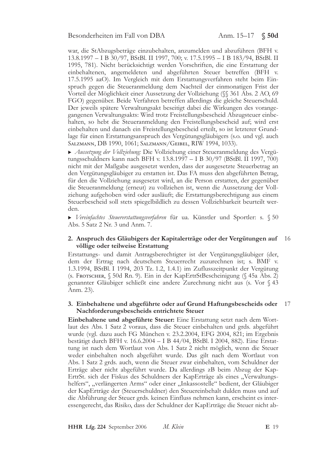war, die StAbzugsbeträge einzubehalten, anzumelden und abzuführen (BFH v. 13.8.1997 - I B 30/97, BStBl. II 1997, 700; v. 17.5.1995 - I B 183/94, BStBl. II 1995, 781). Nicht berücksichtigt werden Vorschriften, die eine Erstattung der einbehaltenen, angemeldeten und abgeführten Steuer betreffen (BFH v. 17.5.1995 aaO). Im Vergleich mit dem Erstattungsverfahren steht beim Einspruch gegen die Steueranmeldung dem Nachteil der einmonatigen Frist der Vorteil der Möglichkeit einer Aussetzung der Vollziehung (§§ 361 Abs. 2 AO, 69 FGO) gegenüber. Beide Verfahren betreffen allerdings die gleiche Steuerschuld. Der jeweils spätere Verwaltungsakt beseitigt dabei die Wirkungen des vorangegangenen Verwaltungsakts: Wird trotz Freistellungsbescheid Abzugsteuer einbehalten, so hebt die Steueranmeldung den Freistellungsbescheid auf; wird erst einbehalten und danach ein Freistellungsbescheid erteilt, so ist letzterer Grundlage für einen Erstattungsanspruch des Vergütungsgläubigers (s.o. und vgl. auch SALZMANN, DB 1990, 1061; SALZMANN/GEIBEL, RIW 1994, 1033).

Aussetzung der Vollziehung: Die Vollziehung einer Steueranmeldung des Vergütungsschuldners kann nach BFH v. 13.8.1997 – I B 30/97 (BStBl. II 1997, 700) nicht mit der Maßgabe ausgesetzt werden, dass der ausgesetzte Steuerbetrag an den Vergütungsgläubiger zu erstatten ist. Das FA muss den abgeführten Betrag, für den die Vollziehung ausgesetzt wird, an die Person erstatten, der gegenüber die Steueranmeldung (erneut) zu vollziehen ist, wenn die Aussetzung der Vollziehung aufgehoben wird oder ausläuft; die Erstattungsberechtigung aus einem Steuerbescheid soll stets spiegelbildlich zu dessen Vollziehbarkeit beurteilt werden.

Vereinfachtes Steuererstattungsverfahren für ua. Künstler und Sportler: s. § 50 Abs. 5 Satz 2 Nr. 3 und Anm. 7.

### 2. Anspruch des Gläubigers der Kapitalerträge oder der Vergütungen auf 16 völlige oder teilweise Erstattung

Erstattungs- und damit Antragsberechtigter ist der Vergütungsgläubiger (der, dem der Ertrag nach deutschem Steuerrecht zuzurechnen ist; s. BMF v. 1.3.1994, BStBl. I 1994, 203 Tz. 1.2, 1.4.1) im Zuflusszeitpunkt der Vergütung (s. Frotscher, § 50d Rn. 9). Ein in der KapErtrStBescheinigung (§ 45a Abs. 2) genannter Gläubiger schließt eine andere Zurechnung nicht aus (s. Vor § 43 Anm. 23).

#### 3. Einbehaltene und abgeführte oder auf Grund Haftungsbescheids oder -17 Nachforderungsbescheids entrichtete Steuer

Einbehaltene und abgeführte Steuer: Eine Erstattung setzt nach dem Wortlaut des Abs. 1 Satz 2 voraus, dass die Steuer einbehalten und grds. abgeführt wurde (vgl. dazu auch FG München v. 23.2.2004, EFG 2004, 821; im Ergebnis bestätigt durch BFH v. 16.6.2004 - I B 44/04, BStBl. I 2004, 882). Eine Erstattung ist nach dem Wortlaut von Abs. 1 Satz 2 nicht möglich, wenn die Steuer weder einbehalten noch abgeführt wurde. Das gilt nach dem Wortlaut von Abs. 1 Satz 2 grds. auch, wenn die Steuer zwar einbehalten, vom Schuldner der Erträge aber nicht abgeführt wurde. Da allerdings zB beim Abzug der Kap-ErtrSt. sich der Fiskus des Schuldners der KapErträge als eines "Verwaltungshelfers", "verlängerten Arms" oder einer "Inkassostelle" bedient, der Gläubiger der KapErträge der (Steuerschuldner) den Steuereinbehalt dulden muss und auf die Abführung der Steuer grds, keinen Einfluss nehmen kann, erscheint es interessengerecht, das Risiko, dass der Schuldner der KapErträge die Steuer nicht ab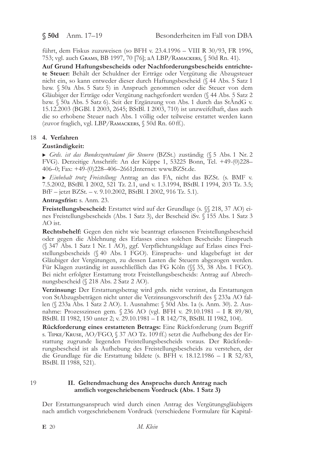$$50d$  Anm. 17-19

führt, dem Fiskus zuzuweisen (so BFH v. 23.4.1996 - VIII R 30/93, FR 1996, 753; vgl. auch Grams, BB 1997, 70 [76]; аА LBP/Rамаскегs, § 50d Rn. 41).

Auf Grund Haftungsbescheids oder Nachforderungsbescheids entrichtete Steuer: Behält der Schuldner der Erträge oder Vergütung die Abzugsteuer nicht ein, so kann entweder dieser durch Haftungsbescheid (§ 44 Abs. 5 Satz 1 bzw. § 50a Abs. 5 Satz 5) in Anspruch genommen oder die Steuer von dem Gläubiger der Erträge oder Vergütung nachgefordert werden (§ 44 Abs. 5 Satz 2 bzw. § 50a Abs. 5 Satz 6). Seit der Ergänzung von Abs. 1 durch das StÄndG v. 15.12.2003 (BGBl. I 2003, 2645; BStBl. I 2003, 710) ist unzweifelhaft, dass auch die so erhobene Steuer nach Abs. 1 völlig oder teilweise erstattet werden kann (zuvor fraglich, vgl. LBP/RAMACKERS, § 50d Rn. 60 ff.).

### 18 4. Verfahren

### Zuständigkeit:

Grds. ist das Bundeszentralamt für Steuern (BZSt.) zuständig (§ 5 Abs. 1 Nr. 2 FVG). Derzeitige Anschrift: An der Küppe 1, 53225 Bonn, Tel. +49-(0)228-406-0; Fax: +49-(0)228-406-2661; Internet: www.BZSt.de.

Einbehalt trotz Freistellung: Antrag an das FA, nicht das BZSt. (s. BMF v. 7.5.2002, BStBl. I 2002, 521 Tz. 2.1, und v. 1.3.1994, BStBl. I 1994, 203 Tz. 3.5; BfF - jetzt BZSt. - v. 9.10.2002, BStBl. I 2002, 916 Tz. 5.1).

Antragsfrist: s. Anm. 23.

**Freistellungsbescheid:** Erstattet wird auf der Grundlage (s.  $\%$  218, 37 AO) eines Freistellungsbescheids (Abs. 1 Satz 3), der Bescheid iSv. § 155 Abs. 1 Satz 3  $AO$  ist.

Rechtsbehelf: Gegen den nicht wie beantragt erlassenen Freistellungsbescheid oder gegen die Ablehnung des Erlasses eines solchen Bescheids: Einspruch (§ 347 Abs. 1 Satz 1 Nr. 1 AO), ggf. Verpflichtungsklage auf Erlass eines Freistellungsbescheids (§ 40 Abs. 1 FGO). Einspruchs- und klagebefugt ist der Gläubiger der Vergütungen, zu dessen Lasten die Steuern abgezogen werden. Für Klagen zuständig ist ausschließlich das FG Köln (§ 35, 38 Abs. 1 FGO). Bei nicht erfolgter Erstattung trotz Freistellungsbescheids: Antrag auf Abrechnungsbescheid (§ 218 Abs. 2 Satz 2 AO).

Verzinsung: Der Erstattungsbetrag wird grds. nicht verzinst, da Erstattungen von StAbzugsbeträgen nicht unter die Verzinsungsvorschrift des § 233a AO fallen (§ 233a Abs. 1 Satz 2 AO). 1. Ausnahme: § 50d Abs. 1a (s. Anm. 30). 2. Ausnahme: Prozesszinsen gem. § 236 AO (vgl. BFH v. 29.10.1981 - I R 89/80, BStBl. II 1982, 150 unter 2; v. 29.10.1981 - I R 142/78, BStBl. II 1982, 104).

Rückforderung eines erstatteten Betrags: Eine Rückforderung (zum Begriff s. TIPKE/KRUSE, AO/FGO, § 37 AO Tz. 109 ff.) setzt die Aufhebung des der Erstattung zugrunde liegenden Freistellungsbescheids voraus. Der Rückforderungsbescheid ist als Aufhebung des Freistellungsbescheids zu verstehen, der die Grundlage für die Erstattung bildete (s. BFH v. 18.12.1986 - I R 52/83, BStBl. II 1988, 521).

19

### II. Geltendmachung des Anspruchs durch Antrag nach amtlich vorgeschriebenem Vordruck (Abs. 1 Satz 3)

Der Erstattungsanspruch wird durch einen Antrag des Vergütungsgläubigers nach amtlich vorgeschriebenem Vordruck (verschiedene Formulare für Kapital-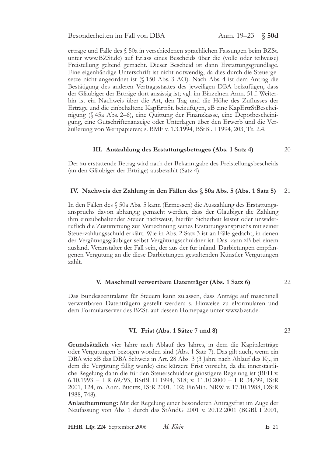Anm.  $19-23$   $$$  50d

erträge und Fälle des § 50a in verschiedenen sprachlichen Fassungen beim BZSt. unter www.BZSt.de) auf Erlass eines Bescheids über die (volle oder teilweise) Freistellung geltend gemacht. Dieser Bescheid ist dann Erstattungsgrundlage. Eine eigenhändige Unterschrift ist nicht notwendig, da dies durch die Steuergesetze nicht angeordnet ist (§ 150 Abs. 3 AO). Nach Abs. 4 ist dem Antrag die Bestätigung des anderen Vertragsstaates des jeweiligen DBA beizufügen, dass der Gläubiger der Erträge dort ansässig ist; vgl. im Einzelnen Anm. 51 f. Weiterhin ist ein Nachweis über die Art, den Tag und die Höhe des Zuflusses der Erträge und die einbehaltene KapErtrSt. beizufügen, zB eine KapErtrStBescheinigung (§ 45a Abs. 2-6), eine Quittung der Finanzkasse, eine Depotbescheinigung, eine Gutschriftenanzeige oder Unterlagen über den Erwerb und die Veräußerung von Wertpapieren; s. BMF v. 1.3.1994, BStBl. I 1994, 203, Tz. 2.4.

### III. Auszahlung des Erstattungsbetrages (Abs. 1 Satz 4)

Der zu erstattende Betrag wird nach der Bekanntgabe des Freistellungsbescheids (an den Gläubiger der Erträge) ausbezahlt (Satz 4).

#### IV. Nachweis der Zahlung in den Fällen des § 50a Abs. 5 (Abs. 1 Satz 5) 21

In den Fällen des § 50a Abs. 5 kann (Ermessen) die Auszahlung des Erstattungsanspruchs davon abhängig gemacht werden, dass der Gläubiger die Zahlung ihm einzubehaltender Steuer nachweist, hierfür Sicherheit leistet oder unwiderruflich die Zustimmung zur Verrechnung seines Erstattungsanspruchs mit seiner Steuerzahlungsschuld erklärt. Wie in Abs. 2 Satz 3 ist an Fälle gedacht, in denen der Vergütungsgläubiger selbst Vergütungsschuldner ist. Das kann zB bei einem ausländ. Veranstalter der Fall sein, der aus der für inländ. Darbietungen empfangenen Vergütung an die diese Darbietungen gestaltenden Künstler Vergütungen zahlt.

#### V. Maschinell verwertbare Datenträger (Abs. 1 Satz 6) 22

Das Bundeszentralamt für Steuern kann zulassen, dass Anträge auf maschinell verwertbaren Datenträgern gestellt werden; s. Hinweise zu eFormularen und dem Formularserver des BZSt. auf dessen Homepage unter www.bzst.de.

### VI. Frist (Abs. 1 Sätze 7 und 8)

Grundsätzlich vier Jahre nach Ablauf des Jahres, in dem die Kapitalerträge oder Vergütungen bezogen worden sind (Abs. 1 Satz 7). Das gilt auch, wenn ein DBA wie zB das DBA Schweiz in Art. 28 Abs. 3 (3 Jahre nach Ablauf des Kj., in dem die Vergütung fällig wurde) eine kürzere Frist vorsieht, da die innerstaatliche Regelung dann die für den Steuerschuldner günstigere Regelung ist (BFH v.  $6.10.1993 - I R 69/93$ , BStBl. II 1994, 318; v. 11.10.2000 - I R 34/99, IStR 2001, 124, m. Anm. Buciek, IStR 2001, 102; FinMin. NRW v. 17.10.1988, DStR 1988, 748).

Anlaufhemmung: Mit der Regelung einer besonderen Antragsfrist im Zuge der Neufassung von Abs. 1 durch das StAndG 2001 v. 20.12.2001 (BGBl. I 2001,

23

 $20^{\circ}$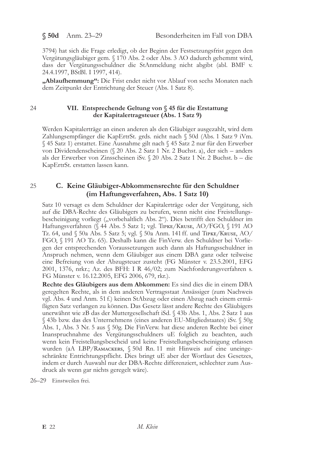$$50d$  Anm. 23–29

3794) hat sich die Frage erledigt, ob der Beginn der Festsetzungsfrist gegen den Vergütungsgläubiger gem. § 170 Abs. 2 oder Abs. 3 AO dadurch gehemmt wird, dass der Vergütungsschuldner die StAnmeldung nicht abgibt (abl. BMF v. 24.4.1997, BStBl. I 1997, 414).

"Ablaufhemmung": Die Frist endet nicht vor Ablauf von sechs Monaten nach dem Zeitpunkt der Entrichtung der Steuer (Abs. 1 Satz 8).

## 24

## VII. Entsprechende Geltung von § 45 für die Erstattung der Kapitalertragsteuer (Abs. 1 Satz 9)

Werden Kapitalerträge an einen anderen als den Gläubiger ausgezahlt, wird dem Zahlungsempfänger die KapErtrSt. grds. nicht nach § 50d (Abs. 1 Satz 9 iVm. § 45 Satz 1) erstattet. Eine Ausnahme gilt nach § 45 Satz 2 nur für den Erwerber von Dividendenscheinen (§ 20 Abs. 2 Satz 1 Nr. 2 Buchst. a), der sich – anders als der Erwerber von Zinsscheinen iSv. § 20 Abs. 2 Satz 1 Nr. 2 Buchst. b - die KapErtrSt. erstatten lassen kann.

### 25 C. Keine Gläubiger-Abkommensrechte für den Schuldner (im Haftungsverfahren, Abs. 1 Satz 10)

Satz 10 versagt es dem Schuldner der Kapitalerträge oder der Vergütung, sich auf die DBA-Rechte des Gläubigers zu berufen, wenn nicht eine Freistellungsbescheinigung vorliegt ("vorbehaltlich Abs. 2"). Dies betrifft den Schuldner im Haftungsverfahren (§ 44 Abs. 5 Satz 1; vgl. Tipke/Kruse, AO/FGO, § 191 AO Tz. 64, und § 50a Abs. 5 Satz 5; vgl. § 50a Anm. 141 ff. und TIPKE/KRUSE, AO/ FGO, § 191 AO Tz. 65). Deshalb kann die FinVerw. den Schuldner bei Vorliegen der entsprechenden Voraussetzungen auch dann als Haftungsschuldner in Anspruch nehmen, wenn dem Gläubiger aus einem DBA ganz oder teilweise eine Befreiung von der Abzugsteuer zusteht (FG Münster v. 23.5.2001, EFG 2001, 1376, nrkr.; Az. des BFH: I R 46/02; zum Nachforderungsverfahren s. FG Münster v. 16.12.2005, EFG 2006, 679, rkr.).

Rechte des Gläubigers aus dem Abkommen: Es sind dies die in einem DBA geregelten Rechte, als in dem anderen Vertragsstaat Ansässiger (zum Nachweis vgl. Abs. 4 und Anm. 51 f.) keinen StAbzug oder einen Abzug nach einem ermä-Bigten Satz verlangen zu können. Das Gesetz lässt andere Rechte des Gläubigers unerwähnt wie zB das der Muttergesellschaft iSd. § 43b Abs. 1, Abs. 2 Satz 1 aus § 43b bzw. das des Unternehmens (eines anderen EU-Mitgliedstaates) iSv. § 50g Abs. 1, Abs. 3 Nr. 5 aus § 50g. Die FinVerw. hat diese anderen Rechte bei einer Inanspruchnahme des Vergütungsschuldners uE folglich zu beachten, auch wenn kein Freistellungsbescheid und keine Freistellungsbescheinigung erlassen wurden (аА LBP/RAMACKERS, § 50d Rn. 11 mit Hinweis auf eine uneingeschränkte Entrichtungspflicht. Dies bringt uE aber der Wortlaut des Gesetzes, indem er durch Auswahl nur der DBA-Rechte differenziert, schlechter zum Ausdruck als wenn gar nichts geregelt wäre).

26-29 Einstweilen frei.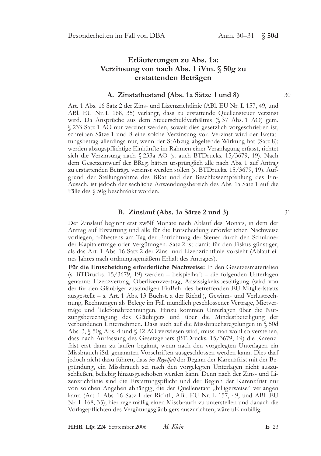# Erläuterungen zu Abs. 1a: Verzinsung von nach Abs. 1 iVm.  $\S$  50g zu erstattenden Beträgen

### A. Zinstatbestand (Abs. 1a Sätze 1 und 8)

Art. 1 Abs. 16 Satz 2 der Zins- und Lizenzrichtlinie (ABl. EU Nr. L 157, 49, und ABl. EU Nr. L 168, 35) verlangt, dass zu erstattende Quellensteuer verzinst wird. Da Ansprüche aus dem Steuerschuldverhältnis (§ 37 Abs. 1 AO) gem. § 233 Satz 1 AO nur verzinst werden, soweit dies gesetzlich vorgeschrieben ist, schreiben Sätze 1 und 8 eine solche Verzinsung vor. Verzinst wird der Erstattungsbetrag allerdings nur, wenn der StAbzug abgeltende Wirkung hat (Satz 8); werden abzugspflichtige Einkünfte im Rahmen einer Veranlagung erfasst, richtet sich die Verzinsung nach § 233a AO (s. auch BTDrucks. 15/3679, 19). Nach dem Gesetzentwurf der BReg. hätten ursprünglich alle nach Abs. 1 auf Antrag zu erstattenden Beträge verzinst werden sollen (s. BTDrucks. 15/3679, 19). Aufgrund der Stellungnahme des BRat und der Beschlussempfehlung des Fin-Aussch, ist jedoch der sachliche Anwendungsbereich des Abs. 1a Satz 1 auf die Fälle des § 50g beschränkt worden.

### B. Zinslauf (Abs. 1a Sätze 2 und 3)

Der Zinslauf beginnt erst zwölf Monate nach Ablauf des Monats, in dem der Antrag auf Erstattung und alle für die Entscheidung erforderlichen Nachweise vorliegen, frühestens am Tag der Entrichtung der Steuer durch den Schuldner der Kapitalerträge oder Vergütungen. Satz 2 ist damit für den Fiskus günstiger, als das Art. 1 Abs. 16 Satz 2 der Zins- und Lizenzrichtlinie vorsieht (Ablauf eines Jahres nach ordnungsgemäßem Erhalt des Antrages).

Für die Entscheidung erforderliche Nachweise: In den Gesetzesmaterialien (s. BTDrucks. 15/3679, 19) werden - beispielhaft - die folgenden Unterlagen genannt: Lizenzvertrag, Oberlizenzvertrag, Ansässigkeitsbestätigung (wird von der für den Gläubiger zuständigen FinBeh. des betreffenden EU-Mitgliedstaats ausgestellt – s. Art. 1 Abs. 13 Buchst. a der Richtl.), Gewinn- und Verlustrechnung, Rechnungen als Belege im Fall mündlich geschlossener Verträge, Mietverträge und Telefonabrechnungen. Hinzu kommen Unterlagen über die Nutzungsberechtigung des Gläubigers und über die Mindestbeteiligung der verbundenen Unternehmen. Dass auch auf die Missbrauchsregelungen in § 50d Abs. 3,  $\S$  50g Abs. 4 und  $\S$  42 AO verwiesen wird, muss man wohl so verstehen, dass nach Auffassung des Gesetzgebers (BTDrucks. 15/3679, 19) die Karenzfrist erst dann zu laufen beginnt, wenn nach den vorgelegten Unterlagen ein Missbrauch iSd. genannten Vorschriften ausgeschlossen werden kann. Dies darf jedoch nicht dazu führen, dass im Regelfall der Beginn der Karenzfrist mit der Begründung, ein Missbrauch sei nach den vorgelegten Unterlagen nicht auszuschließen, beliebig hinausgeschoben werden kann. Denn nach der Zins- und Lizenzrichtlinie sind die Erstattungspflicht und der Beginn der Karenzfrist nur von solchen Angaben abhängig, die der Quellenstaat "billigerweise" verlangen kann (Art. 1 Abs. 16 Satz 1 der Richtl., ABl. EU Nr. L 157, 49, und ABl. EU Nr. L 168, 35); hier regelmäßig einen Missbrauch zu unterstellen und danach die Vorlagepflichten des Vergütungsgläubigers auszurichten, wäre uE unbillig.

 $30^{\circ}$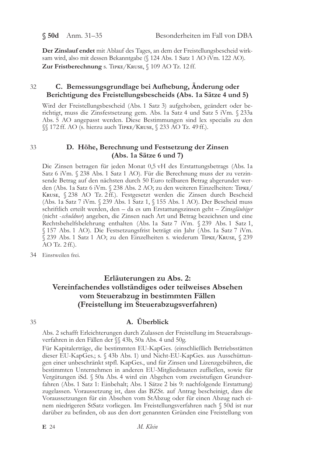$$50d$  Anm. 31-35

Der Zinslauf endet mit Ablauf des Tages, an dem der Freistellungsbescheid wirksam wird, also mit dessen Bekanntgabe (§ 124 Abs. 1 Satz 1 AO iVm. 122 AO). Zur Fristberechnung s. TIPKE/KRUSE, § 109 AO Tz. 12 ff.

### 32 C. Bemessungsgrundlage bei Aufhebung, Änderung oder Berichtigung des Freistellungsbescheids (Abs. 1a Sätze 4 und 5)

Wird der Freistellungsbescheid (Abs. 1 Satz 3) aufgehoben, geändert oder berichtigt, muss die Zinsfestsetzung gem. Abs. 1a Satz 4 und Satz 5 iVm. § 233a Abs. 5 AO angepasst werden. Diese Bestimmungen sind lex specialis zu den SS 172 ff. AO (s. hierzu auch TIPKE/KRUSE, S 233 AO Tz. 49 ff.).

33

## D. Höhe, Berechnung und Festsetzung der Zinsen (Abs. 1a Sätze 6 und 7)

Die Zinsen betragen für jeden Monat 0,5 vH des Erstattungsbetrags (Abs. 1a Satz 6 iVm. § 238 Abs. 1 Satz 1 AO). Für die Berechnung muss der zu verzinsende Betrag auf den nächsten durch 50 Euro teilbaren Betrag abgerundet werden (Abs. 1a Satz 6 iVm. § 238 Abs. 2 AO; zu den weiteren Einzelheiten: TIPKE/ KRUSE, § 238 AO Tz. 2ff.). Festgesetzt werden die Zinsen durch Bescheid (Abs. 1a Satz 7 iVm. § 239 Abs. 1 Satz 1, § 155 Abs. 1 AO). Der Bescheid muss schriftlich erteilt werden, den - da es um Erstattungszinsen geht - Zinsgläubiger (nicht -schuldner) angeben, die Zinsen nach Art und Betrag bezeichnen und eine Rechtsbehelfsbelehrung enthalten (Abs. 1a Satz 7 iVm. § 239 Abs. 1 Satz 1, § 157 Abs. 1 AO). Die Festsetzungsfrist beträgt ein Jahr (Abs. 1a Satz 7 iVm. § 239 Abs. 1 Satz 1 AO; zu den Einzelheiten s. wiederum TIPKE/KRUSE, § 239  $AO$  Tz,  $2$  ff.).

34 Einstweilen frei.

# Erläuterungen zu Abs. 2: Vereinfachendes vollständiges oder teilweises Absehen vom Steuerabzug in bestimmten Fällen (Freistellung im Steuerabzugsverfahren)

### 35

# A. Überblick

Abs. 2 schafft Erleichterungen durch Zulassen der Freistellung im Steuerabzugsverfahren in den Fällen der §§ 43b, 50a Abs. 4 und 50g.

Für Kapitalerträge, die bestimmten EU-KapGes. (einschließlich Betriebsstätten dieser EU-KapGes.; s. § 43b Abs. 1) und Nicht-EU-KapGes. aus Ausschüttungen einer unbeschränkt stpfl. KapGes., und für Zinsen und Lizenzgebühren, die bestimmten Unternehmen in anderen EU-Mitgliedstaaten zufließen, sowie für Vergütungen iSd. § 50a Abs. 4 wird ein Abgehen vom zweistufigen Grundverfahren (Abs. 1 Satz 1: Einbehalt; Abs. 1 Sätze 2 bis 9: nachfolgende Erstattung) zugelassen. Voraussetzung ist, dass das BZSt. auf Antrag bescheinigt, dass die Voraussetzungen für ein Absehen vom StAbzug oder für einen Abzug nach einem niedrigeren StSatz vorliegen. Im Freistellungsverfahren nach § 50d ist nur darüber zu befinden, ob aus den dort genannten Gründen eine Freistellung von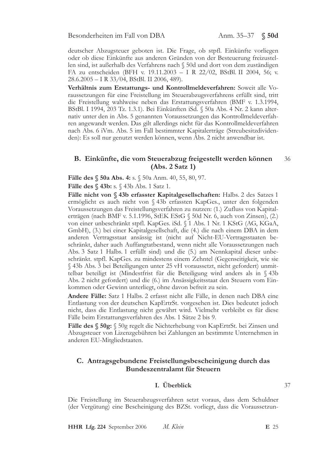deutscher Abzugsteuer geboten ist. Die Frage, ob stpfl. Einkünfte vorliegen oder ob diese Einkünfte aus anderen Gründen von der Besteuerung freizustellen sind, ist außerhalb des Verfahrens nach § 50d und dort von dem zuständigen FA zu entscheiden (BFH v. 19.11.2003 - I R 22/02, BStBl. II 2004, 56; v. 28.6.2005 - I R 33/04, BStBl. II 2006, 489).

Verhältnis zum Erstattungs- und Kontrollmeldeverfahren: Soweit alle Voraussetzungen für eine Freistellung im Steuerabzugsverfahrens erfüllt sind, tritt die Freistellung wahlweise neben das Erstattungsverfahren (BMF v. 1.3.1994, BStBl. I 1994, 203 Tz. 1.3.1). Bei Einkünften iSd. § 50a Abs. 4 Nr. 2 kann alternativ unter den in Abs. 5 genannten Voraussetzungen das Kontrollmeldeverfahren angewandt werden. Das gilt allerdings nicht für das Kontrollmeldeverfahren nach Abs. 6 iVm. Abs. 5 im Fall bestimmter Kapitalerträge (Streubesitzdividenden): Es soll nur genutzt werden können, wenn Abs. 2 nicht anwendbar ist.

#### B. Einkünfte, die vom Steuerabzug freigestellt werden können 36  $(Abs. 2 Satz 1)$

Fälle des § 50a Abs. 4: s. § 50a Anm. 40, 55, 80, 97.

**Fälle des § 43b:** s. § 43b Abs. 1 Satz 1.

Fälle nicht von § 43b erfasster Kapitalgesellschaften: Halbs. 2 des Satzes 1 ermöglicht es auch nicht von § 43b erfassten KapGes., unter den folgenden Voraussetzungen das Freistellungsverfahren zu nutzen: (1.) Zufluss von Kapitalerträgen (nach BMF v. 5.1.1996, StEK EStG § 50d Nr. 6, auch von Zinsen), (2.) von einer unbeschränkt stpfl. KapGes. iSd. § 1 Abs. 1 Nr. 1 KStG (AG, KGaA, GmbH), (3.) bei einer Kapitalgesellschaft, die (4.) die nach einem DBA in dem anderen Vertragsstaat ansässig ist (nicht auf Nicht-EU-Vertragsstaaten beschränkt, daher auch Auffangtatbestand, wenn nicht alle Voraussetzungen nach Abs. 3 Satz 1 Halbs. 1 erfüllt sind) und die (5.) am Nennkapital dieser unbeschränkt. stpfl. KapGes. zu mindestens einem Zehntel (Gegenseitigkeit, wie sie § 43b Abs. 3 bei Beteiligungen unter 25 vH voraussetzt, nicht gefordert) unmittelbar beteiligt ist (Mindestfrist für die Beteiligung wird anders als in § 43b Abs. 2 nicht gefordert) und die (6.) im Ansässigkeitsstaat den Steuern vom Einkommen oder Gewinn unterliegt, ohne davon befreit zu sein.

Andere Fälle: Satz 1 Halbs. 2 erfasst nicht alle Fälle, in denen nach DBA eine Entlastung von der deutschen KapErtrSt. vorgesehen ist. Dies bedeutet jedoch nicht, dass die Entlastung nicht gewährt wird. Vielmehr verbleibt es für diese Fälle beim Erstattungsverfahren des Abs. 1 Sätze 2 bis 9.

Fälle des § 50g: § 50g regelt die Nichterhebung von KapErtrSt. bei Zinsen und Abzugsteuer von Lizenzgebühren bei Zahlungen an bestimmte Unternehmen in anderen EU-Mitgliedstaaten.

## C. Antragsgebundene Freistellungsbescheinigung durch das Bundeszentralamt für Steuern

## I. Überblick

Die Freistellung im Steuerabzugsverfahren setzt voraus, dass dem Schuldner (der Vergütung) eine Bescheinigung des BZSt. vorliegt, dass die Voraussetzun-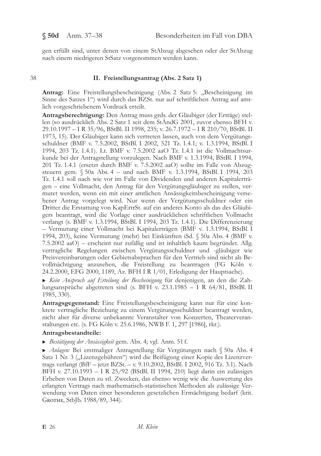38

gen erfüllt sind, unter denen von einem StAbzug abgesehen oder der StAbzug nach einem niedrigeren StSatz vorgenommen werden kann.

## II. Freistellungsantrag (Abs. 2 Satz 1)

**Antrag:** Eine Freistellungsbescheinigung (Abs. 2 Satz 5: "Bescheinigung im Sinne des Satzes 1") wird durch das BZSt. nur auf schriftlichen Antrag auf amtlich vorgeschriebenem Vordruck erteilt.

Antragsberechtigung: Den Antrag muss grds. der Gläubiger (der Erträge) stellen (so ausdrücklich Abs. 2 Satz 1 seit dem StÄndG 2001, zuvor ebenso BFH v. 29.10.1997 – I R 35/96, BStBl. II 1998, 235; v. 26.7.1972 – I R 210/70, BStBl. II 1973, 15). Der Gläubiger kann sich vertreten lassen, auch von dem Vergütungsschuldner (BMF v. 7.5.2002, BStBl. I 2002, 521 Tz. 1.4.1; v. 1.3.1994, BStBl. I 1994, 203 Tz. 1.4.1). Lt. BMF v. 7.5.2002 aaO Tz. 1.4.1 ist die Vollmachtsurkunde bei der Antragstellung vorzulegen. Nach BMF v. 1.3.1994, BStBl. I 1994, 201 Tz. 1.4.1 (ersetzt durch BMF v. 7.5.2002 aaO) sollte im Falle von Abzugsteuern gem. § 50a Abs. 4 - und nach BMF v. 1.3.1994, BStBl. I 1994, 203 Tz. 1.4.1 soll nach wie vor im Falle von Dividenden und anderen Kapitalerträgen - eine Vollmacht, den Antrag für den Vergütungsgläubiger zu stellen, vermutet werden, wenn ein mit einer amtlichen Ansässigkeitsbescheinigung versehener Antrag vorgelegt wird. Nur wenn der Vergütungsschuldner oder ein Dritter die Erstattung von KapErtrSt. auf ein anderes Konto als das des Gläubigers beantragt, wird die Vorlage einer ausdrücklichen schriftlichen Vollmacht verlangt (s. BMF v. 1.3.1994, BStBl. I 1994, 203 Tz. 1.4.1). Die Differenzierung - Vermutung einer Vollmacht bei Kapitalerträgen (BMF v. 1.3.1994, BStBl. I 1994, 203), keine Vermutung (mehr) bei Einkünften iSd. § 50a Abs. 4 (BMF v. 7.5.2002 aaO) – erscheint nur zufällig und ist inhaltlich kaum begründet. Allg. vertragliche Regelungen zwischen Vergütungsschuldner und -gläubiger wie Preisvereinbarungen oder Gebietsabsprachen für den Vertrieb sind nicht als Bevollmächtigung anzusehen, die Freistellung zu beantragen (FG Köln v. 24.2.2000, EFG 2000, 1189, Az. BFH I R 1/01, Erledigung der Hauptsache).

Kein Anspruch auf Erteilung der Bescheinigung für denjenigen, an den die Zahlungsansprüche abgetreten sind (s. BFH v. 23.1.1985 - I R  $64/81$ , BStBl. II 1985, 330).

Antragsgegenstand: Eine Freistellungsbescheinigung kann nur für eine konkrete vertragliche Beziehung zu einem Vergütungsschuldner beantragt werden, nicht aber für diverse unbekannte Veranstalter von Konzerten, Theaterveranstaltungen etc. (s. FG Köln v. 25.6.1986, NWB F. 1, 297 [1986], rkr.).

### Antragsbestandteile:

Bestätigung der Ansässigkeit gem. Abs. 4; vgl. Anm. 51 f.

Anlagen: Bei erstmaliger Antragstellung für Vergütungen nach § 50a Abs. 4 Satz 1 Nr. 3 ("Lizenzgebühren") wird die Beifügung einer Kopie des Lizenzvertrags verlangt (BfF – jetzt BZSt. – v. 9.10.2002, BStBl. I 2002, 916 Tz. 3.1). Nach BFH v. 27.10.1993 - I R 25/92 (BStBl. II 1994, 210) liegt darin ein zulässiges Erheben von Daten zu stl. Zwecken, das ebenso wenig wie die Auswertung des erlangten Vertrags nach mathematisch-statistischen Methoden als zulässige Verwendung von Daten einer besonderen gesetzlichen Ermächtigung bedarf (krit. GROTHE, StbJb. 1988/89, 344).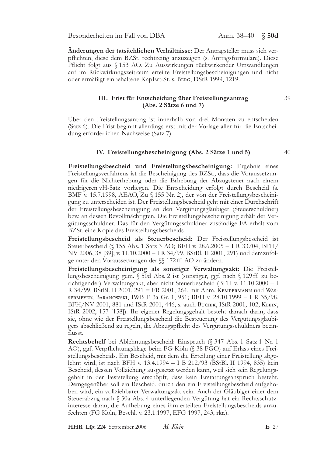Anm.  $38-40$   $\sqrt{$}50d$ 

Änderungen der tatsächlichen Verhältnisse: Der Antragsteller muss sich verpflichten, diese dem BZSt. rechtzeitig anzuzeigen (s. Antragsformulare). Diese Pflicht folgt aus § 153 AO. Zu Auswirkungen rückwirkender Umwandlungen auf im Rückwirkungszeitraum erteilte Freistellungsbescheinigungen und nicht oder ermäßigt einbehaltene KapErtrSt. s. BERG, DStR 1999, 1219.

### III. Frist für Entscheidung über Freistellungsantrag  $(Abs. 2 Sätze 6 und 7)$

Über den Freistellungsantrag ist innerhalb von drei Monaten zu entscheiden (Satz 6). Die Frist beginnt allerdings erst mit der Vorlage aller für die Entscheidung erforderlichen Nachweise (Satz 7).

### IV. Freistellungsbescheinigung (Abs. 2 Sätze 1 und 5)

Freistellungsbescheid und Freistellungsbescheinigung: Ergebnis eines Freistellungsverfahrens ist die Bescheinigung des BZSt., dass die Voraussetzungen für die Nichterhebung oder die Erhebung der Abzugsteuer nach einem niedrigeren vH-Satz vorliegen. Die Entscheidung erfolgt durch Bescheid (s. BMF v. 15.7.1998, AEAO, Zu § 155 Nr. 2), der von der Freistellungsbescheinigung zu unterscheiden ist. Der Freistellungsbescheid geht mit einer Durchschrift der Freistellungsbescheinigung an den Vergütungsgläubiger (Steuerschuldner) bzw. an dessen Bevollmächtigten. Die Freistellungsbescheinigung erhält der Vergütungsschuldner. Das für den Vergütungsschuldner zuständige FA erhält vom BZSt. eine Kopie des Freistellungsbescheids.

Freistellungsbescheid als Steuerbescheid: Der Freistellungsbescheid ist Steuerbescheid (§ 155 Abs. 1 Satz 3 AO; BFH v. 28.6.2005 - I R 33/04, BFH/ NV 2006, 38 [39]; v. 11.10.2000 - I R 34/99, BStBl. II 2001, 291) und demzufolge unter den Voraussetzungen der SS 172 ff. AO zu ändern.

Freistellungsbescheinigung als sonstiger Verwaltungsakt: Die Freistellungsbescheinigung gem. § 50d Abs. 2 ist (sonstiger, ggf. nach § 129 ff. zu berichtigender) Verwaltungsakt, aber nicht Steuerbescheid (BFH v. 11.10.2000 - I R 34/99, BStBl. II 2001, 291 = FR 2001, 264, mit Anm. KEMPERMANN und WAS-SERMEYER; BARANOWSKI, IWB F. 3a Gr. 1, 951; BFH v. 28.10.1999 - I R 35/98, BFH/NV 2001, 881 und IStR 2001, 446, s. auch BUCIEK, IStR 2001, 102; KLEIN, IStR 2002, 157 [158]). Ihr eigener Regelungsgehalt besteht danach darin, dass sie, ohne wie der Freistellungsbescheid die Besteuerung des Vergütungsgläubigers abschließend zu regeln, die Abzugspflicht des Vergütungsschuldners beeinflusst.

Rechtsbehelf bei Ablehnungsbescheid: Einspruch (§ 347 Abs. 1 Satz 1 Nr. 1 AO), ggf. Verpflichtungsklage beim FG Köln (§ 38 FGO) auf Erlass eines Freistellungsbescheids. Ein Bescheid, mit dem die Erteilung einer Freistellung abgelehnt wird, ist nach BFH v. 13.4.1994 – I B 212/93 (BStBl. II 1994, 835) kein Bescheid, dessen Vollziehung ausgesetzt werden kann, weil sich sein Regelungsgehalt in der Feststellung erschöpft, dass kein Erstattungsanspruch besteht. Demgegenüber soll ein Bescheid, durch den ein Freistellungsbescheid aufgehoben wird, ein vollziehbarer Verwaltungsakt sein. Auch der Gläubiger einer dem Steuerabzug nach § 50a Abs. 4 unterliegenden Vergütung hat ein Rechtsschutzinteresse daran, die Aufhebung eines ihm erteilten Freistellungsbescheids anzufechten (FG Köln, Beschl. v. 23.1.1997, EFG 1997, 243, rkr.).

HHR Lfg. 224 September 2006 M. Klein  $40$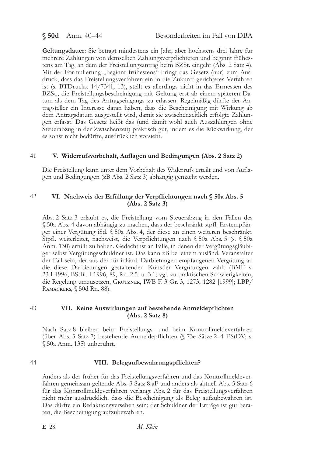$$50d$  Anm. 40-44

Geltungsdauer: Sie beträgt mindestens ein Jahr, aber höchstens drei Jahre für mehrere Zahlungen von demselben Zahlungsverpflichteten und beginnt frühestens am Tag, an dem der Freistellungsantrag beim BZSt. eingeht (Abs. 2 Satz 4). Mit der Formulierung "beginnt frühestens" bringt das Gesetz (nur) zum Ausdruck, dass das Freistellungsverfahren ein in die Zukunft gerichtetes Verfahren ist (s. BTDrucks. 14/7341, 13), stellt es allerdings nicht in das Ermessen des BZSt., die Freistellungsbescheinigung mit Geltung erst ab einem späteren Datum als dem Tag des Antragseingangs zu erlassen. Regelmäßig dürfte der Antragsteller ein Interesse daran haben, dass die Bescheinigung mit Wirkung ab dem Antragsdatum ausgestellt wird, damit sie zwischenzeitlich erfolgte Zahlungen erfasst. Das Gesetz heißt das (und damit wohl auch Auszahlungen ohne Steuerabzug in der Zwischenzeit) praktisch gut, indem es die Rückwirkung, der es sonst nicht bedürfte, ausdrücklich vorsieht.

#### 41 V. Widerrufsvorbehalt, Auflagen und Bedingungen (Abs. 2 Satz 2)

Die Freistellung kann unter dem Vorbehalt des Widerrufs erteilt und von Auflagen und Bedingungen (zB Abs. 2 Satz 3) abhängig gemacht werden.

#### 42 VI. Nachweis der Erfüllung der Verpflichtungen nach § 50a Abs. 5  $(Abs. 2 Satz 3)$

Abs. 2 Satz 3 erlaubt es, die Freistellung vom Steuerabzug in den Fällen des § 50a Abs. 4 davon abhängig zu machen, dass der beschränkt stpfl. Erstempfänger einer Vergütung iSd. § 50a Abs. 4, der diese an einen weiteren beschränkt. Stpfl. weiterleitet, nachweist, die Verpflichtungen nach § 50a Abs. 5 (s. § 50a Anm. 130) erfüllt zu haben. Gedacht ist an Fälle, in denen der Vergütungsgläubiger selbst Vergütungsschuldner ist. Das kann zB bei einem ausländ. Veranstalter der Fall sein, der aus der für inländ. Darbietungen empfangenen Vergütung an die diese Darbietungen gestaltenden Künstler Vergütungen zahlt (BMF v. 23.1.1996, BStBl. I 1996, 89, Rn. 2.5. u. 3.1; vgl. zu praktischen Schwierigkeiten, die Regelung umzusetzen, GRÜTZNER, IWB F. 3 Gr. 3, 1273, 1282 [1999]; LBP/ RAMACKERS, § 50d Rn. 88).

#### 43 VII. Keine Auswirkungen auf bestehende Anmeldepflichten  $(Abs. 2 Satz 8)$

Nach Satz 8 bleiben beim Freistellungs- und beim Kontrollmeldeverfahren (über Abs. 5 Satz 7) bestehende Anmeldepflichten (§ 73e Sätze 2-4 EStDV; s. § 50a Anm. 135) unberührt.

#### 44 VIII. Belegaufbewahrungspflichten?

Anders als der früher für das Freistellungsverfahren und das Kontrollmeldeverfahren gemeinsam geltende Abs. 3 Satz 8 aF und anders als aktuell Abs. 5 Satz 6 für das Kontrollmeldeverfahren verlangt Abs. 2 für das Freistellungsverfahren nicht mehr ausdrücklich, dass die Bescheinigung als Beleg aufzubewahren ist. Das dürfte ein Redaktionsversehen sein; der Schuldner der Erträge ist gut beraten, die Bescheinigung aufzubewahren.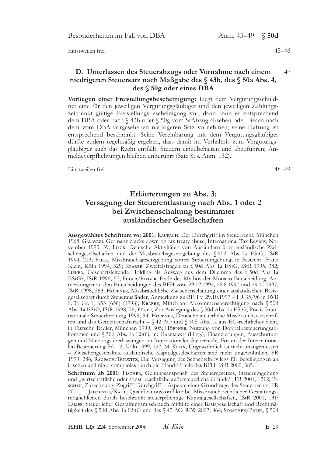Anm. 45-49 \$50d

Einstweilen frei.

### D. Unterlassen des Steuerabzugs oder Vornahme nach einem 47 niedrigeren Steuersatz nach Maßgabe des § 43b, des § 50a Abs. 4, des § 50g oder eines DBA

Vorliegen einer Freistellungsbescheinigung: Liegt dem Vergütungsschuldner eine für den jeweiligen Vergütungsgläubiger und den jeweiligen Zahlungszeitpunkt gültige Freistellungsbescheinigung vor, dann kann er entsprechend dem DBA oder nach § 43b oder § 50g vom StAbzug absehen oder diesen nach dem vom DBA vorgesehenen niedrigeren Satz vornehmen; seine Haftung ist entsprechend beschränkt. Seine Vereinbarung mit dem Vergütungsgläubiger dürfte zudem regelmäßig ergeben, dass damit im Verhältnis zum Vergütungsgläubiger auch das Recht entfällt, Steuern einzubehalten und abzuführen; Anmeldeverpflichtungen bleiben unberührt (Satz 8; s. Anm. 132).

Einstweilen frei.

48-49

# Erläuterungen zu Abs. 3: Versagung der Steuerentlastung nach Abs. 1 oder 2 bei Zwischenschaltung bestimmter ausländischer Gesellschaften

Ausgewähltes Schrifttum vor 2001: RAUPACH, Der Durchgriff im Steuerrecht, München 1968; GALAVAZI, Germany cracks down on tax treaty abuse, International Tax Review, November 1993, 39, FLICK, Deutsche Aktivitäten von Ausländern über ausländische Zwischengesellschaften und die Missbrauchsgesetzgebung des § 50d Abs. 1a EStG, IStR 1994, 223; FLICK, Missbrauchsgesetzgebung contra Steuerumgehung, in Festschr. Franz Klein, Köln 1994, 329; KRABBE, Zweifelsfragen zu § 50d Abs. 1a EStG, IStR 1995, 382; SIEKER, Geschäftsleitende Holding als Ausweg aus dem Dilemma des § 50d Abs. 1a EStG?, IStR 1996, 57; FÜGER/RIEGER, Ende des Mythos der Monaco-Entscheidung, Anmerkungen zu den Entscheidungen des BFH vom 29.12.1994, 28.8.1997 und 29.10.1997, IStR 1998, 353; Höppner, Missbräuchliche Zwischenschaltung einer ausländischen Basisgesellschaft durch Steuerausländer, Anmerkung zu BFH v. 29.10.1997 - I R 35/96 in IWB F. 3a Gr. 1, 653 (656) (1998); KRABBE, Mittelbare Abkommensberechtigung nach § 50d Abs. 1a EStG, IStR 1998, 76; Füger, Zur Auslegung des § 50d Abs. 1a EStG, Praxis Internationale Steuerberatung 1999, 54; Höppner, Deutsche steuerliche Missbrauchsvorschriften und das Gemeinschaftsrecht - § 42 AO und § 50d Abs. 1a aus EG-rechtlicher Sicht, in Festschr. Rädler, München 1999, 305; Hörrner, Nutzung von Doppelbesteuerungsabkommen und § 50d Abs. 1a EStG, in: HAARMANN (Hrsg.), Finanzierungen, Ausschüttungen und Nutzungsüberlassungen im Internationalen Steuerrecht, Forum der Internationalen Besteuerung Bd. 12, Köln 1999, 127; M. KLEIN, Ungewöhnlich ist nicht unangemessen - Zwischengeschaltete ausländische Kapitalgesellschaften sind nicht ungewöhnlich, FR 1999, 286; RAUPACH/BURWITZ, Die Versagung des Schachtelprivilegs für Beteiligungen an irischen unlimited companies durch die Irland-Urteile des BFH, IStR 2000, 385.

Schrifttum ab 2001: FISCHER, Geltungsanspruch des Steuergesetzes, Steuerumgehung und "wirtschaftliche oder sonst beachtliche außersteuerliche Gründe", FR 2001, 1212; Fi-SCHER, Zurechnung, Zugriff, Durchgriff - Aspekte einer Grundfrage des Steuerrechts, FR 2001, 1; JEGZENTIS/KAHL, Qualifikationskonflikte bei Missbrauch rechtlicher Gestaltungsmöglichkeiten durch beschränkt steuerpflichtige Kapitalgesellschaften, IStR 2001, 131; LAMPE, Steuerlicher Gestaltungsmissbrauch mithilfe einer Basisgesellschaft und Rechtmä-Bigkeit des § 50d Abs. 1a EStG und des § 42 AO, RIW 2002, 864; STOSCHEK/PETER, § 50d

M. Klein HHR Lfg. 224 September 2006

E 29

 $45 - 46$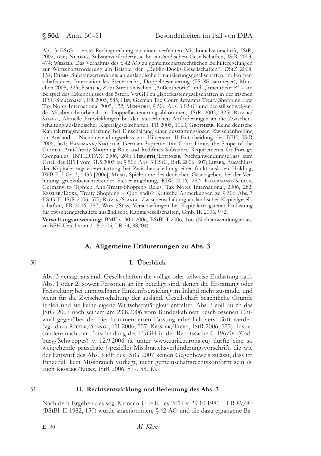Abs. 3 EStG - erste Rechtsprechung zu einer verfehlten Missbrauchsvorschrift, IStR, 2002, 656; NIEDRIG, Substanzerfordernisse bei ausländischen Gesellschaften, IStR 2003, 474; WESSELS, Das Verhältnis des § 42 AO zu gemeinschaftsrechtlichen Beihilferegelungen zur Wirtschaftsförderung am Beispiel der "Dublin-Docks-Gesellschaften", DStZ 2004, 154; EILERS, Substanzerfordernis an ausländische Finanzierungsgesellschaften, in: Körperschaftsteuer, Internationales Steuerrecht., Doppelbesteuerung (FS Wassermeyer), München 2005, 323; FISCHER, Zum Streit zwischen "Außentheorie" und "Innentheorie" – am Beispiel des Erkenntnisses des österr. VwGH zu "Briefkastengesellschaften in der irischen IFSC-Steueroase", FR 2005, 585; HEY, German Tax Court Revamps Treaty Shopping Law, Tax Notes International 2005, 122; Мемновм, § 50d Abs. 3 EStG und der stillschweigende Missbrauchvorbehalt in Doppelbesteuerungsabkommen, IStR 2005, 325; RITZER/ STANGL, Aktuelle Entwicklungen bei den steuerlichen Anforderungen an die Zwischenschaltung ausländischer Kapitalgesellschaften, FR 2005, 1063; GROTHERR, Keine deutsche Kapitalertragsteuerentlastung bei Einschaltung einer ausstattungslosen Zwischenholding im Ausland - Nichtanwendungserlass zur Hilversum II-Entscheidung des BFH, IStR 2006, 361; HAARMANN/KNÖDLER, German Supreme Tax Court Limits the Scope of the German Anti-Treaty Shopping Rule and Redifines Substance Requirements for Foreign Companies, INTERTAX 2006, 260; HERGETH/ETTINGER, Nichtanwendungserlass zum Urteil des BFH vom 31.5.2005 zu § 50d Abs. 3 EStG, IStR 2006, 307; LIEBER, Ausschluss der Kapitalertragsteuererstattung bei Zwischenschaltung einer funktionslosen Holding, IWB F. 3 Gr. 3, 1433 [2006]; Musil, Spielräume des deutschen Gesetzgebers bei der Verhütung grenzüberschreitender Steuerumgehung, RIW 2006, 287; EHLERMANN/SELACK, Germany to Tighten Anti-Treaty-Shopping Rules, Tax Notes International, 2006, 282; KESSLER/EICKE, Treaty Shopping - Quo vadis? Kritische Anmerkungen zu § 50d Abs. 3 EStG-E, IStR 2006, 577; RITZER/STANGL, Zwischenschaltung ausländischer Kapitalgesellschaften, FR 2006, 757; WIESE/Süss, Verschärfungen bei Kapitalertragsteuer-Entlastung für zwischengeschaltete ausländische Kapitalgesellschaften, GmbHR 2006, 972.

Verwaltungsanweisung: BMF v. 30.1.2006, BStBl. I 2006, 166 (Nichtanwendungserlass zu BFH-Urteil vom 31.5.2005, I R 74, 88/04).

### A. Allgemeine Erläuterungen zu Abs. 3

### 50

## I. Überblick

Abs. 3 versagt ausländ. Gesellschaften die völlige oder teilweise Entlastung nach Abs. 1 oder 2, soweit Personen an ihr beteiligt sind, denen die Erstattung oder Freistellung bei unmittelbarer Einkunftserzielung im Inland nicht zustände, und wenn für die Zwischenschaltung der ausländ. Gesellschaft beachtliche Gründe fehlen und sie keine eigene Wirtschaftstätigkeit entfaltet. Abs. 3 soll durch das JStG 2007 nach seinem am 23.8.2006 vom Bundeskabinett beschlossenen Entwurf gegenüber der hier kommentierten Fassung erheblich verschärft werden (vgl. dazu RITZER/STANGL, FR 2006, 757; KESSLER/EICKE, IStR 2006, 577). Insbesondere nach der Entscheidung des EuGH in der Rechtssache C-196/04 (Cadbury/Schweppes) v. 12.9.2006 (s. unter www.curia.europa.eu) dürfte eine so weitgehende pauschale (spezielle) Missbrauchsverhinderungsvorschrift, die wie der Entwurf des Abs. 3 idF des JStG 2007 keinen Gegenbeweis zulässt, dass im Einzelfall kein Missbrauch vorliegt, nicht gemeinschaftsrechtskonform sein (s. auch KESSLER/EICKE, IStR 2006, 577, 580 f.).

### II. Rechtsentwicklung und Bedeutung des Abs. 3

Nach dem Ergehen des sog. Monaco-Urteils des BFH v. 29.10.1981 – I R 89/80 (BStBl. II 1982, 150) wurde angenommen, § 42 AO und die dazu ergangene Ba-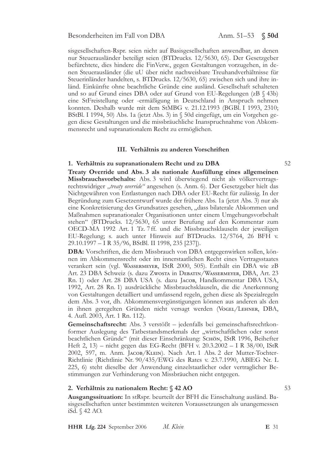sisgesellschaften-Rspr. seien nicht auf Basisgesellschaften anwendbar, an denen nur Steuerausländer beteiligt seien (BTDrucks. 12/5630, 65). Der Gesetzgeber befürchtete, dies hindere die FinVerw., gegen Gestaltungen vorzugehen, in denen Steuerausländer (die uU über nicht nachweisbare Treuhandverhältnisse für Steuerinländer handelten, s. BTDrucks. 12/5630, 65) zwischen sich und ihre inländ. Einkünfte ohne beachtliche Gründe eine ausländ. Gesellschaft schalteten und so auf Grund eines DBA oder auf Grund von EU-Regelungen (zB § 43b) eine StFreistellung oder -ermäßigung in Deutschland in Anspruch nehmen konnten. Deshalb wurde mit dem StMBG v. 21.12.1993 (BGBl. I 1993, 2310; BStBl. I 1994, 50) Abs. 1a (jetzt Abs. 3) in § 50d eingefügt, um ein Vorgehen gegen diese Gestaltungen und die missbräuchliche Inanspruchnahme von Abkommensrecht und supranationalem Recht zu ermöglichen.

### III. Verhältnis zu anderen Vorschriften

### 1. Verhältnis zu supranationalem Recht und zu DBA

Treaty Override und Abs. 3 als nationale Ausfüllung eines allgemeinen Missbrauchsvorbehalts: Abs. 3 wird überwiegend nicht als völkervertragsrechtswidriger "treaty override" angesehen (s. Anm. 6). Der Gesetzgeber hielt das Nichtgewähren von Entlastungen nach DBA oder EU-Recht für zulässig. In der Begründung zum Gesetzentwurf wurde der frühere Abs. 1a (jetzt Abs. 3) nur als eine Konkretisierung des Grundsatzes gesehen, "dass bilaterale Abkommen und Maßnahmen supranationaler Organisationen unter einem Umgehungsvorbehalt stehen" (BTDrucks. 12/5630, 65 unter Berufung auf den Kommentar zum OECD-MA 1992 Art. 1 Tz. 7 ff. und die Missbrauchsklauseln der jeweiligen EU-Regelung; s. auch unter Hinweis auf BTDrucks. 12/5764, 26 BFH v. 29.10.1997 - I R 35/96, BStBl. II 1998, 235 [237]).

DBA: Vorschriften, die dem Missbrauch von DBA entgegenwirken sollen, können im Abkommensrecht oder im innerstaatlichen Recht eines Vertragsstaates verankert sein (vgl. WASSERMEYER, IStR 2000, 505). Enthält ein DBA wie zB Art. 23 DBA Schweiz (s. dazu Zwosta in DEBATIN/WASSERMEYER, DBA, Art. 23 Rn. 1) oder Art. 28 DBA USA (s. dazu JACOB, Handkommentar DBA USA, 1992, Art. 28 Rn. 1) ausdrückliche Missbrauchsklauseln, die die Anerkennung von Gestaltungen detailliert und umfassend regeln, gehen diese als Spezialregeln dem Abs. 3 vor, dh. Abkommensvergünstigungen können aus anderen als den in ihnen geregelten Gründen nicht versagt werden (VoGEL/LEHNER, DBA, 4. Aufl. 2003, Art. 1 Rn. 112).

Gemeinschaftsrecht: Abs. 3 verstößt – jedenfalls bei gemeinschaftsrechtkonformer Auslegung des Tatbestandsmerkmals der "wirtschaftlichen oder sonst beachtlichen Gründe" (mit dieser Einschränkung: Sснöм, IStR 1996, Beihefter Heft 2, 13) – nicht gegen das EG-Recht (BFH v. 20.3.2002 – I R 38/00, IStR 2002, 597, m. Anm. JACOB/KLEIN). Nach Art. 1 Abs. 2 der Mutter-Tochter-Richtlinie (Richtlinie Nr. 90/435/EWG des Rates v. 23.7.1990, ABIEG Nr. L 225, 6) steht dieselbe der Anwendung einzelstaatlicher oder vertraglicher Bestimmungen zur Verhinderung von Missbräuchen nicht entgegen.

### 2. Verhältnis zu nationalem Recht: § 42 AO

Ausgangssituation: In stRspr. beurteilt der BFH die Einschaltung ausländ. Basisgesellschaften unter bestimmten weiteren Voraussetzungen als unangemessen iSd. § 42 AO.

E 31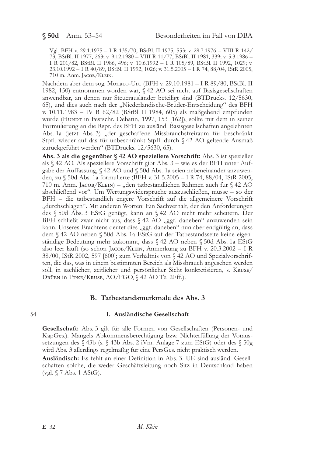Vgl. BFH v. 29.1.1975 - I R 135/70, BStBl. II 1975, 553; v. 29.7.1976 - VIII R 142/ 73, BStBl. II 1977, 263; v. 9.12.1980 – VIII R $11/77$ , BStBl. II 1981, 339; v. 5.3.1986 – I R $201/82$ , BStBl. II 1986, 496; v. 10.6.1992 – I R $105/89$ , BStBl. II 1992, 1029; v. 23.10.1992 – I R 40/89, BStBl. II 1992, 1026; v. 31.5.2005 – I R 74, 88/04, IStR 2005, 710 m. Anm. JACOB/KLEIN.

Nachdem aber dem sog. Monaco-Urt. (BFH v. 29.10.1981 - I R 89/80, BStBl. II 1982, 150) entnommen worden war, § 42 AO sei nicht auf Basisgesellschaften anwendbar, an denen nur Steuerausländer beteiligt sind (BTDrucks. 12/5630, 65), und dies auch nach der "Niederländische-Brüder-Entscheidung" des BFH v. 10.11.1983 - IV R 62/82 (BStBl. II 1984, 605) als maßgebend empfunden wurde (HUNDT in Festschr. Debatin, 1997, 153 [162]), sollte mit dem in seiner Formulierung an die Rspr. des BFH zu ausländ. Basisgesellschaften angelehnten Abs. 1a (jetzt Abs. 3) "der geschaffene Missbrauchsfreiraum für beschränkt Stpfl. wieder auf das für unbeschränkt Stpfl. durch § 42 AO geltende Ausmaß zurückgeführt werden" (BTDrucks. 12/5630, 65).

Abs. 3 als die gegenüber § 42 AO speziellere Vorschrift: Abs. 3 ist spezieller als § 42 AO. Als speziellere Vorschrift gibt Abs. 3 - wie es der BFH unter Aufgabe der Auffassung, § 42 AO und § 50d Abs. 1a seien nebeneinander anzuwenden, zu § 50d Abs. 1a formulierte (BFH v. 31.5.2005 – I R 74, 88/04, IStR 2005, 710 m. Anm. JACOB/KLEIN) – "den tatbestandlichen Rahmen auch für § 42 AO abschließend vor". Um Wertungswidersprüche auszuschließen, müsse – so der BFH – die tatbestandlich engere Vorschrift auf die allgemeinere Vorschrift "durchschlagen". Mit anderen Worten: Ein Sachverhalt, der den Anforderungen des § 50d Abs. 3 EStG genügt, kann an § 42 AO nicht mehr scheitern. Der BFH schließt zwar nicht aus, dass § 42 AO "ggf. daneben" anzuwenden sein kann. Unseres Erachtens deutet dies "ggf. daneben" nun aber endgültig an, dass dem § 42 AO neben § 50d Abs. 1a EStG auf der Tatbestandsseite keine eigenständige Bedeutung mehr zukommt, dass § 42 AO neben § 50d Abs. 1a EStG also leer läuft (so schon JACOB/KLEIN, Anmerkung zu BFH v. 20.3.2002 – I R 38/00, IStR 2002, 597 [600]; zum Verhältnis von § 42 AO und Spezialvorschriften, die das, was in einem bestimmten Bereich als Missbrauch angesehen werden soll, in sachlicher, zeitlicher und persönlicher Sicht konkretisieren, s. KRUSE/ DRÜEN in TIPKE/KRUSE, AO/FGO, § 42 AO Tz. 20 ff.).

## B. Tatbestandsmerkmale des Abs. 3

### I. Ausländische Gesellschaft

Gesellschaft: Abs. 3 gilt für alle Formen von Gesellschaften (Personen- und KapGes.). Mangels Abkommensberechtigung bzw. Nichterfüllung der Voraussetzungen des § 43b (s. § 43b Abs. 2 iVm. Anlage 7 zum EStG) oder des § 50g wird Abs. 3 allerdings regelmäßig für eine PersGes. nicht praktisch werden.

**Ausländisch:** Es fehlt an einer Definition in Abs. 3. UE sind ausländ. Gesellschaften solche, die weder Geschäftsleitung noch Sitz in Deutschland haben (vgl.  $\sqrt{7}$  Abs. 1 AStG).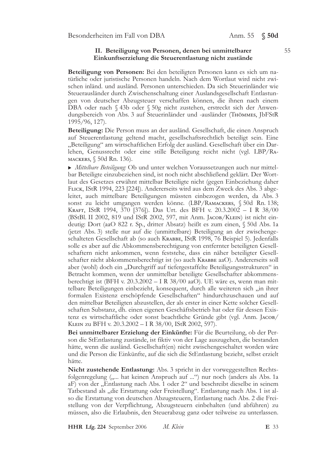### II. Beteiligung von Personen, denen bei unmittelbarer Einkunftserzielung die Steuerentlastung nicht zustände

Beteiligung von Personen: Bei den beteiligten Personen kann es sich um natürliche oder juristische Personen handeln. Nach dem Wortlaut wird nicht zwischen inländ. und ausländ. Personen unterschieden. Da sich Steuerinländer wie Steuerausländer durch Zwischenschaltung einer Auslandsgesellschaft Entlastungen von deutscher Abzugsteuer verschaffen können, die ihnen nach einem DBA oder nach § 43b oder § 50g nicht zustehen, erstreckt sich der Anwendungsbereich von Abs. 3 auf Steuerinländer und -ausländer (THÖMMES, JbFStR 1995/96, 127).

Beteiligung: Die Person muss an der ausländ. Gesellschaft, die einen Anspruch auf Steuerentlastung geltend macht, gesellschaftsrechtlich beteiligt sein. Eine "Beteiligung" am wirtschaftlichen Erfolg der ausländ. Gesellschaft über ein Darlehen, Genussrecht oder eine stille Beteiligung reicht nicht (vgl. LBP/RA-MACKERS, § 50d Rn. 136).

Mittelbare Beteiligung: Ob und unter welchen Voraussetzungen auch nur mittelbar Beteiligte einzubeziehen sind, ist noch nicht abschließend geklärt. Der Wortlaut des Gesetzes erwähnt mittelbar Beteiligte nicht (gegen Einbeziehung daher FLICK, IStR 1994, 223 [224]). Andererseits wird aus dem Zweck des Abs. 3 abgeleitet, auch mittelbare Beteiligungen müssten einbezogen werden, da Abs. 3 sonst zu leicht umgangen werden könne. (LBP/RAMACKERS, § 50d Rn. 138; KRAFT, IStR 1994, 370 [376]). Das Urt. des BFH v. 20.3.2002 - I R 38/00 (BStBl. II 2002, 819 und IStR 2002, 597, mit Anm. JACOB/KLEIN) ist nicht eindeutig: Dort (aaO 822 r. Sp., dritter Absatz) heißt es zum einen, § 50d Abs. 1a (jetzt Abs. 3) stelle nur auf die (unmittelbare) Beteiligung an der zwischengeschalteten Gesellschaft ab (so auch KRABBE, IStR 1998, 76 Beispiel 5). Jedenfalls solle es aber auf die Abkommensberechtigung von entfernter beteiligten Gesellschaftern nicht ankommen, wenn feststehe, dass ein näher beteiligter Gesellschafter nicht abkommensberechtigt ist (so auch KRABBE aaO). Andererseits soll aber (wohl) doch ein "Durchgriff auf tiefergestaffelte Beteiligungsstrukturen" in Betracht kommen, wenn der unmittelbar beteiligte Gesellschafter abkommensberechtigt ist (BFH v. 20.3.2002 - I R 38/00 aaO). UE wäre es, wenn man mittelbare Beteiligungen einbezieht, konsequent, durch alle weiteren sich "in ihrer formalen Existenz erschöpfende Gesellschaften" hindurchzuschauen und auf den mittelbar Beteiligten abzustellen, der als erster in einer Kette solcher Gesellschaften Substanz, dh. einen eigenen Geschäftsbetrieb hat oder für dessen Existenz es wirtschaftliche oder sonst beachtliche Gründe gibt (vgl. Anm. JACOB/ KLEIN zu BFH v. 20.3.2002 - I R 38/00, IStR 2002, 597).

Bei unmittelbarer Erzielung der Einkünfte: Für die Beurteilung, ob der Person die StEntlastung zustände, ist fiktiv von der Lage auszugehen, die bestanden hätte, wenn die ausländ. Gesellschaft(en) nicht zwischengeschaltet worden wäre und die Person die Einkünfte, auf die sich die StEntlastung bezieht, selbst erzielt hätte.

Nicht zustehende Entlastung: Abs. 3 spricht in der vorweggestellten Rechtsfolgenregelung (,,... hat keinen Anspruch auf ...") nur noch (anders als Abs. 1a aF) von der "Entlastung nach Abs. 1 oder 2" und beschreibt dieselbe in seinem Tatbestand als "die Erstattung oder Freistellung". Entlastung nach Abs. 1 ist also die Erstattung von deutschen Abzugsteuern, Entlastung nach Abs. 2 die Freistellung von der Verpflichtung, Abzugsteuern einbehalten (und abführen) zu müssen, also die Erlaubnis, den Steuerabzug ganz oder teilweise zu unterlassen.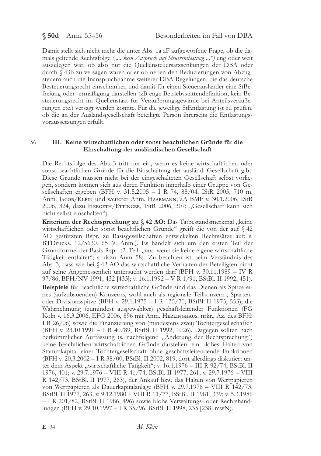## $$50d$  Anm. 55-56

Damit stellt sich nicht mehr die unter Abs. 1a aF aufgeworfene Frage, ob die damals geltende Rechtsfolge ("... kein Anspruch auf Steuerentlastung ...") eng oder weit auszulegen war, ob also nur die Quellensteuersatzsenkungen der DBA oder durch § 43b zu versagen waren oder ob neben den Reduzierungen von Abzugsteuern auch die Inanspruchnahme weiterer DBA-Regelungen, die das deutsche Besteuerungsrecht einschränken und damit für einen Steuerausländer eine StBefreiung oder -ermäßigung darstellen (zB enge Betriebsstättendefinition, kein Besteuerungsrecht im Quellenstaat für Veräußerungsgewinne bei Anteilsveräußerungen etc.) versagt werden konnte. Für die jeweilige StEntlastung ist zu prüfen, ob die an der Auslandsgesellschaft beteiligte Person ihrerseits die Entlastungsvoraussetzungen erfüllt.

#### 56 III. Keine wirtschaftlichen oder sonst beachtlichen Gründe für die Einschaltung der ausländischen Gesellschaft

Die Rechtsfolge des Abs. 3 tritt nur ein, wenn es keine wirtschaftlichen oder sonst beachtlichen Gründe für die Einschaltung der ausländ. Gesellschaft gibt. Diese Gründe müssen nicht bei der eingeschalteten Gesellschaft selbst vorliegen, sondern können sich aus deren Funktion innerhalb einer Gruppe von Gesellschaften ergeben (BFH v. 31.5.2005 – I R 74, 88/04, IStR 2005, 710 m. Anm. JACOB/KLEIN und weiterer Anm. HAARMANN; aA BMF v. 30.1.2006, IStR 2006, 324, dazu HERGETH/ETTINGER, IStR 2006, 307: "Gesellschaft kann sich nicht selbst einschalten").

Kriterium der Rechtsprechung zu § 42 AO: Das Tatbestandsmerkmal "keine wirtschaftlichen oder sonst beachtlichen Gründe" greift die von der auf § 42 AO gestützten Rspr. zu Basisgesellschaften entwickelten Rechtssätze auf; s. BTDrucks. 12/5630, 65 (s. Anm.). Es handelt sich um den ersten Teil der Grundformel der Basis-Rspr. (2. Teil: "und wenn sie keine eigene wirtschaftliche Tätigkeit entfaltet"; s. dazu Anm. 58). Zu beachten ist beim Verständnis des Abs. 3, dass wie bei § 42 AO das wirtschaftliche Verhalten der Beteiligten nicht auf seine Angemessenheit untersucht werden darf (BFH v. 30.11.1989 - IV R 97/86, BFH/NV 1991, 432 [433]; v. 16.1.1992 - V R 1/91, BStBl. II 1992, 451). Beispiele für beachtliche wirtschaftliche Gründe sind das Dienen als Spitze eines (aufzubauenden) Konzerns, wohl auch als regionale Teilkonzern-, Spartenoder Divisionsspitze (BFH v. 29.1.1975 - I R 135/70, BStBl. II 1975, 553), die Wahrnehmung (zumindest ausgewählter) geschäftsleitender Funktionen (FG Köln v. 16.3.2006, EFG 2006, 896 mit Anm. HERLINGHAUS, nrkr., Az. des BFH: I R 26/06) sowie die Finanzierung von (mindestens zwei) Tochtergesellschaften (BFH v. 23.10.1991 - I R 40/89, BStBl. II 1992, 1026). Dagegen sollten nach herkömmlicher Auffassung (s. nachfolgend "Anderung der Rechtsprechung") keine beachtlichen wirtschaftlichen Gründe darstellen: ein bloßes Halten von Stammkapital einer Tochtergesellschaft ohne geschäftsleitendende Funktionen (BFH v. 20.3.2002 – I R 38/00, BStBl. II 2002, 819, dort allerdings diskutiert unter dem Aspekt "wirtschaftliche Tätigkeit"; v. 16.1.1976 – III R 92/74, BStBl. II 1976, 401; v. 29.7.1976 - VIII R 41/74, BStBl. II 1977, 261; v. 29.7.1976 - VIII

R 142/73, BStBl. II 1977, 263), der Ankauf bzw. das Halten von Wertpapieren von Wertpapieren als Dauerkapitalanlage (BFH v. 29.7.1976 – VIII R 142/73, BStBl. II 1977, 263; v. 9.12.1980 - VIII R 11/77, BStBl. II 1981, 339; v. 5.3.1986 - I R 201/82, BStBl. II 1986, 496) sowie bloße Verwaltungs- oder Rechtshandlungen (BFH v. 29.10.1997 – I R 35/96, BStBl. II 1998, 235 [238] mwN).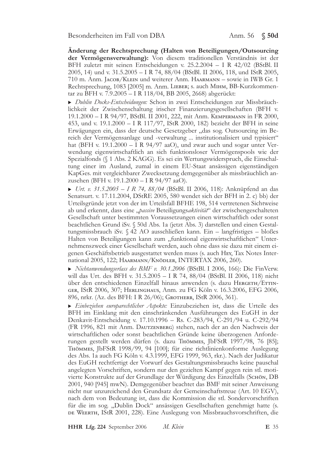Änderung der Rechtsprechung (Halten von Beteiligungen/Outsourcing der Vermögensverwaltung): Von diesem traditionellen Verständnis ist der BFH zuletzt mit seinen Entscheidungen v. 25.2.2004 – I R 42/02 (BStBl. II 2005, 14) und v. 31.5.2005 - I R 74, 88/04 (BStBl. II 2006, 118, und IStR 2005, 710 m. Anm. JACOB/KLEIN und weiterer Anm. HAARMANN – sowie in IWB Gr. 1 Rechtsprechung, 1083 [2005] m. Anm. LIEBER; s. auch Минм, BB-Kurzkommentar zu BFH v. 7.9.2005 – I R 118/04, BB 2005, 2668) abgerückt:

Dublin Docks-Entscheidungen: Schon in zwei Entscheidungen zur Missbräuchlichkeit der Zwischenschaltung irischer Finanzierungsgesellschaften (BFH v. 19.1.2000 - I R 94/97, BStBl. II 2001, 222, mit Anm. KEMPERMANN in FR 2000, 453, und v. 19.1.2000 - I R 117/97, IStR 2000, 182) bezieht der BFH in seine Erwägungen ein, dass der deutsche Gesetzgeber "das sog. Outsourcing im Bereich der Vermögensanlage und -verwaltung ... institutionalisiert und typisiert" hat (BFH v. 19.1.2000 - I R 94/97 aaO), und zwar auch und sogar unter Verwendung eigenwirtschaftlich an sich funktionsloser Vermögenspools wie der Spezialfonds (§ 1 Abs. 2 KAGG). Es sei ein Wertungswiderspruch, die Einschaltung einer im Ausland, zumal in einem EU-Staat ansässigen eigenständigen KapGes. mit vergleichbarer Zwecksetzung demgegenüber als missbräuchlich anzusehen (BFH v. 19.1.2000 - I R 94/97 aaO).

 $\triangleright$  Urt. v. 31.5.2005 - I R 74, 88/04 (BStBl. II 2006, 118): Anknüpfend an das Senatsurt. v. 17.11.2004, DStRE 2005, 580 wendet sich der BFH in 2. c) bb) der Urteilsgründe jetzt von der im Urteilsfall BFHE 198, 514 vertretenen Sichtweise ab und erkennt, dass eine "passive Beteiligungsaktivität" der zwischengeschalteten Gesellschaft unter bestimmten Voraussetzungen einen wirtschaftlich oder sonst beachtlichen Grund iSv. § 50d Abs. 1a (jetzt Abs. 3) darstellen und einen Gestaltungsmissbrauch iSv. § 42 AO ausschließen kann. Ein – langfristiges – bloßes Halten von Beteiligungen kann zum "funktional eigenwirtschaftlichen" Unternehmenszweck einer Gesellschaft werden, auch ohne dass sie dazu mit einem eigenen Geschäftsbetrieb ausgestattet werden muss (s. auch HEY, Tax Notes International 2005, 122; HAARMANN/KNÖDLER, INTERTAX 2006, 260).

Nichtanwendungserlass des BMF v. 30.1.2006 (BStBl. I 2006, 166): Die FinVerw. will das Urt. des BFH v. 31.5.2005 - I R 74, 88/04 (BStBl. II 2006, 118) nicht über den entschiedenen Einzelfall hinaus anwenden (s. dazu HERGETH/ETTIN-GER, IStR 2006, 307; HERLINGHAUS, Anm. zu FG Köln v. 16.3.2006, EFG 2006, 896, nrkr. (Az. des BFH: I R 26/06); GROTHERR, IStR 2006, 361).

Einbeziehen europarechtlicher Aspekte: Einzubeziehen ist, dass die Urteile des BFH im Einklang mit den einschränkenden Ausführungen des EuGH in der Denkavit-Entscheidung v. 17.10.1996 - Rs. C-283/94, C-291/94 u. C-292/94 (FR 1996, 821 mit Anm. DAUTZENBERG) stehen, nach der an den Nachweis der wirtschaftlichen oder sonst beachtlichen Gründe keine überzogenen Anforderungen gestellt werden dürfen (s. dazu Thömmes, JbFStR 1997/98, 76 [85]; THÖMMES, JbFStR 1998/99, 94 [100]; für eine richtlinienkonforme Auslegung des Abs. 1a auch FG Köln v. 4.3.1999, EFG 1999, 963, rkr.). Nach der Judikatur des EuGH rechtfertigt der Vorwurf des Gestaltungsmissbrauchs keine pauschal angelegten Vorschriften, sondern nur den gezielten Kampf gegen rein stl. motivierte Konstrukte auf der Grundlage der Würdigung des Einzelfalls (SCHÖN, DB 2001, 940 [945] mwN). Demgegenüber beachtet das BMF mit seiner Anweisung nicht nur unzureichend den Grundsatz der Gemeinschaftstreue (Art. 10 EGV), nach dem von Bedeutung ist, dass die Kommission die stl. Sondervorschriften für die im sog. "Dublin Dock" ansässigen Gesellschaften genehmigt hatte (s. DE WEERTH, IStR 2001, 228). Eine Auslegung von Missbrauchsvorschriften, die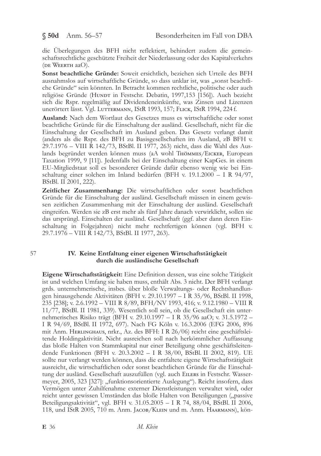$$50d$  Anm. 56-57

die Überlegungen des BFH nicht reflektiert, behindert zudem die gemeinschaftsrechtliche geschützte Freiheit der Niederlassung oder des Kapitalverkehrs (DE WEERTH aaO).

Sonst beachtliche Gründe: Soweit ersichtlich, beziehen sich Urteile des BFH ausnahmslos auf wirtschaftliche Gründe, so dass unklar ist, was "sonst beachtliche Gründe" sein könnten. In Betracht kommen rechtliche, politische oder auch religiöse Gründe (HUNDT in Festschr. Debatin, 1997,153 [156]). Auch bezieht sich die Rspr. regelmäßig auf Dividendeneinkünfte, was Zinsen und Lizenzen unerörtert lässt. Vgl. LUTTERMANN, IStR 1993, 157; FLICK, IStR 1994, 224 f.

Ausland: Nach dem Wortlaut des Gesetzes muss es wirtschaftliche oder sonst beachtliche Gründe für die Einschaltung der ausländ. Gesellschaft, nicht für die Einschaltung der Gesellschaft im Ausland geben. Das Gesetz verlangt damit (anders als die Rspr. des BFH zu Basisgesellschaften im Ausland, zB BFH v. 29.7.1976 - VIII R 142/73, BStBl. II 1977, 263) nicht, dass die Wahl des Auslands begründet werden können muss (aA wohl THÖMMES/EICKER, European Taxation 1999, 9 [11]). Jedenfalls bei der Einschaltung einer KapGes. in einem EU-Mitgliedstaat soll es besonderer Gründe dafür ebenso wenig wie bei Einschaltung einer solchen im Inland bedürfen (BFH v. 19.1.2000 - I R 94/97, BStBl. II 2001, 222).

Zeitlicher Zusammenhang: Die wirtschaftlichen oder sonst beachtlichen Gründe für die Einschaltung der ausländ. Gesellschaft müssen in einem gewissen zeitlichen Zusammenhang mit der Einschaltung der ausländ. Gesellschaft eingreifen. Werden sie zB erst mehr als fünf Jahre danach verwirklicht, sollen sie das ursprüngl. Einschalten der ausländ. Gesellschaft (ggf. aber dann deren Einschaltung in Folgejahren) nicht mehr rechtfertigen können (vgl. BFH v. 29.7.1976 - VIII R 142/73, BStBl. II 1977, 263).

### 57

### IV. Keine Entfaltung einer eigenen Wirtschaftstätigkeit durch die ausländische Gesellschaft

**Eigene Wirtschaftstätigkeit:** Eine Definition dessen, was eine solche Tätigkeit ist und welchen Umfang sie haben muss, enthält Abs. 3 nicht. Der BFH verlangt grds. unternehmerische, insbes. über bloße Verwaltungs- oder Rechtshandlungen hinausgehende Aktivitäten (BFH v. 29.10.1997 – I R 35/96, BStBl. II 1998, 235 [238]; v. 2.6.1992 - VIII R 8/89, BFH/NV 1993, 416; v. 9.12.1980 - VIII R 11/77, BStBl. II 1981, 339). Wesentlich soll sein, ob die Gesellschaft ein unternehmerisches Risiko trägt (BFH v. 29.10.1997 – I R 35/96 aaO; v. 31.5.1972 – I R 94/69, BStBl. II 1972, 697). Nach FG Köln v. 16.3.2006 (EFG 2006, 896 mit Anm. HERLINGHAUS, nrkr., Az. des BFH: I R 26/06) reicht eine geschäftsleitende Holdingaktivität. Nicht ausreichen soll nach herkömmlicher Auffassung das bloße Halten von Stammkapital nur einer Beteiligung ohne geschäftsleitendende Funktionen (BFH v. 20.3.2002 - I R 38/00, BStBl. II 2002, 819). UE sollte nur verlangt werden können, dass die entfaltete eigene Wirtschaftstätigkeit ausreicht, die wirtschaftlichen oder sonst beachtlichen Gründe für die Einschaltung der ausländ. Gesellschaft auszufüllen (vgl. auch EILERS in Festschr. Wassermeyer, 2005, 323 [327]: "funktionsorientierte Auslegung"). Reicht insofern, dass Vermögen unter Zuhilfenahme externer Dienstleistungen verwaltet wird, oder reicht unter gewissen Umständen das bloße Halten von Beteiligungen ("passive Beteiligungsaktivität", vgl. BFH v. 31.05.2005 - I R 74, 88/04, BStBl. II 2006, 118, und IStR 2005, 710 m. Anm. Jacob/KLEIN und m. Anm. HAARMANN), kön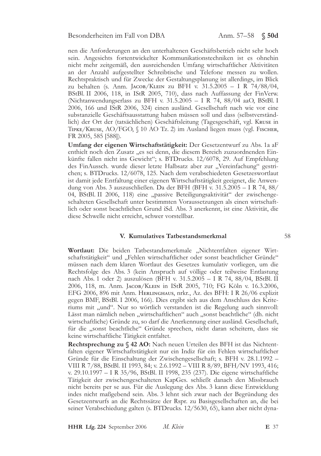nen die Anforderungen an den unterhaltenen Geschäftsbetrieb nicht sehr hoch sein. Angesichts fortentwickelter Kommunikationstechniken ist es ohnehin nicht mehr zeitgemäß, den ausreichenden Umfang wirtschaftlicher Aktivitäten an der Anzahl aufgestellter Schreibtische und Telefone messen zu wollen. Rechtspraktisch und für Zwecke der Gestaltungsplanung ist allerdings, im Blick zu behalten (s. Anm. JACOB/KLEIN zu BFH v. 31.5.2005 – I R 74/88/04, BStBl. II 2006, 118, in IStR 2005, 710), dass nach Auffassung der FinVerw. (Nichtanwendungserlass zu BFH v. 31.5.2005 - I R 74, 88/04 aaO, BStBl. I 2006, 166 und IStR 2006, 324) einen ausländ. Gesellschaft nach wie vor eine substanzielle Geschäftsausstattung haben müssen soll und dass (selbstverständlich) der Ort der (tatsächlichen) Geschäftsleitung (Tagesgeschäft, vgl. KRUSE in TIPKE/KRUSE, AO/FGO, § 10 AO Tz. 2) im Ausland liegen muss (vgl. FISCHER, FR 2005, 585 [588]).

Umfang der eigenen Wirtschaftstätigkeit: Der Gesetzentwurf zu Abs. 1a aF enthielt noch den Zusatz "es sei denn, die diesem Bereich zuzuordnenden Einkünfte fallen nicht ins Gewicht"; s. BTDrucks. 12/6078, 29. Auf Empfehlung des FinAussch. wurde dieser letzte Halbsatz aber zur "Vereinfachung" gestrichen; s. BTDrucks. 12/6078, 125. Nach dem verabschiedeten Gesetzeswortlaut ist damit jede Entfaltung einer eigenen Wirtschaftstätigkeit geeignet, die Anwendung von Abs. 3 auszuschließen. Da der BFH (BFH v. 31.5.2005 - I R 74, 88/ 04, BStBl. II 2006, 118) eine "passive Beteiligungsaktivität" der zwischengeschalteten Gesellschaft unter bestimmten Voraussetzungen als einen wirtschaftlich oder sonst beachtlichen Grund iSd. Abs. 3 anerkennt, ist eine Aktivität, die diese Schwelle nicht erreicht, schwer vorstellbar.

### V. Kumulatives Tatbestandsmerkmal

Wortlaut: Die beiden Tatbestandsmerkmale "Nichtentfalten eigener Wirtschaftstätigkeit" und "Fehlen wirtschaftlicher oder sonst beachtlicher Gründe" müssen nach dem klaren Wortlaut des Gesetzes kumulativ vorliegen, um die Rechtsfolge des Abs. 3 (kein Anspruch auf völlige oder teilweise Entlastung nach Abs. 1 oder 2) auszulösen (BFH v. 31.5.2005 - I R 74, 88/04, BStBl. II 2006, 118, m. Anm. JACOB/KLEIN in IStR 2005, 710; FG Köln v. 16.3.2006, EFG 2006, 896 mit Anm. HERLINGHAUS, nrkr., Az. des BFH: I R 26/06 explizit gegen BMF, BStBl. I 2006, 166). Dies ergibt sich aus dem Anschluss des Kriteriums mit "und". Nur so wörtlich verstanden ist die Regelung auch sinnvoll: Lässt man nämlich neben "wirtschaftlichen" auch "sonst beachtliche" (dh. nicht wirtschaftliche) Gründe zu, so darf die Anerkennung einer ausländ. Gesellschaft, für die "sonst beachtliche" Gründe sprechen, nicht daran scheitern, dass sie keine wirtschaftliche Tätigkeit entfaltet.

Rechtsprechung zu § 42 AO: Nach neuen Urteilen des BFH ist das Nichtentfalten eigener Wirtschaftstätigkeit nur ein Indiz für ein Fehlen wirtschaftlicher Gründe für die Einschaltung der Zwischengesellschaft; s. BFH v. 28.1.1992 -VIII R 7/88, BStBl. II 1993, 84; v. 2.6.1992 – VIII R 8/89, BFH/NV 1993, 416; v. 29.10.1997 - I R 35/96, BStBl. II 1998, 235 (237). Die eigene wirtschaftliche Tätigkeit der zwischengeschalteten KapGes. schließt danach den Missbrauch nicht bereits per se aus. Für die Auslegung des Abs. 3 kann diese Entwicklung indes nicht maßgebend sein. Abs. 3 lehnt sich zwar nach der Begründung des Gesetzentwurfs an die Rechtssätze der Rspr. zu Basisgesellschaften an, die bei seiner Verabschiedung galten (s. BTDrucks. 12/5630, 65), kann aber nicht dyna-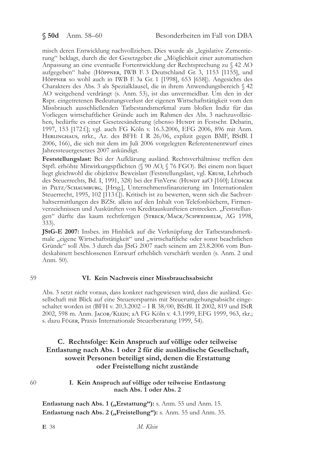misch deren Entwicklung nachvollziehen. Dies wurde als "legislative Zementierung" beklagt, durch die der Gesetzgeber die "Möglichkeit einer automatischen Anpassung an eine eventuelle Fortentwicklung der Rechtsprechung zu § 42 AO aufgegeben" habe (Höppner, IWB F. 3 Deutschland Gr. 3, 1153 [1155], und Höppner so wohl auch in IWB F. 3a Gr. 1 [1998], 653 [658]). Angesichts des Charakters des Abs. 3 als Spezialklausel, die in ihrem Anwendungsbereich § 42 AO weitgehend verdrängt (s. Anm. 53), ist das unvermeidbar. Um den in der Rspr. eingetretenen Bedeutungsverlust der eigenen Wirtschaftstätigkeit vom den Missbrauch ausschließenden Tatbestandsmerkmal zum bloßen Indiz für das Vorliegen wirtschaftlicher Gründe auch im Rahmen des Abs. 3 nachzuvollziehen, bedürfte es einer Gesetzesänderung (ebenso HUNDT in Festschr. Debatin, 1997, 153 [172 f.]; vgl. auch FG Köln v. 16.3.2006, EFG 2006, 896 mit Anm. HERLINGHAUS, nrkr., Az. des BFH: I R 26/06, explizit gegen BMF, BStBl. I 2006, 166), die sich mit dem im Juli 2006 vorgelegten Referentenentwurf eines Jahressteuergesetzes 2007 ankündigt.

Feststellungslast: Bei der Aufklärung ausländ. Rechtsverhältnisse treffen den Stpfl. erhöhte Mitwirkungspflichten (§ 90 AO, § 76 FGO). Bei einem non liquet liegt gleichwohl die objektive Beweislast (Feststellungslast, vgl. KRUSE, Lehrbuch des Steuerrechts, Bd. I, 1991, 328) bei der FinVerw. (HUNDT aaO [160]; LÜDICKE in PILTZ/SCHAUMBURG, [Hrsg.], Unternehmensfinanzierung im Internationalen Steuerrecht, 1995, 102 [113 f.]). Kritisch ist zu bewerten, wenn sich die Sachverhaltsermittlungen des BZSt. allein auf den Inhalt von Telefonbüchern, Firmenverzeichnissen und Auskünften von Kreditauskunfteien erstrecken. "Feststellungen" dürfte das kaum rechtfertigen (STRECK/MACK/SCHWEDHELM, AG 1998,  $333$ ).

JStG-E 2007: Insbes. im Hinblick auf die Verknüpfung der Tatbestandsmerkmale "eigene Wirtschaftstätigkeit" und "wirtschaftliche oder sonst beachtlichen Gründe" soll Abs. 3 durch das JStG 2007 nach seinem am 23.8.2006 vom Bundeskabinett beschlossenen Entwurf erheblich verschärft werden (s. Anm. 2 und Anm. 50).

### 59

### VI. Kein Nachweis einer Missbrauchsabsicht

Abs. 3 setzt nicht voraus, dass konkret nachgewiesen wird, dass die ausländ. Gesellschaft mit Blick auf eine Steuerersparnis mit Steuerumgehungsabsicht eingeschaltet worden ist (BFH v. 20.3.2002 - I R 38/00, BStBl. II 2002, 819 und IStR 2002, 598 m. Anm. Jacoв/KLEIN; aA FG Köln v. 4.3.1999, EFG 1999, 963, rkr.; s. dazu Füger, Praxis Internationale Steuerberatung 1999, 54).

## C. Rechtsfolge: Kein Anspruch auf völlige oder teilweise Entlastung nach Abs. 1 oder 2 für die ausländische Gesellschaft, soweit Personen beteiligt sind, denen die Erstattung oder Freistellung nicht zustände

60

### I. Kein Anspruch auf völlige oder teilweise Entlastung nach Abs. 1 oder Abs. 2

Entlastung nach Abs. 1 ("Erstattung"): s. Anm. 55 und Anm. 15. Entlastung nach Abs. 2 ("Freistellung"): s. Anm. 55 und Anm. 35.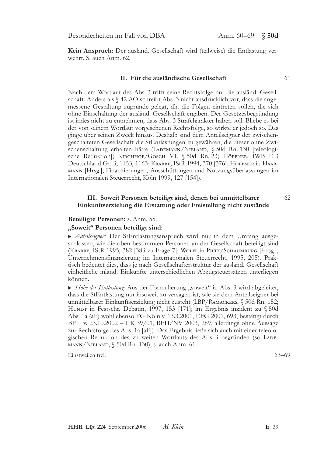Kein Anspruch: Der ausländ. Gesellschaft wird (teilweise) die Entlastung verwehrt. S. auch Anm. 62.

### II. Für die ausländische Gesellschaft

Nach dem Wortlaut des Abs. 3 trifft seine Rechtsfolge nur die ausländ. Gesellschaft. Anders als § 42 AO schreibt Abs. 3 nicht ausdrücklich vor, dass die angemessene Gestaltung zugrunde gelegt, dh. die Folgen eintreten sollen, die sich ohne Einschaltung der ausländ. Gesellschaft ergäben. Der Gesetzesbegründung ist indes nicht zu entnehmen, dass Abs. 3 Strafcharakter haben soll. Bliebe es bei der von seinem Wortlaut vorgesehenen Rechtsfolge, so wirkte er jedoch so. Das ginge über seinen Zweck hinaus. Deshalb sind dem Anteilseigner der zwischengeschalteten Gesellschaft die StEntlastungen zu gewähren, die dieser ohne Zwischenschaltung erhalten hätte (LADEMANN/NIELAND, § 50d Rn. 130 [teleologische Reduktion]; КIRCHHOF/GOSCH VI. § 50d Rn. 23; Нöррмеr, IWB F. 3 Deutschland Gr. 3, 1153, 1163; KRABBE, IStR 1994, 370 [376]; HÖPPNER in HAAR-MANN [Hrsg.], Finanzierungen, Ausschüttungen und Nutzungsüberlassungen im Internationalen Steuerrecht, Köln 1999, 127 [154]).

### III. Soweit Personen beteiligt sind, denen bei unmittelbarer Einkunftserzielung die Erstattung oder Freistellung nicht zustände

### Beteiligte Personen: s. Anm. 55.

### "Soweit" Personen beteiligt sind:

Anteilseigner: Der StEntlastungsanspruch wird nur in dem Umfang ausgeschlossen, wie die oben bestimmten Personen an der Gesellschaft beteiligt sind (KRABBE, IStR 1995, 382 [383 zu Frage 7]; WOLFF in PILTZ/SCHAUMBURG [Hrsg.], Unternehmensfinanzierung im Internationalen Steuerrecht, 1995, 205). Praktisch bedeutet dies, dass je nach Gesellschafterstruktur der ausländ. Gesellschaft einheitliche inländ. Einkünfte unterschiedlichen Abzugsteuersätzen unterliegen können.

• Höhe der Entlastung: Aus der Formulierung "soweit" in Abs. 3 wird abgeleitet, dass die StEntlastung nur insoweit zu versagen ist, wie sie dem Anteilseigner bei unmittelbarer Einkunftserzielung nicht zusteht (LBP/RАМАСКЕRS, § 50d Rn. 152; HUNDT in Festschr. Debatin, 1997, 153 [171]; im Ergebnis inzident zu § 50d Abs. 1a (aF) wohl ebenso FG Köln v. 13.3.2001, EFG 2001, 693, bestätigt durch BFH v. 23.10.2002 - I R 39/01, BFH/NV 2003, 289, allerdings ohne Aussage zur Rechtsfolge des Abs. 1a [aF]). Das Ergebnis ließe sich auch mit einer teleologischen Reduktion des zu weiten Wortlauts des Abs. 3 begründen (so LADE-MANN/NIELAND,  $\$$  50d Rn. 130); s. auch Anm. 61.

Einstweilen frei.

 $63 - 69$ 

62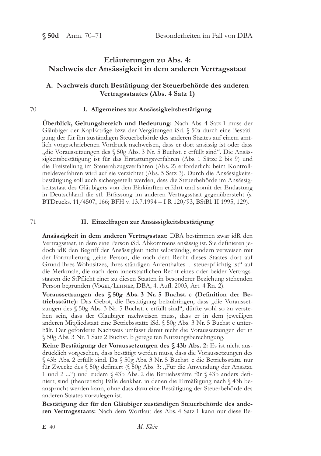## Erläuterungen zu Abs. 4: Nachweis der Ansässigkeit in dem anderen Vertragsstaat

## A. Nachweis durch Bestätigung der Steuerbehörde des anderen Vertragsstaates (Abs. 4 Satz 1)

### 70

### I. Allgemeines zur Ansässigkeitsbestätigung

Überblick, Geltungsbereich und Bedeutung: Nach Abs. 4 Satz 1 muss der Gläubiger der KapErträge bzw. der Vergütungen iSd. § 50a durch eine Bestätigung der für ihn zuständigen Steuerbehörde des anderen Staates auf einem amtlich vorgeschriebenen Vordruck nachweisen, dass er dort ansässig ist oder dass "die Voraussetzungen des § 50g Abs. 3 Nr. 5 Buchst. c erfüllt sind". Die Ansässigkeitsbestätigung ist für das Erstattungsverfahren (Abs. 1 Sätze 2 bis 9) und die Freistellung im Steuerabzugsverfahren (Abs. 2) erforderlich; beim Kontrollmeldeverfahren wird auf sie verzichtet (Abs. 5 Satz 3). Durch die Ansässigkeitsbestätigung soll auch sichergestellt werden, dass die Steuerbehörde im Ansässigkeitsstaat des Gläubigers von den Einkünften erfährt und somit der Entlastung in Deutschland die stl. Erfassung im anderen Vertragsstaat gegenübersteht (s. BTDrucks. 11/4507, 166; BFH v. 13.7.1994 - I R 120/93, BStBl. II 1995, 129).

### 71

### II. Einzelfragen zur Ansässigkeitsbestätigung

Ansässigkeit in dem anderen Vertragsstaat: DBA bestimmen zwar idR den Vertragsstaat, in dem eine Person iSd. Abkommens ansässig ist. Sie definieren jedoch idR den Begriff der Ansässigkeit nicht selbständig, sondern verweisen mit der Formulierung "eine Person, die nach dem Recht dieses Staates dort auf Grund ihres Wohnsitzes, ihres ständigen Aufenthaltes ... steuerpflichtig ist" auf die Merkmale, die nach dem innerstaatlichen Recht eines oder beider Vertragsstaaten die StPflicht einer zu diesen Staaten in besonderer Beziehung stehenden Person begründen (VOGEL/LEHNER, DBA, 4. Aufl. 2003, Art. 4 Rn. 2).

Voraussetzungen des § 50g Abs. 3 Nr. 5 Buchst. c (Definition der Betriebsstätte): Das Gebot, die Bestätigung beizubringen, dass "die Voraussetzungen des § 50g Abs. 3 Nr. 5 Buchst. c erfüllt sind", dürfte wohl so zu verstehen sein, dass der Gläubiger nachweisen muss, dass er in dem jeweiligen anderen Mitgliedstaat eine Betriebsstätte iSd. § 50g Abs. 3 Nr. 5 Buchst c unterhält. Der geforderte Nachweis umfasst damit nicht die Voraussetzungen der in § 50g Abs. 3 Nr. 1 Satz 2 Buchst. b geregelten Nutzungsberechtigung.

Keine Bestätigung der Voraussetzungen des § 43b Abs. 2: Es ist nicht ausdrücklich vorgesehen, dass bestätigt werden muss, dass die Voraussetzungen des § 43b Abs. 2 erfüllt sind. Da § 50g Abs. 3 Nr. 5 Buchst. c die Betriebsstätte nur für Zwecke des § 50g definiert (§ 50g Abs. 3: "Für die Anwendung der Ansätze 1 und 2 ... ") und zudem  $\Diamond$  43b Abs. 2 die Betriebsstätte für  $\Diamond$  43b anders definiert, sind (theoretisch) Fälle denkbar, in denen die Ermäßigung nach § 43b beansprucht werden kann, ohne dass dazu eine Bestätigung der Steuerbehörde des anderen Staates vorzulegen ist.

Bestätigung der für den Gläubiger zuständigen Steuerbehörde des anderen Vertragsstaats: Nach dem Wortlaut des Abs. 4 Satz 1 kann nur diese Be-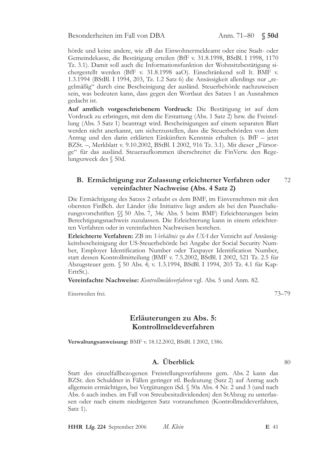hörde und keine andere, wie zB das Einwohnermeldeamt oder eine Stadt- oder Gemeindekasse, die Bestätigung erteilen (BfF v. 31.8.1998, BStBl. I 1998, 1170 Tz. 3.1). Damit soll auch die Informationsfunktion der Wohnsitzbestätigung sichergestellt werden (BfF v. 31.8.1998 aaO). Einschränkend soll lt. BMF v. 1.3.1994 (BStBl. I 1994, 203, Tz. 1.2 Satz 6) die Ansässigkeit allerdings nur "regelmäßig" durch eine Bescheinigung der ausländ. Steuerbehörde nachzuweisen sein, was bedeuten kann, dass gegen den Wortlaut des Satzes 1 an Ausnahmen gedacht ist.

Auf amtlich vorgeschriebenem Vordruck: Die Bestätigung ist auf dem Vordruck zu erbringen, mit dem die Erstattung (Abs. 1 Satz 2) bzw. die Freistellung (Abs. 3 Satz 1) beantragt wird. Bescheinigungen auf einem separaten Blatt werden nicht anerkannt, um sicherzustellen, dass die Steuerbehörden von dem Antrag und den darin erklärten Einkünften Kenntnis erhalten (s. BfF – jetzt BZSt. -, Merkblatt v. 9.10.2002, BStBl. I 2002, 916 Tz. 3.1). Mit dieser "Fürsorge" für das ausländ. Steueraufkommen überschreitet die FinVerw. den Regelungszweck des § 50d.

### B. Ermächtigung zur Zulassung erleichterter Verfahren oder 72 vereinfachter Nachweise (Abs. 4 Satz 2)

Die Ermächtigung des Satzes 2 erlaubt es dem BMF, im Einvernehmen mit den obersten FinBeh. der Länder (die Initiative liegt anders als bei den Pauschalierungsvorschriften §§ 50 Abs. 7, 34c Abs. 5 beim BMF) Erleichterungen beim Berechtigungsnachweis zuzulassen. Die Erleichterung kann in einem erleichterten Verfahren oder in vereinfachten Nachweisen bestehen.

Erleichterte Verfahren: ZB im Verhältnis zu den USA der Verzicht auf Ansässigkeitsbescheinigung der US-Steuerbehörde bei Angabe der Social Security Number, Employer Identification Number oder Taxpayer Identification Number, statt dessen Kontrollmitteilung (BMF v. 7.5.2002, BStBl. I 2002, 521 Tz. 2.5 für Abzugsteuer gem. § 50 Abs. 4; v. 1.3.1994, BStBl. I 1994, 203 Tz. 4.1 für Kap-ErtrSt.).

Vereinfachte Nachweise: Kontrollmeldeverfahren vgl. Abs. 5 und Anm. 82.

Einstweilen frei.

## Erläuterungen zu Abs. 5: Kontrollmeldeverfahren

Verwaltungsanweisung: BMF v. 18.12.2002, BStBl. I 2002, 1386.

# A. Überblick

Statt des einzelfallbezogenen Freistellungsverfahrens gem. Abs. 2 kann das BZSt. den Schuldner in Fällen geringer stl. Bedeutung (Satz 2) auf Antrag auch allgemein ermächtigen, bei Vergütungen iSd. § 50a Abs. 4 Nr. 2 und 3 (und nach Abs. 6 auch insbes. im Fall von Streubesitzdividenden) den StAbzug zu unterlassen oder nach einem niedrigeren Satz vorzunehmen (Kontrollmeldeverfahren, Satz  $1$ ).

 $73 - 79$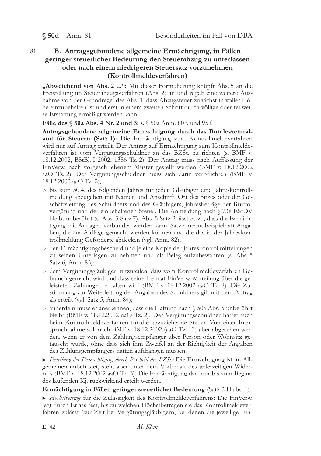$$50d$  Anm. 81

## B. Antragsgebundene allgemeine Ermächtigung, in Fällen geringer steuerlicher Bedeutung den Steuerabzug zu unterlassen oder nach einem niedrigeren Steuersatz vorzunehmen (Kontrollmeldeverfahren)

"Abweichend von Abs. 2 ...": Mit dieser Formulierung knüpft Abs. 5 an die Freistellung im Steuerabzugsverfahren (Abs. 2) an und regelt eine weitere Ausnahme von der Grundregel des Abs. 1, dass Abzugsteuer zunächst in voller Höhe einzubehalten ist und erst in einem zweiten Schritt durch völlige oder teilweise Erstattung ermäßigt werden kann.

Fälle des § 50a Abs. 4 Nr. 2 und 3: s. § 50a Anm. 80 f. und 95 f.

Antragsgebundene allgemeine Ermächtigung durch das Bundeszentralamt für Steuern (Satz 1): Die Ermächtigung zum Kontrollmeldeverfahren wird nur auf Antrag erteilt. Der Antrag auf Ermächtigung zum Kontrollmeldeverfahren ist vom Vergütungsschuldner an das BZSt. zu richten (s. BMF v. 18.12.2002, BStBl. I 2002, 1386 Tz. 2). Der Antrag muss nach Auffassung der FinVerw. nach vorgeschriebenem Muster gestellt werden (BMF v. 18.12.2002 aaO Tz. 2). Der Vergütungsschuldner muss sich darin verpflichten (BMF v. 18.12.2002 aaO Tz. 2),

- bis zum 30.4. des folgenden Jahres für jeden Gläubiger eine Jahreskontrollmeldung abzugeben mit Namen und Anschrift, Ort des Sitzes oder der Geschäftsleitung des Schuldners und des Gläubigers, Jahresbeträge der Bruttovergütung und der einbehaltenen Steuer. Die Anmeldung nach § 73e EStDV bleibt unberührt (s. Abs. 5 Satz 7). Abs. 5 Satz 2 lässt es zu, dass die Ermächtigung mit Auflagen verbunden werden kann. Satz 4 nennt beispielhaft Angaben, die zur Auflage gemacht werden können und die das in der Jahreskontrollmeldung Geforderte abdecken (vgl. Anm. 82);
- $\triangleright$  den Ermächtigungsbescheid und je eine Kopie der Jahreskontrollmitteilungen zu seinen Unterlagen zu nehmen und als Beleg aufzubewahren (s. Abs. 5 Satz 6, Anm. 85);
- > dem Vergütungsgläubiger mitzuteilen, dass vom Kontrollmeldeverfahren Gebrauch gemacht wird und dass seine Heimat-FinVerw. Mitteilung über die geleisteten Zahlungen erhalten wird (BMF v. 18.12.2002 aaO Tz. 8). Die Zustimmung zur Weiterleitung der Angaben des Schuldners gilt mit dem Antrag als erteilt (vgl. Satz 5; Anm. 84);
- ⊳ außerdem muss er anerkennen, dass die Haftung nach § 50a Abs. 5 unberührt bleibt (BMF v. 18.12.2002 aaO Tz. 2). Der Vergütungsschuldner haftet auch beim Kontrollmeldeverfahren für die abzuziehende Steuer. Von einer Inanspruchnahme soll nach BMF v. 18.12.2002 (aaO Tz. 13) aber abgesehen werden, wenn er von dem Zahlungsempfänger über Person oder Wohnsitz getäuscht wurde, ohne dass sich ihm Zweifel an der Richtigkeit der Angaben des Zahlungsempfängers hätten aufdrängen müssen.

 $\triangleright$  Erteilung der Ermächtigung durch Bescheid des BZSt.: Die Ermächtigung ist im Allgemeinen unbefristet, steht aber unter dem Vorbehalt des jederzeitigen Widerrufs (BMF v. 18.12.2002 aaO Tz. 3). Die Ermächtigung darf nur bis zum Beginn des laufenden Kj. rückwirkend erteilt werden.

Ermächtigung in Fällen geringer steuerlicher Bedeutung (Satz 2 Halbs. 1):

Höchstbeträge für die Zulässigkeit des Kontrollmeldeverfahrens: Die FinVerw. legt durch Erlass fest, bis zu welchen Höchstbeträgen sie das Kontrollmeldeverfahren zulässt (zur Zeit bei Vergütungsgläubigern, bei denen die jeweilige Ein-

81

E 42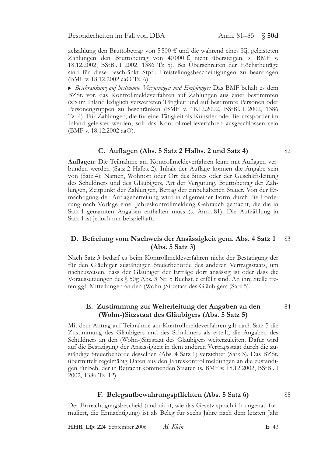zelzahlung den Bruttobetrag von 5500  $\epsilon$  und die während eines Kj. geleisteten Zahlungen den Bruttobetrag von 40000 € nicht übersteigen, s. BMF v. 18.12.2002, BStBl. I 2002, 1386 Tz. 5). Bei Überschreiten der Höchstbeträge sind für diese beschränkt Stpfl. Freistellungsbescheinigungen zu beantragen (BMF v. 18.12.2002 aaO Tz. 6).

Beschränkung auf bestimmte Vergütungen und Empfänger: Das BMF behält es dem BZSt. vor, das Kontrollmeldeverfahren auf Zahlungen aus einer bestimmten (zB im Inland lediglich verwerteten Tätigkeit und auf bestimmte Personen oder Personengruppen zu beschränken (BMF v. 18.12.2002, BStBl. I 2002, 1386 Tz. 4). Für Zahlungen, die für eine Tätigkeit als Künstler oder Berufssportler im Inland geleistet werden, soll das Kontrollmeldeverfahren ausgeschlossen sein (BMF v. 18.12.2002 aaO).

### C. Auflagen (Abs. 5 Satz 2 Halbs. 2 und Satz 4)

Auflagen: Die Teilnahme am Kontrollmeldeverfahren kann mit Auflagen verbunden werden (Satz 2 Halbs. 2). Inhalt der Auflage können die Angabe sein von (Satz 4): Namen, Wohnort oder Ort des Sitzes oder der Geschäftsleitung des Schuldners und des Gläubigers, Art der Vergütung, Bruttobetrag der Zahlungen, Zeitpunkt der Zahlungen, Betrag der einbehaltenen Steuer. Von der Ermächtigung der Auflagenerteilung wird in allgemeiner Form durch die Forderung nach Vorlage einer Jahreskontrollmeldung Gebrauch gemacht, die die in Satz 4 genannten Angaben enthalten muss (s. Anm. 81). Die Aufzählung in Satz 4 ist jedoch nur beispielhaft.

### D. Befreiung vom Nachweis der Ansässigkeit gem. Abs. 4 Satz 1 83  $(Abs. 5 Satz 3)$

Nach Satz 3 bedarf es beim Kontrollmeldeverfahren nicht der Bestätigung der für den Gläubiger zuständigen Steuerbehörde des anderen Vertragsstaats, um nachzuweisen, dass der Gläubiger der Erträge dort ansässig ist oder dass die Voraussetzungen des § 50g Abs. 3 Nr. 5 Buchst. c erfüllt sind. An ihre Stelle treten ggf. Mitteilungen an den (Wohn-)Sitzstaat des Gläubigers (Satz 5).

## E. Zustimmung zur Weiterleitung der Angaben an den (Wohn-)Sitzstaat des Gläubigers (Abs. 5 Satz 5)

Mit dem Antrag auf Teilnahme am Kontrollmeldeverfahren gilt nach Satz 5 die Zustimmung des Gläubigers und des Schuldners als erteilt, die Angaben des Schuldners an den (Wohn-)Sitzstaat des Gläubigers weiterzuleiten. Dafür wird auf die Bestätigung der Ansässigkeit in dem anderen Vertragsstaat durch die zuständige Steuerbehörde desselben (Abs. 4 Satz 1) verzichtet (Satz 3). Das BZSt. übermittelt regelmäßig Daten aus den Jahreskontrollmeldungen an die zuständigen FinBeh. der in Betracht kommenden Staaten (s. BMF v. 18.12.2002, BStBl. I 2002, 1386 Tz. 12).

## F. Belegaufbewahrungspflichten (Abs. 5 Satz 6)

85

84

Der Ermächtigungsbescheid (und nicht, wie das Gesetz sprachlich ungenau formuliert, die Ermächtigung) ist als Beleg für sechs Jahre nach dem letzten Jahr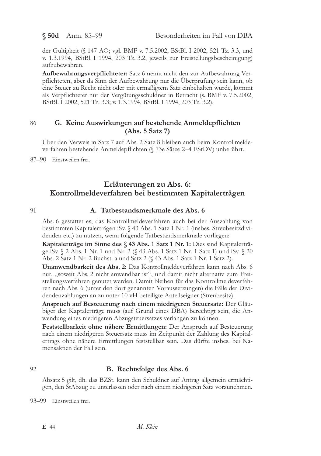$$50d$  Anm. 85-99

der Gültigkeit (§ 147 AO; vgl. BMF v. 7.5.2002, BStBl. I 2002, 521 Tz. 3.3, und v. 1.3.1994, BStBl. I 1994, 203 Tz. 3.2, jeweils zur Freistellungsbescheinigung) aufzubewahren.

Aufbewahrungsverpflichteter: Satz 6 nennt nicht den zur Aufbewahrung Verpflichteten, aber da Sinn der Aufbewahrung nur die Überprüfung sein kann, ob eine Steuer zu Recht nicht oder mit ermäßigtem Satz einbehalten wurde, kommt als Verpflichteter nur der Vergütungsschuldner in Betracht (s. BMF v. 7.5.2002, BStBl. I 2002, 521 Tz. 3.3; v. 1.3.1994, BStBl. I 1994, 203 Tz. 3.2).

### 86 G. Keine Auswirkungen auf bestehende Anmeldepflichten  $(Abs. 5 Satz 7)$

Über den Verweis in Satz 7 auf Abs. 2 Satz 8 bleiben auch beim Kontrollmeldeverfahren bestehende Anmeldepflichten (§ 73e Sätze 2-4 EStDV) unberührt.

87-90 Einstweilen frei.

## Erläuterungen zu Abs. 6: Kontrollmeldeverfahren bei bestimmten Kapitalerträgen

91

## A. Tatbestandsmerkmale des Abs. 6

Abs. 6 gestattet es, das Kontrollmeldeverfahren auch bei der Auszahlung von bestimmten Kapitalerträgen iSv. § 43 Abs. 1 Satz 1 Nr. 1 (insbes. Streubesitzdividenden etc.) zu nutzen, wenn folgende Tatbestandsmerkmale vorliegen:

Kapitalerträge im Sinne des § 43 Abs. 1 Satz 1 Nr. 1: Dies sind Kapitalerträge iSv. § 2 Abs. 1 Nr. 1 und Nr. 2 (§ 43 Abs. 1 Satz 1 Nr. 1 Satz 1) und iSv. § 20 Abs. 2 Satz 1 Nr. 2 Buchst. a und Satz 2 (§ 43 Abs. 1 Satz 1 Nr. 1 Satz 2).

Unanwendbarkeit des Abs. 2: Das Kontrollmeldeverfahren kann nach Abs. 6 nur, "soweit Abs. 2 nicht anwendbar ist", und damit nicht alternativ zum Freistellungsverfahren genutzt werden. Damit bleiben für das Kontrollmeldeverfahren nach Abs. 6 (unter den dort genannten Voraussetzungen) die Fälle der Dividendenzahlungen an zu unter 10 vH beteiligte Anteilseigner (Streubesitz).

Anspruch auf Besteuerung nach einem niedrigeren Steuersatz: Der Gläubiger der Kaptalerträge muss (auf Grund eines DBA) berechtigt sein, die Anwendung eines niedrigeren Abzugsteuersatzes verlangen zu können.

Feststellbarkeit ohne nähere Ermittlungen: Der Anspruch auf Besteuerung nach einem niedrigeren Steuersatz muss im Zeitpunkt der Zahlung des Kapitalertrags ohne nähere Ermittlungen feststellbar sein. Das dürfte insbes. bei Namensaktien der Fall sein.

92

## B. Rechtsfolge des Abs. 6

Absatz 5 gilt, dh. das BZSt. kann den Schuldner auf Antrag allgemein ermächtigen, den StAbzug zu unterlassen oder nach einem niedrigeren Satz vorzunehmen.

93-99 Einstweilen frei.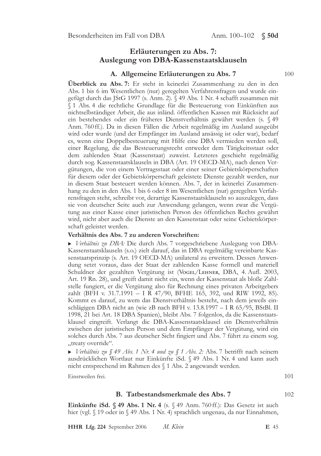## Erläuterungen zu Abs. 7: Auslegung von DBA-Kassenstaatsklauseln

### A. Allgemeine Erläuterungen zu Abs. 7

Überblick zu Abs. 7: Er steht in keinerlei Zusammenhang zu den in den Abs. 1 bis 6 im Wesentlichen (nur) geregelten Verfahrensfragen und wurde eingefügt durch das JStG 1997 (s. Anm. 2). § 49 Abs. 1 Nr. 4 schafft zusammen mit § 1 Abs. 4 die rechtliche Grundlage für die Besteuerung von Einkünften aus nichtselbständiger Arbeit, die aus inländ. öffentlichen Kassen mit Rücksicht auf ein bestehendes oder ein früheres Dienstverhältnis gewährt werden (s. § 49 Anm. 760 ff.). Da in diesen Fällen die Arbeit regelmäßig im Ausland ausgeübt wird oder wurde (und der Empfänger im Ausland ansässig ist oder war), bedarf es, wenn eine Doppelbesteuerung mit Hilfe eine DBA vermieden werden soll, einer Regelung, die das Besteuerungsrecht entweder dem Tätigkeitsstaat oder dem zahlenden Staat (Kassenstaat) zuweist. Letzteres geschieht regelmäßig durch sog. Kassenstaatsklauseln in DBA (Art. 19 OECD-MA), nach denen Vergütungen, die von einem Vertragsstaat oder einer seiner Gebietskörperschaften für diesem oder der Gebietskörperschaft geleistete Dienste gezahlt werden, nur in diesem Staat besteuert werden können. Abs. 7, der in keinerlei Zusammenhang zu den in den Abs. 1 bis 6 oder 8 im Wesentlichen (nur) geregelten Verfahrensfragen steht, schreibt vor, derartige Kassenstaatsklauseln so auszulegen, dass sie von deutscher Seite auch zur Anwendung gelangen, wenn zwar die Vergütung aus einer Kasse einer juristischen Person des öffentlichen Rechts gewährt wird, nicht aber auch die Dienste an den Kassenstaat oder seine Gebietskörperschaft geleistet werden.

### Verhältnis des Abs. 7 zu anderen Vorschriften:

Verhältnis zu DBA: Die durch Abs. 7 vorgeschriebene Auslegung von DBA-Kassenstaatsklauseln (s.o.) zielt darauf, das in DBA regelmäßig vereinbarte Kassenstaatsprinzip (s. Art. 19 OECD-MA) unilateral zu erweitern. Dessen Anwendung setzt voraus, dass der Staat der zahlenden Kasse formell und materiell Schuldner der gezahlten Vergütung ist (Vogel/LEHNER, DBA, 4. Aufl. 2003, Art. 19 Rn. 28), und greift damit nicht ein, wenn der Kassenstaat als bloße Zahlstelle fungiert, er die Vergütung also für Rechnung eines privaten Arbeitgebers zahlt (BFH v. 31.7.1991 - I R 47/90, BFHE 165, 392, und RIW 1992, 85). Kommt es darauf, zu wem das Dienstverhältnis besteht, nach dem jeweils einschlägigen DBA nicht an (wie zB nach BFH v. 13.8.1997 - I R 65/95, BStBl. II 1998, 21 bei Art. 18 DBA Spanien), bleibt Abs. 7 folgenlos, da die Kassenstaatsklausel eingreift. Verlangt die DBA-Kassenstaatsklausel ein Dienstverhältnis zwischen der juristischen Person und dem Empfänger der Vergütung, wird ein solches durch Abs. 7 aus deutscher Sicht fingiert und Abs. 7 führt zu einem sog. "treaty override".

 $\triangleright$  Verhältnis zu § 49 Abs. 1 Nr. 4 und zu § 1 Abs. 2: Abs. 7 betrifft nach seinem ausdrücklichen Wortlaut nur Einkünfte iSd. § 49 Abs. 1 Nr. 4 und kann auch nicht entsprechend im Rahmen des § 1 Abs. 2 angewandt werden.

Einstweilen frei.

## B. Tatbestandsmerkmale des Abs. 7

102

101

Einkünfte iSd. § 49 Abs. 1 Nr. 4 (s. § 49 Anm. 760 ff.): Das Gesetz ist auch hier (vgl. § 19 oder in § 49 Abs. 1 Nr. 4) sprachlich ungenau, da nur Einnahmen,

HHR Lfg. 224 September 2006 M. Klein E 45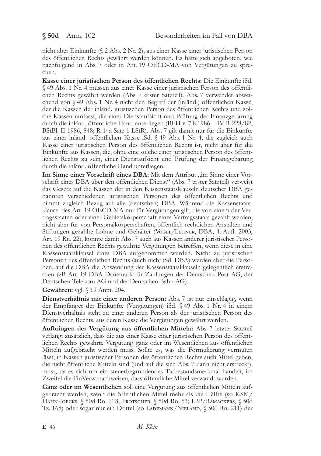nicht aber Einkünfte (§ 2 Abs. 2 Nr. 2), aus einer Kasse einer juristischen Person des öffentlichen Rechts gewährt werden können. Es hätte sich angeboten, wie nachfolgend in Abs. 7 oder in Art. 19 OECD-MA von Vergütungen zu sprechen.

Kasse einer juristischen Person des öffentlichen Rechts: Die Einkünfte iSd. § 49 Abs. 1 Nr. 4 müssen aus einer Kasse einer juristischen Person des öffentlichen Rechts gewährt werden (Abs. 7 erster Satzteil). Abs. 7 verwendet abweichend von § 49 Abs. 1 Nr. 4 nicht den Begriff der (inländ.) öffentlichen Kasse, der die Kassen der inländ. juristischen Person des öffentlichen Rechts und solche Kassen umfasst, die einer Dienstaufsicht und Prüfung der Finanzgebarung durch die inländ. öffentliche Hand unterliegen (BFH v. 7.8.1986 - IV R 228/82, BStBl. II 1986, 848; R 14a Satz 1 LStR). Abs. 7 gilt damit nur für die Einkünfte aus einer inländ. öffentlichen Kasse iSd. § 49 Abs. 1 Nr. 4, die zugleich auch Kasse einer juristischen Person des öffentlichen Rechts ist, nicht aber für die Einkünfte aus Kassen, die, ohne eine solche einer juristischen Person des öffentlichen Rechts zu sein, einer Dienstaufsicht und Prüfung der Finanzgebarung durch die inländ. öffentliche Hand unterliegen.

Im Sinne einer Vorschrift eines DBA: Mit dem Attribut "im Sinne einer Vorschrift eines DBA über den öffentlichen Dienst" (Abs. 7 erster Satzteil) verweist das Gesetz auf die Kassen der in den Kassenstaatsklauseln deutscher DBA genannten verschiedenen juristischen Personen des öffentlichen Rechts und nimmt zugleich Bezug auf alle (deutschen) DBA. Während die Kassenstaatsklausel des Art. 19 OECD-MA nur für Vergütungen gilt, die von einem der Vertragsstaaten oder einer Gebietskörperschaft eines Vertragsstaats gezahlt werden, nicht aber für von Personalkörperschaften, öffentlich-rechtlichen Anstalten und Stiftungen gezahlte Löhne und Gehälter (VoGEL/LEHNER, DBA, 4. Aufl. 2003, Art. 19 Rn. 22), könnte damit Abs. 7 auch aus Kassen anderer juristischer Personen des öffentlichen Rechts gewährte Vergütungen betreffen, wenn diese in eine Kassenstaatsklausel eines DBA aufgenommen wurden. Nicht zu juristischen Personen des öffentlichen Rechts (auch nicht iSd. DBA) werden aber die Personen, auf die DBA die Anwendung der Kassenstaatsklauseln gelegentlich erstrecken (zB Art. 19 DBA Dänemark für Zahlungen der Deutschen Post AG, der Deutschen Telekom AG und der Deutschen Bahn AG).

Gewähren: vgl. § 19 Anm. 204.

Dienstverhältnis mit einer anderen Person: Abs. 7 ist nur einschlägig, wenn der Empfänger der Einkünfte (Vergütungen) iSd. § 49 Abs. 1 Nr. 4 in einem Dienstverhältnis steht zu einer anderen Person als der juristischen Person des öffentlichen Rechts, aus deren Kasse die Vergütungen gewährt werden.

Aufbringen der Vergütung aus öffentlichen Mitteln: Abs. 7 letzter Satzteil verlangt zusätzlich, dass die aus einer Kasse einer juristischen Person des öffentlichen Rechts gewährte Vergütung ganz oder im Wesentlichen aus öffentlichen Mitteln aufgebracht werden muss. Sollte es, was die Formulierung vermuten lässt, in Kassen juristischer Personen des öffentlichen Rechts auch Mittel geben, die nicht öffentliche Mitteln sind (und auf die sich Abs. 7 dann nicht erstreckt), muss, da es sich um ein steuerbegründendes Tatbestandsmerkmal handelt, im Zweifel die FinVerw. nachweisen, dass öffentliche Mittel verwandt wurden.

Ganz oder im Wesentlichen soll eine Vergütung aus öffentlichen Mitteln aufgebracht werden, wenn die öffentlichen Mittel mehr als die Hälfte (so KSM/ НАНN-JOECKS, § 50d Rn. F 8; FROTSCHER, § 50d Rn. 53; LBP/RAMACKERS, § 50d Tz. 168) oder sogar nur ein Drittel (so LADEMANN/NIELAND, § 50d Rn. 211) der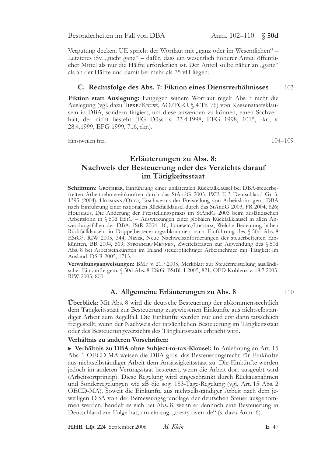Vergütung decken. UE spricht der Wortlaut mit "ganz oder im Wesentlichen" -Letzteres iSv. "nicht ganz" – dafür, dass ein wesentlich höherer Anteil öffentlicher Mittel als nur die Hälfte erforderlich ist. Der Anteil sollte näher an "ganz" als an der Hälfte und damit bei mehr als 75 vH liegen.

#### C. Rechtsfolge des Abs. 7: Fiktion eines Dienstverhältnisses 103

Fiktion statt Auslegung: Entgegen seinem Wortlaut regelt Abs. 7 nicht die Auslegung (vgl. dazu TIPKE/KRUSE, AO/FGO, § 4 Tz. 76) von Kassenstaatsklauseln in DBA, sondern fingiert, um diese anwenden zu können, einen Sachverhalt, der nicht besteht (FG Düss. v. 23.4.1998, EFG 1998, 1015, rkr.; v. 28.4.1999, EFG 1999, 716, rkr.).

Einstweilen frei.

 $104 - 109$ 

# Erläuterungen zu Abs. 8: Nachweis der Besteuerung oder des Verzichts darauf im Tätigkeitsstaat

Schrifttum: GROTHERR, Einführung einer unilateralen Rückfallklausel bei DBA-steuerbefreiten Arbeitnehmereinkünften durch das StÄndG 2003, IWB F. 3 Deutschland Gr. 3, 1395 (2004); HOFMANN/OTTO, Erschwernis der Freistellung von Arbeitslohn gem. DBA nach Einführung einer nationalen Rückfallklausel durch das StÄndG 2003, FR 2004, 826; HOLTHAUS, Die Änderung der Freistellungspraxis im StÄndG 2003 beim ausländischen Arbeitslohn in § 50d EStG - Auswirkungen einer globalen Rückfallklausel in allen Anwendungsfällen der DBA, IStR 2004, 16; LUDEWIG/LIBUDDA, Welche Bedeutung haben Rückfallklauseln in Doppelbesteuerungsabkommen nach Einführung des § 50d Abs. 8 EStG?, RIW 2005, 344; Never, Neue Nachweisanforderungen der steuerbefreiten Einkünften, BB 2004, 519; STROHNER/MENNEN, Zweifelsfragen zur Anwendung des § 50d Abs. 8 bei Arbeitseinkünften im Inland steuerpflichtiger Arbeitnehmer mit Tätigkeit im Ausland, DStR 2005, 1713.

Verwaltungsanweisungen: BMF v. 21.7.2005, Merkblatt zur Steuerfreistellung ausländischer Einkünfte gem. § 50d Abs. 8 EStG, BStBl. I 2005, 821; OFD Koblenz v. 18.7.2005, RIW 2005, 800.

## A. Allgemeine Erläuterungen zu Abs. 8

Überblick: Mit Abs. 8 wird die deutsche Besteuerung der abkommensrechtlich dem Tätigkeitsstaat zur Besteuerung zugewiesenen Einkünfte aus nichtselbständiger Arbeit zum Regelfall. Die Einkünfte werden nur und erst dann tatsächlich freigestellt, wenn der Nachweis der tatsächlichen Besteuerung im Tätigkeitsstaat oder des Besteuerungsverzichts des Tätigkeitsstaats erbracht wird.

### Verhältnis zu anderen Vorschriften:

▶ Verhältnis zu DBA ohne Subject-to-tax-Klausel: In Anlehnung an Art. 15 Abs. 1 OECD-MA weisen die DBA grds. das Besteuerungsrecht für Einkünfte aus nichtselbständiger Arbeit dem Ansässigkeitsstaat zu. Die Einkünfte werden jedoch im anderen Vertragsstaat besteuert, wenn die Arbeit dort ausgeübt wird (Arbeitsortprinzip). Diese Regelung wird eingeschränkt durch Rückausnahmen und Sonderregelungen wie zB die sog. 183-Tage-Regelung (vgl. Art. 15 Abs. 2 OECD-MA). Soweit die Einkünfte aus nichtselbständiger Arbeit nach dem jeweiligen DBA von der Bemessungsgrundlage der deutschen Steuer ausgenommen werden, handelt es sich bei Abs. 8, wenn er dennoch eine Besteuerung in Deutschland zur Folge hat, um ein sog. "treaty override" (s. dazu Anm. 6).